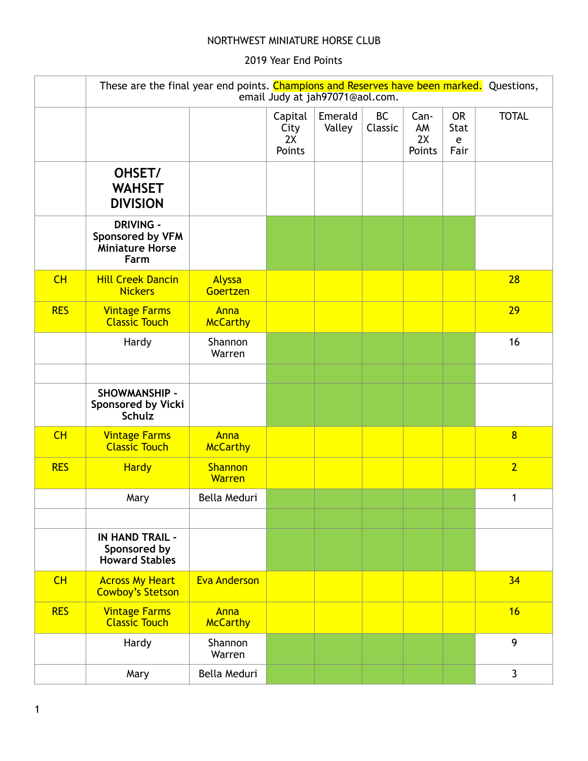## NORTHWEST MINIATURE HORSE CLUB

## 2019 Year End Points

|            | These are the final year end points. Champions and Reserves have been marked. Questions, |                          |                                 |                   |                      |                            |                                |                |
|------------|------------------------------------------------------------------------------------------|--------------------------|---------------------------------|-------------------|----------------------|----------------------------|--------------------------------|----------------|
|            |                                                                                          |                          | Capital<br>City<br>2X<br>Points | Emerald<br>Valley | <b>BC</b><br>Classic | Can-<br>AM<br>2X<br>Points | <b>OR</b><br>Stat<br>e<br>Fair | <b>TOTAL</b>   |
|            | OHSET/<br><b>WAHSET</b><br><b>DIVISION</b>                                               |                          |                                 |                   |                      |                            |                                |                |
|            | <b>DRIVING -</b><br>Sponsored by VFM<br><b>Miniature Horse</b><br>Farm                   |                          |                                 |                   |                      |                            |                                |                |
| CH         | <b>Hill Creek Dancin</b><br><b>Nickers</b>                                               | Alyssa<br>Goertzen       |                                 |                   |                      |                            |                                | 28             |
| <b>RES</b> | <b>Vintage Farms</b><br><b>Classic Touch</b>                                             | Anna<br><b>McCarthy</b>  |                                 |                   |                      |                            |                                | 29             |
|            | Hardy                                                                                    | Shannon<br>Warren        |                                 |                   |                      |                            |                                | 16             |
|            |                                                                                          |                          |                                 |                   |                      |                            |                                |                |
|            | SHOWMANSHIP -<br>Sponsored by Vicki<br><b>Schulz</b>                                     |                          |                                 |                   |                      |                            |                                |                |
| CH         | <b>Vintage Farms</b><br><b>Classic Touch</b>                                             | Anna<br><b>McCarthy</b>  |                                 |                   |                      |                            |                                | $\overline{8}$ |
| <b>RES</b> | <b>Hardy</b>                                                                             | Shannon<br><b>Warren</b> |                                 |                   |                      |                            |                                | $\overline{2}$ |
|            | Mary                                                                                     | Bella Meduri             |                                 |                   |                      |                            |                                | $\mathbf{1}$   |
|            |                                                                                          |                          |                                 |                   |                      |                            |                                |                |
|            | <b>IN HAND TRAIL -</b><br>Sponsored by<br><b>Howard Stables</b>                          |                          |                                 |                   |                      |                            |                                |                |
| CH         | <b>Across My Heart</b><br><b>Cowboy's Stetson</b>                                        | <b>Eva Anderson</b>      |                                 |                   |                      |                            |                                | 34             |
| <b>RES</b> | <b>Vintage Farms</b><br><b>Classic Touch</b>                                             | Anna<br><b>McCarthy</b>  |                                 |                   |                      |                            |                                | 16             |
|            | Hardy                                                                                    | Shannon<br>Warren        |                                 |                   |                      |                            |                                | 9              |
|            | Mary                                                                                     | Bella Meduri             |                                 |                   |                      |                            |                                | $\mathbf{3}$   |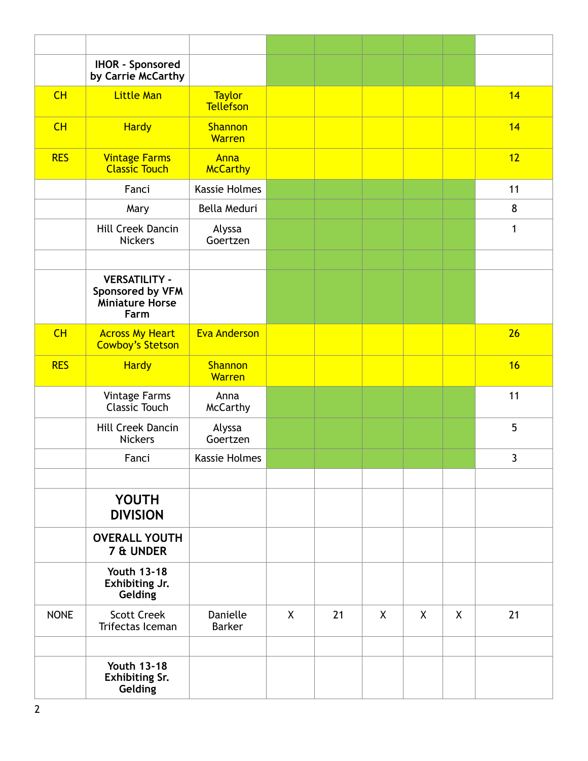|             | <b>IHOR - Sponsored</b><br>by Carrie McCarthy                       |                                   |              |    |              |              |         |              |
|-------------|---------------------------------------------------------------------|-----------------------------------|--------------|----|--------------|--------------|---------|--------------|
| CH          | <b>Little Man</b>                                                   | <b>Taylor</b><br><b>Tellefson</b> |              |    |              |              |         | 14           |
| CH          | <b>Hardy</b>                                                        | <b>Shannon</b><br><b>Warren</b>   |              |    |              |              |         | 14           |
| <b>RES</b>  | <b>Vintage Farms</b><br><b>Classic Touch</b>                        | Anna<br><b>McCarthy</b>           |              |    |              |              |         | 12           |
|             | Fanci                                                               | Kassie Holmes                     |              |    |              |              |         | 11           |
|             | Mary                                                                | Bella Meduri                      |              |    |              |              |         | 8            |
|             | Hill Creek Dancin<br><b>Nickers</b>                                 | Alyssa<br>Goertzen                |              |    |              |              |         | $\mathbf{1}$ |
|             |                                                                     |                                   |              |    |              |              |         |              |
|             | <b>VERSATILITY -</b><br>Sponsored by VFM<br>Miniature Horse<br>Farm |                                   |              |    |              |              |         |              |
| CH          | <b>Across My Heart</b><br><b>Cowboy's Stetson</b>                   | <b>Eva Anderson</b>               |              |    |              |              |         | 26           |
| <b>RES</b>  | <b>Hardy</b>                                                        | <b>Shannon</b><br>Warren          |              |    |              |              |         | 16           |
|             | Vintage Farms<br><b>Classic Touch</b>                               | Anna<br><b>McCarthy</b>           |              |    |              |              |         | 11           |
|             | Hill Creek Dancin<br><b>Nickers</b>                                 | Alyssa<br>Goertzen                |              |    |              |              |         | 5            |
|             | Fanci                                                               | <b>Kassie Holmes</b>              |              |    |              |              |         | 3            |
|             |                                                                     |                                   |              |    |              |              |         |              |
|             | <b>YOUTH</b><br><b>DIVISION</b>                                     |                                   |              |    |              |              |         |              |
|             | <b>OVERALL YOUTH</b><br>7 & UNDER                                   |                                   |              |    |              |              |         |              |
|             | <b>Youth 13-18</b><br>Exhibiting Jr.<br>Gelding                     |                                   |              |    |              |              |         |              |
| <b>NONE</b> | <b>Scott Creek</b><br>Trifectas Iceman                              | Danielle<br><b>Barker</b>         | $\mathsf{X}$ | 21 | $\mathsf{X}$ | $\mathsf{X}$ | $\sf X$ | 21           |
|             |                                                                     |                                   |              |    |              |              |         |              |
|             | <b>Youth 13-18</b><br><b>Exhibiting Sr.</b><br>Gelding              |                                   |              |    |              |              |         |              |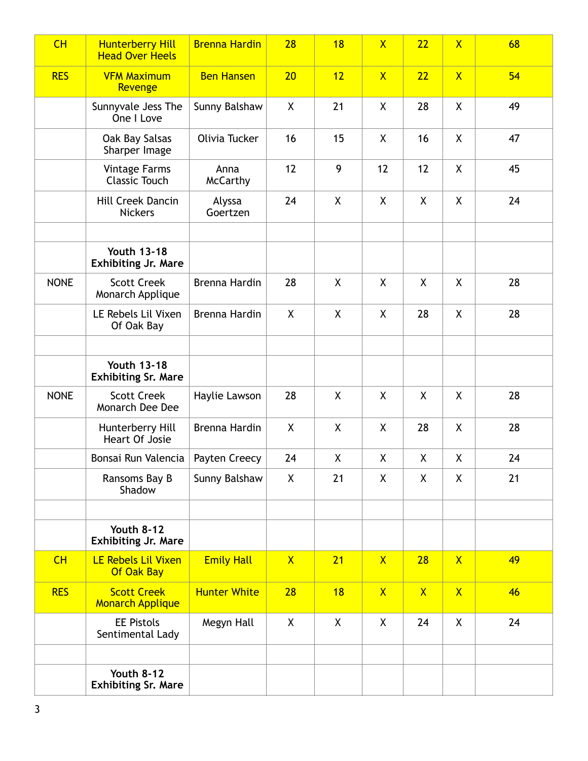| CH          | <b>Hunterberry Hill</b><br><b>Head Over Heels</b> | <b>Brenna Hardin</b>    | 28                 | 18           | $\overline{\mathsf{X}}$ | 22           | $\overline{X}$ | 68 |
|-------------|---------------------------------------------------|-------------------------|--------------------|--------------|-------------------------|--------------|----------------|----|
| <b>RES</b>  | <b>VFM Maximum</b><br>Revenge                     | <b>Ben Hansen</b>       | 20                 | 12           | $\mathsf{X}$            | 22           | $\mathsf{X}$   | 54 |
|             | Sunnyvale Jess The<br>One I Love                  | Sunny Balshaw           | X                  | 21           | X                       | 28           | X              | 49 |
|             | Oak Bay Salsas<br>Sharper Image                   | Olivia Tucker           | 16                 | 15           | X                       | 16           | X              | 47 |
|             | <b>Vintage Farms</b><br><b>Classic Touch</b>      | Anna<br><b>McCarthy</b> | 12                 | 9            | 12                      | 12           | X              | 45 |
|             | Hill Creek Dancin<br><b>Nickers</b>               | Alyssa<br>Goertzen      | 24                 | $\mathsf{X}$ | X                       | X            | X              | 24 |
|             | <b>Youth 13-18</b><br><b>Exhibiting Jr. Mare</b>  |                         |                    |              |                         |              |                |    |
| <b>NONE</b> | <b>Scott Creek</b><br>Monarch Applique            | Brenna Hardin           | 28                 | X            | X                       | X            | X              | 28 |
|             | LE Rebels Lil Vixen<br>Of Oak Bay                 | Brenna Hardin           | X                  | X            | X                       | 28           | X              | 28 |
|             |                                                   |                         |                    |              |                         |              |                |    |
|             | <b>Youth 13-18</b><br><b>Exhibiting Sr. Mare</b>  |                         |                    |              |                         |              |                |    |
| <b>NONE</b> | <b>Scott Creek</b><br>Monarch Dee Dee             | Haylie Lawson           | 28                 | X            | X                       | χ            | X              | 28 |
|             | Hunterberry Hill<br>Heart Of Josie                | Brenna Hardin           | $\pmb{\mathsf{X}}$ | $\pmb{\chi}$ | X                       | 28           | X              | 28 |
|             | Bonsai Run Valencia                               | Payten Creecy           | 24                 | χ            | X                       | χ            | X              | 24 |
|             | Ransoms Bay B<br>Shadow                           | Sunny Balshaw           | $\mathsf{X}$       | 21           | X                       | X            | X              | 21 |
|             |                                                   |                         |                    |              |                         |              |                |    |
|             | <b>Youth 8-12</b><br><b>Exhibiting Jr. Mare</b>   |                         |                    |              |                         |              |                |    |
| CH          | LE Rebels Lil Vixen<br>Of Oak Bay                 | <b>Emily Hall</b>       | $\mathsf{X}$       | 21           | $\mathsf{X}$            | 28           | $\mathsf{X}$   | 49 |
| <b>RES</b>  | <b>Scott Creek</b><br><b>Monarch Applique</b>     | <b>Hunter White</b>     | 28                 | 18           | $\mathsf{X}$            | $\mathsf{X}$ | $\mathsf{X}$   | 46 |
|             | <b>EE Pistols</b><br>Sentimental Lady             | Megyn Hall              | X                  | $\mathsf{X}$ | X                       | 24           | X              | 24 |
|             |                                                   |                         |                    |              |                         |              |                |    |
|             | <b>Youth 8-12</b><br><b>Exhibiting Sr. Mare</b>   |                         |                    |              |                         |              |                |    |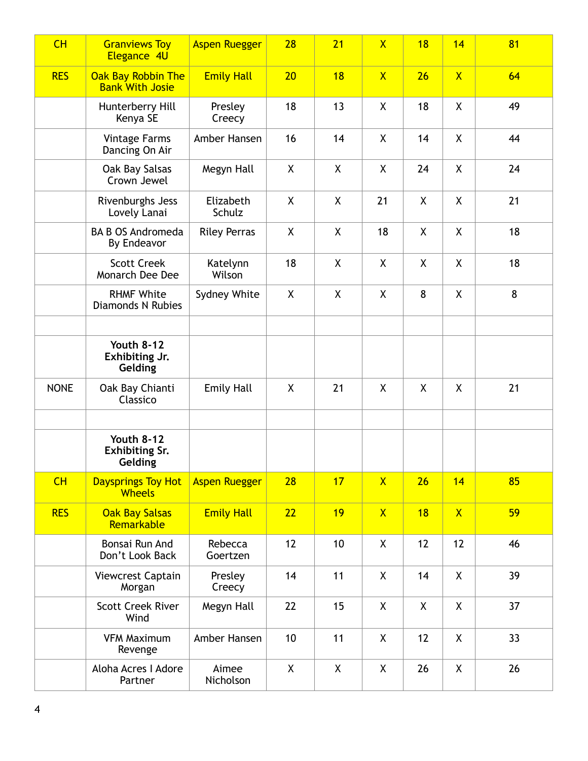| CH          | <b>Granviews Toy</b><br>Elegance 4U                   | <b>Aspen Ruegger</b> | 28 | 21           | $\overline{\mathsf{X}}$ | 18 | 14           | 81 |
|-------------|-------------------------------------------------------|----------------------|----|--------------|-------------------------|----|--------------|----|
| <b>RES</b>  | Oak Bay Robbin The<br><b>Bank With Josie</b>          | <b>Emily Hall</b>    | 20 | 18           | $\mathsf{X}$            | 26 | $\mathsf{X}$ | 64 |
|             | Hunterberry Hill<br>Kenya SE                          | Presley<br>Creecy    | 18 | 13           | X                       | 18 | X            | 49 |
|             | <b>Vintage Farms</b><br>Dancing On Air                | Amber Hansen         | 16 | 14           | X                       | 14 | X            | 44 |
|             | Oak Bay Salsas<br>Crown Jewel                         | Megyn Hall           | X  | X            | X                       | 24 | X            | 24 |
|             | Rivenburghs Jess<br>Lovely Lanai                      | Elizabeth<br>Schulz  | X  | X            | 21                      | X  | $\sf X$      | 21 |
|             | <b>BA B OS Andromeda</b><br>By Endeavor               | <b>Riley Perras</b>  | X  | X            | 18                      | X  | X            | 18 |
|             | <b>Scott Creek</b><br>Monarch Dee Dee                 | Katelynn<br>Wilson   | 18 | X            | X                       | X  | X            | 18 |
|             | <b>RHMF White</b><br><b>Diamonds N Rubies</b>         | Sydney White         | X  | $\sf X$      | X                       | 8  | X            | 8  |
|             | <b>Youth 8-12</b><br>Exhibiting Jr.<br>Gelding        |                      |    |              |                         |    |              |    |
| <b>NONE</b> | Oak Bay Chianti<br>Classico                           | <b>Emily Hall</b>    | X  | 21           | X                       | X  | X            | 21 |
|             | <b>Youth 8-12</b><br><b>Exhibiting Sr.</b><br>Gelding |                      |    |              |                         |    |              |    |
| CH          | <b>Daysprings Toy Hot</b><br>Wheels                   | <b>Aspen Ruegger</b> | 28 | 17           | $\mathsf{X}$            | 26 | 14           | 85 |
| <b>RES</b>  | <b>Oak Bay Salsas</b><br>Remarkable                   | <b>Emily Hall</b>    | 22 | 19           | $\mathsf{X}$            | 18 | $\mathsf{X}$ | 59 |
|             | Bonsai Run And<br>Don't Look Back                     | Rebecca<br>Goertzen  | 12 | 10           | $\pmb{\mathsf{X}}$      | 12 | 12           | 46 |
|             | Viewcrest Captain<br>Morgan                           | Presley<br>Creecy    | 14 | 11           | $\pmb{\mathsf{X}}$      | 14 | $\sf X$      | 39 |
|             | <b>Scott Creek River</b><br>Wind                      | Megyn Hall           | 22 | 15           | X                       | X  | X            | 37 |
|             | <b>VFM Maximum</b><br>Revenge                         | Amber Hansen         | 10 | 11           | $\pmb{\mathsf{X}}$      | 12 | χ            | 33 |
|             | Aloha Acres I Adore<br>Partner                        | Aimee<br>Nicholson   | X  | $\mathsf{X}$ | X                       | 26 | χ            | 26 |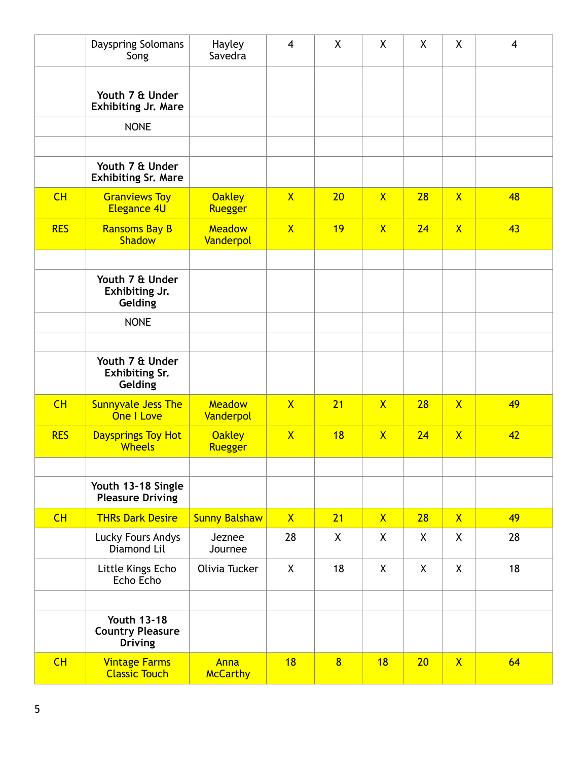|            | Dayspring Solomans<br>Song                                      | Hayley<br>Savedra              | $\overline{4}$          | X  | X            | X            | X              | $\overline{\mathbf{4}}$ |
|------------|-----------------------------------------------------------------|--------------------------------|-------------------------|----|--------------|--------------|----------------|-------------------------|
|            | Youth 7 & Under<br><b>Exhibiting Jr. Mare</b>                   |                                |                         |    |              |              |                |                         |
|            | <b>NONE</b>                                                     |                                |                         |    |              |              |                |                         |
|            |                                                                 |                                |                         |    |              |              |                |                         |
|            | Youth 7 & Under<br><b>Exhibiting Sr. Mare</b>                   |                                |                         |    |              |              |                |                         |
| CH         | <b>Granviews Toy</b><br><b>Elegance 4U</b>                      | <b>Oakley</b><br>Ruegger       | $\mathsf{X}$            | 20 | $\mathsf{X}$ | 28           | $\mathsf{X}$   | 48                      |
| <b>RES</b> | <b>Ransoms Bay B</b><br><b>Shadow</b>                           | <b>Meadow</b><br>Vanderpol     | $\mathsf{X}$            | 19 | $\mathsf{X}$ | 24           | $\overline{X}$ | 43                      |
|            |                                                                 |                                |                         |    |              |              |                |                         |
|            | Youth 7 & Under<br>Exhibiting Jr.<br>Gelding                    |                                |                         |    |              |              |                |                         |
|            | <b>NONE</b>                                                     |                                |                         |    |              |              |                |                         |
|            |                                                                 |                                |                         |    |              |              |                |                         |
|            | Youth 7 & Under<br><b>Exhibiting Sr.</b><br>Gelding             |                                |                         |    |              |              |                |                         |
| CH         | <b>Sunnyvale Jess The</b><br>One I Love                         | <b>Meadow</b><br>Vanderpol     | $\overline{\mathsf{X}}$ | 21 | $\mathsf{X}$ | 28           | $\mathsf{X}$   | 49                      |
| <b>RES</b> | Daysprings Toy Hot<br><b>Wheels</b>                             | <b>Oakley</b><br>Ruegger       | $\mathsf{X}$            | 18 | $\mathsf{X}$ | 24           | $\overline{X}$ | 42                      |
|            |                                                                 |                                |                         |    |              |              |                |                         |
|            | Youth 13-18 Single<br><b>Pleasure Driving</b>                   |                                |                         |    |              |              |                |                         |
| CH         | <b>THRs Dark Desire</b>                                         | <b>Sunny Balshaw</b>           | X                       | 21 | $\mathsf{X}$ | 28           | $\mathsf{X}$   | 49                      |
|            | Lucky Fours Andys<br>Diamond Lil                                | Jeznee<br>Journee              | 28                      | X  | X            | X            | X              | 28                      |
|            | Little Kings Echo<br>Echo Echo                                  | Olivia Tucker                  | $\mathsf{X}$            | 18 | X            | $\mathsf{X}$ | X              | 18                      |
|            |                                                                 |                                |                         |    |              |              |                |                         |
|            | <b>Youth 13-18</b><br><b>Country Pleasure</b><br><b>Driving</b> |                                |                         |    |              |              |                |                         |
| CH         | <b>Vintage Farms</b><br><b>Classic Touch</b>                    | <b>Anna</b><br><b>McCarthy</b> | 18                      | 8  | 18           | 20           | $\mathsf{X}$   | 64                      |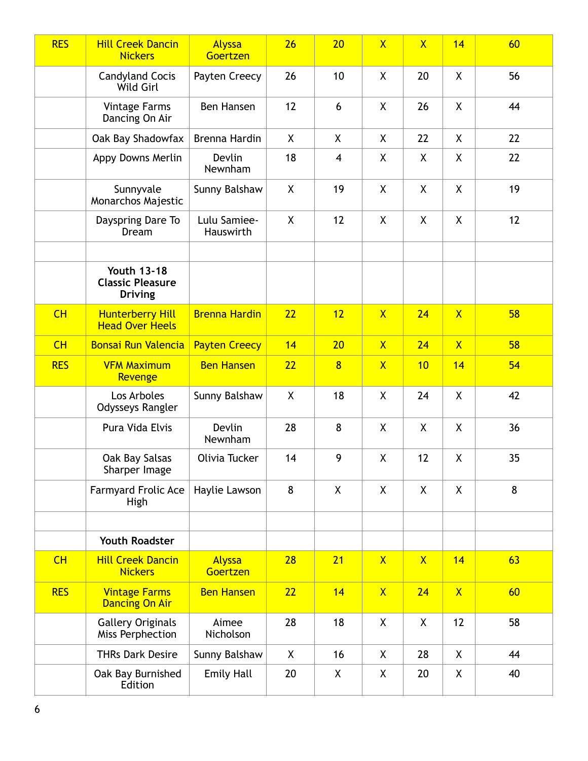| <b>RES</b> | <b>Hill Creek Dancin</b><br><b>Nickers</b>                      | Alyssa<br>Goertzen        | 26           | 20                      | $\overline{\mathsf{X}}$ | $\overline{X}$ | 14             | 60 |
|------------|-----------------------------------------------------------------|---------------------------|--------------|-------------------------|-------------------------|----------------|----------------|----|
|            | <b>Candyland Cocis</b><br>Wild Girl                             | Payten Creecy             | 26           | 10                      | X                       | 20             | X              | 56 |
|            | <b>Vintage Farms</b><br>Dancing On Air                          | Ben Hansen                | 12           | 6                       | X                       | 26             | $\mathsf{X}$   | 44 |
|            | Oak Bay Shadowfax                                               | Brenna Hardin             | X            | X                       | X                       | 22             | X              | 22 |
|            | Appy Downs Merlin                                               | Devlin<br>Newnham         | 18           | $\overline{\mathbf{4}}$ | X                       | X              | X              | 22 |
|            | Sunnyvale<br>Monarchos Majestic                                 | Sunny Balshaw             | X            | 19                      | $\pmb{\mathsf{X}}$      | X              | X              | 19 |
|            | Dayspring Dare To<br>Dream                                      | Lulu Samiee-<br>Hauswirth | X            | 12                      | X                       | X              | X              | 12 |
|            |                                                                 |                           |              |                         |                         |                |                |    |
|            | <b>Youth 13-18</b><br><b>Classic Pleasure</b><br><b>Driving</b> |                           |              |                         |                         |                |                |    |
| CH         | <b>Hunterberry Hill</b><br><b>Head Over Heels</b>               | <b>Brenna Hardin</b>      | 22           | 12                      | $\overline{X}$          | 24             | $\overline{X}$ | 58 |
| CH         | <b>Bonsai Run Valencia</b>                                      | <b>Payten Creecy</b>      | 14           | 20                      | $\mathsf{X}$            | 24             | $\overline{X}$ | 58 |
| <b>RES</b> | <b>VFM Maximum</b><br>Revenge                                   | <b>Ben Hansen</b>         | 22           | $\overline{8}$          | $\mathsf{X}$            | 10             | 14             | 54 |
|            | Los Arboles<br>Odysseys Rangler                                 | Sunny Balshaw             | $\mathsf{X}$ | 18                      | X                       | 24             | X              | 42 |
|            | Pura Vida Elvis                                                 | Devlin<br>Newnham         | 28           | 8                       | X                       | X              | X              | 36 |
|            | Oak Bay Salsas<br>Sharper Image                                 | Olivia Tucker             | 14           | 9                       | X                       | 12             | χ              | 35 |
|            | <b>Farmyard Frolic Ace</b><br>High                              | Haylie Lawson             | 8            | X                       | X                       | X              | X              | 8  |
|            |                                                                 |                           |              |                         |                         |                |                |    |
|            | <b>Youth Roadster</b>                                           |                           |              |                         |                         |                |                |    |
| CH         | <b>Hill Creek Dancin</b><br><b>Nickers</b>                      | Alyssa<br>Goertzen        | 28           | 21                      | $\mathsf{X}$            | $\mathsf{X}$   | 14             | 63 |
| <b>RES</b> | <b>Vintage Farms</b><br><b>Dancing On Air</b>                   | <b>Ben Hansen</b>         | 22           | 14                      | $\overline{\mathsf{X}}$ | 24             | $\overline{X}$ | 60 |
|            | <b>Gallery Originals</b><br>Miss Perphection                    | Aimee<br>Nicholson        | 28           | 18                      | X                       | X              | 12             | 58 |
|            | <b>THRs Dark Desire</b>                                         | Sunny Balshaw             | $\mathsf{X}$ | 16                      | X                       | 28             | $\mathsf{X}$   | 44 |
|            | Oak Bay Burnished<br>Edition                                    | <b>Emily Hall</b>         | 20           | X                       | X                       | 20             | X              | 40 |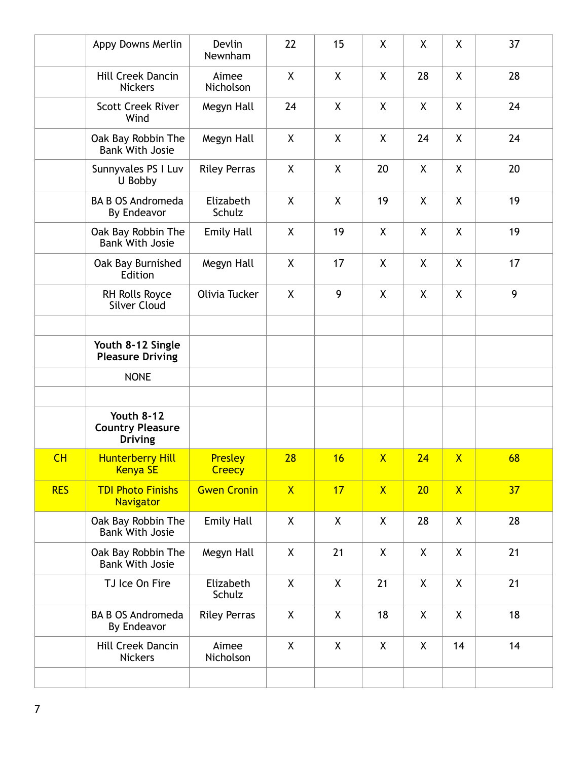|            | Appy Downs Merlin                                              | Devlin<br>Newnham        | 22           | 15           | X            | X  | X                       | 37 |
|------------|----------------------------------------------------------------|--------------------------|--------------|--------------|--------------|----|-------------------------|----|
|            | Hill Creek Dancin<br><b>Nickers</b>                            | Aimee<br>Nicholson       | X            | X            | X            | 28 | X                       | 28 |
|            | <b>Scott Creek River</b><br>Wind                               | Megyn Hall               | 24           | X            | X            | X  | X                       | 24 |
|            | Oak Bay Robbin The<br><b>Bank With Josie</b>                   | Megyn Hall               | X            | X            | X            | 24 | X                       | 24 |
|            | Sunnyvales PS I Luv<br>U Bobby                                 | <b>Riley Perras</b>      | X            | X            | 20           | X  | X                       | 20 |
|            | <b>BA B OS Andromeda</b><br>By Endeavor                        | Elizabeth<br>Schulz      | X            | X            | 19           | X  | X                       | 19 |
|            | Oak Bay Robbin The<br><b>Bank With Josie</b>                   | <b>Emily Hall</b>        | X            | 19           | X            | X  | X                       | 19 |
|            | Oak Bay Burnished<br>Edition                                   | Megyn Hall               | X            | 17           | X            | X  | X                       | 17 |
|            | RH Rolls Royce<br><b>Silver Cloud</b>                          | Olivia Tucker            | X            | 9            | X            | X  | X                       | 9  |
|            |                                                                |                          |              |              |              |    |                         |    |
|            | Youth 8-12 Single<br><b>Pleasure Driving</b>                   |                          |              |              |              |    |                         |    |
|            | <b>NONE</b>                                                    |                          |              |              |              |    |                         |    |
|            |                                                                |                          |              |              |              |    |                         |    |
|            | <b>Youth 8-12</b><br><b>Country Pleasure</b><br><b>Driving</b> |                          |              |              |              |    |                         |    |
| CH         | <b>Hunterberry Hill</b><br><b>Kenya SE</b>                     | Presley<br><b>Creecy</b> | 28           | 16           | $\mathsf{X}$ | 24 | $\overline{\mathsf{X}}$ | 68 |
| <b>RES</b> | <b>TDI Photo Finishs</b><br><b>Navigator</b>                   | <b>Gwen Cronin</b>       | $\mathsf{X}$ | 17           | $\mathsf{X}$ | 20 | $\overline{X}$          | 37 |
|            | Oak Bay Robbin The<br><b>Bank With Josie</b>                   | <b>Emily Hall</b>        | X            | $\mathsf{X}$ | X            | 28 | X                       | 28 |
|            | Oak Bay Robbin The<br><b>Bank With Josie</b>                   | Megyn Hall               | X            | 21           | X            | X  | X                       | 21 |
|            | TJ Ice On Fire                                                 | Elizabeth<br>Schulz      | X            | X            | 21           | X  | X                       | 21 |
|            | <b>BA B OS Andromeda</b><br>By Endeavor                        | <b>Riley Perras</b>      | X            | X            | 18           | X  | X                       | 18 |
|            | Hill Creek Dancin<br><b>Nickers</b>                            | Aimee<br>Nicholson       | X            | X            | X            | X  | 14                      | 14 |
|            |                                                                |                          |              |              |              |    |                         |    |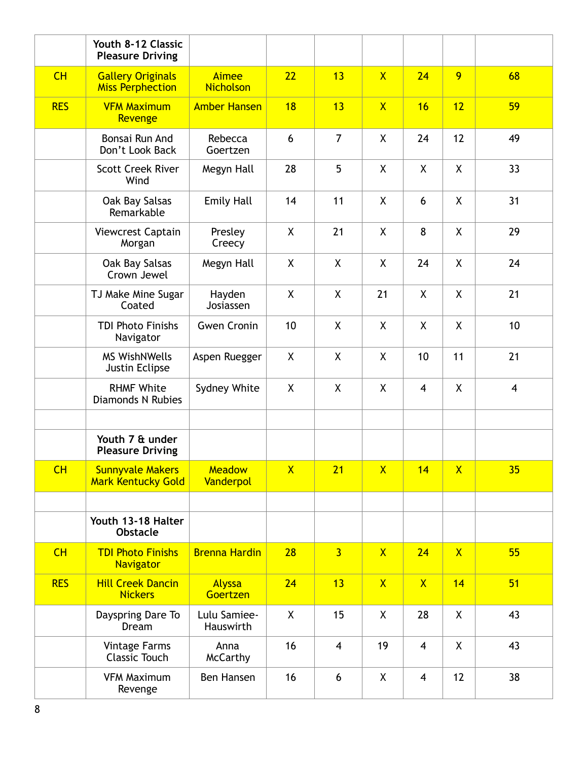|            | Youth 8-12 Classic<br><b>Pleasure Driving</b>        |                                  |                         |                |                         |                |                |                         |
|------------|------------------------------------------------------|----------------------------------|-------------------------|----------------|-------------------------|----------------|----------------|-------------------------|
| CH         | <b>Gallery Originals</b><br><b>Miss Perphection</b>  | <b>Aimee</b><br><b>Nicholson</b> | 22                      | 13             | $\mathsf{X}$            | 24             | 9              | 68                      |
| <b>RES</b> | <b>VFM Maximum</b><br>Revenge                        | <b>Amber Hansen</b>              | 18                      | 13             | $\overline{X}$          | 16             | 12             | 59                      |
|            | Bonsai Run And<br>Don't Look Back                    | Rebecca<br>Goertzen              | 6                       | $\overline{7}$ | X                       | 24             | 12             | 49                      |
|            | <b>Scott Creek River</b><br>Wind                     | Megyn Hall                       | 28                      | 5              | X                       | $\mathsf{X}$   | $\mathsf{X}$   | 33                      |
|            | Oak Bay Salsas<br>Remarkable                         | <b>Emily Hall</b>                | 14                      | 11             | X                       | 6              | X              | 31                      |
|            | Viewcrest Captain<br>Morgan                          | Presley<br>Creecy                | X                       | 21             | X                       | 8              | X              | 29                      |
|            | Oak Bay Salsas<br>Crown Jewel                        | Megyn Hall                       | X                       | X              | X                       | 24             | X              | 24                      |
|            | TJ Make Mine Sugar<br>Coated                         | Hayden<br>Josiassen              | X                       | $\sf X$        | 21                      | X              | $\mathsf{X}$   | 21                      |
|            | <b>TDI Photo Finishs</b><br>Navigator                | <b>Gwen Cronin</b>               | 10                      | X              | X                       | X              | $\mathsf{X}$   | 10                      |
|            | <b>MS WishNWells</b><br>Justin Eclipse               | Aspen Ruegger                    | X                       | X              | X                       | 10             | 11             | 21                      |
|            | <b>RHMF White</b><br><b>Diamonds N Rubies</b>        | Sydney White                     | X                       | X              | X                       | 4              | X              | $\overline{\mathbf{4}}$ |
|            | Youth 7 & under<br><b>Pleasure Driving</b>           |                                  |                         |                |                         |                |                |                         |
| CH         | <b>Sunnyvale Makers</b><br><b>Mark Kentucky Gold</b> | <b>Meadow</b><br>Vanderpol       | $\overline{\mathsf{X}}$ | 21             | $\overline{\mathsf{X}}$ | 14             | $\overline{X}$ | 35                      |
|            |                                                      |                                  |                         |                |                         |                |                |                         |
|            | Youth 13-18 Halter<br><b>Obstacle</b>                |                                  |                         |                |                         |                |                |                         |
| CH         | <b>TDI Photo Finishs</b><br>Navigator                | <b>Brenna Hardin</b>             | 28                      | $\overline{3}$ | $\mathsf{X}$            | 24             | $\mathsf{X}$   | 55                      |
| <b>RES</b> | <b>Hill Creek Dancin</b><br><b>Nickers</b>           | Alyssa<br>Goertzen               | 24                      | 13             | $\mathsf{X}$            | $\mathsf{X}$   | 14             | 51                      |
|            | Dayspring Dare To<br>Dream                           | Lulu Samiee-<br>Hauswirth        | X                       | 15             | $\pmb{\mathsf{X}}$      | 28             | X              | 43                      |
|            | <b>Vintage Farms</b><br><b>Classic Touch</b>         | Anna<br><b>McCarthy</b>          | 16                      | 4              | 19                      | $\overline{4}$ | X              | 43                      |
|            | <b>VFM Maximum</b><br>Revenge                        | Ben Hansen                       | 16                      | 6              | X                       | $\overline{4}$ | 12             | 38                      |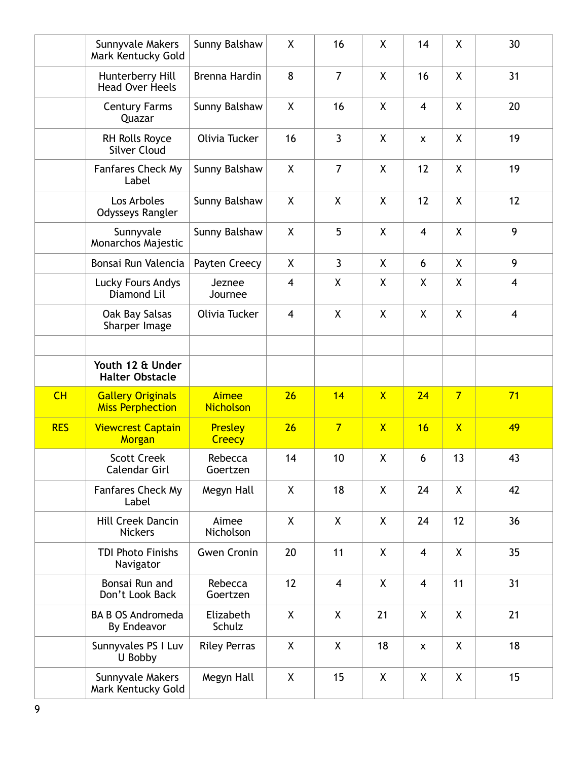|            | Sunnyvale Makers<br>Mark Kentucky Gold              | Sunny Balshaw             | X              | 16                      | X                       | 14                      | χ                       | 30             |
|------------|-----------------------------------------------------|---------------------------|----------------|-------------------------|-------------------------|-------------------------|-------------------------|----------------|
|            | Hunterberry Hill<br><b>Head Over Heels</b>          | Brenna Hardin             | 8              | $\overline{7}$          | X                       | 16                      | X                       | 31             |
|            | <b>Century Farms</b><br>Quazar                      | Sunny Balshaw             | $\mathsf{X}$   | 16                      | X                       | $\overline{4}$          | $\mathsf{X}$            | 20             |
|            | RH Rolls Royce<br><b>Silver Cloud</b>               | Olivia Tucker             | 16             | $\overline{3}$          | X                       | $\pmb{\mathsf{X}}$      | X                       | 19             |
|            | Fanfares Check My<br>Label                          | Sunny Balshaw             | X              | $\overline{7}$          | X                       | 12                      | X                       | 19             |
|            | Los Arboles<br>Odysseys Rangler                     | Sunny Balshaw             | X              | X                       | X                       | 12                      | X                       | 12             |
|            | Sunnyvale<br>Monarchos Majestic                     | Sunny Balshaw             | X              | 5                       | X                       | $\overline{\mathbf{4}}$ | X                       | 9              |
|            | Bonsai Run Valencia                                 | Payten Creecy             | X              | $\mathbf{3}$            | X                       | 6                       | $\mathsf{X}$            | 9              |
|            | Lucky Fours Andys<br>Diamond Lil                    | Jeznee<br>Journee         | $\overline{4}$ | X                       | X                       | X                       | $\mathsf{X}$            | $\overline{4}$ |
|            | Oak Bay Salsas<br>Sharper Image                     | Olivia Tucker             | $\overline{4}$ | X                       | X                       | X                       | $\mathsf{X}$            | $\overline{4}$ |
|            |                                                     |                           |                |                         |                         |                         |                         |                |
|            | Youth 12 & Under<br><b>Halter Obstacle</b>          |                           |                |                         |                         |                         |                         |                |
| CH         | <b>Gallery Originals</b><br><b>Miss Perphection</b> | Aimee<br><b>Nicholson</b> | 26             | 14                      | $\overline{\mathsf{X}}$ | 24                      | $\overline{7}$          | 71             |
| <b>RES</b> | <b>Viewcrest Captain</b><br>Morgan                  | Presley<br>Creecy         | 26             | $\overline{7}$          | $\overline{\mathsf{X}}$ | 16                      | $\overline{\mathsf{X}}$ | 49             |
|            | <b>Scott Creek</b><br>Calendar Girl                 | Rebecca<br>Goertzen       | 14             | 10                      | X                       | 6                       | 13                      | 43             |
|            | Fanfares Check My<br>Label                          | Megyn Hall                | X              | 18                      | X                       | 24                      | X                       | 42             |
|            | Hill Creek Dancin<br><b>Nickers</b>                 | Aimee<br>Nicholson        | X              | X                       | X                       | 24                      | 12                      | 36             |
|            | <b>TDI Photo Finishs</b><br>Navigator               | <b>Gwen Cronin</b>        | 20             | 11                      | X                       | $\overline{4}$          | X                       | 35             |
|            | Bonsai Run and<br>Don't Look Back                   | Rebecca<br>Goertzen       | 12             | $\overline{\mathbf{4}}$ | X                       | $\overline{\mathbf{4}}$ | 11                      | 31             |
|            | <b>BA B OS Andromeda</b><br>By Endeavor             | Elizabeth<br>Schulz       | X              | X                       | 21                      | X                       | X                       | 21             |
|            | Sunnyvales PS I Luv<br>U Bobby                      | <b>Riley Perras</b>       | X              | X                       | 18                      | $\pmb{\mathsf{X}}$      | X                       | 18             |
|            | Sunnyvale Makers<br>Mark Kentucky Gold              | Megyn Hall                | $\mathsf{X}$   | 15                      | X                       | X                       | X                       | 15             |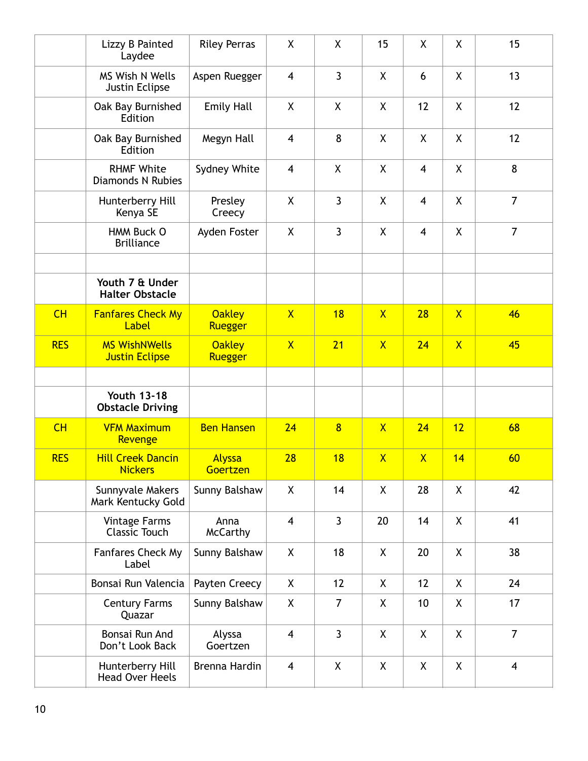|            | Lizzy B Painted<br>Laydee                     | <b>Riley Perras</b>      | X                       | X              | 15             | X                       | χ              | 15                      |
|------------|-----------------------------------------------|--------------------------|-------------------------|----------------|----------------|-------------------------|----------------|-------------------------|
|            | <b>MS Wish N Wells</b><br>Justin Eclipse      | Aspen Ruegger            | $\overline{\mathbf{4}}$ | $\mathbf{3}$   | X              | 6                       | X.             | 13                      |
|            | Oak Bay Burnished<br>Edition                  | <b>Emily Hall</b>        | X                       | X              | X              | 12                      | X              | 12                      |
|            | Oak Bay Burnished<br>Edition                  | Megyn Hall               | $\overline{4}$          | 8              | X              | X                       | X              | 12                      |
|            | <b>RHMF White</b><br><b>Diamonds N Rubies</b> | Sydney White             | $\overline{\mathbf{4}}$ | X              | X              | $\overline{\mathbf{4}}$ | X              | 8                       |
|            | Hunterberry Hill<br>Kenya SE                  | Presley<br>Creecy        | X                       | $\overline{3}$ | X              | $\overline{4}$          | X              | $\overline{7}$          |
|            | HMM Buck O<br><b>Brilliance</b>               | Ayden Foster             | X                       | $\overline{3}$ | X              | 4                       | X.             | $\overline{7}$          |
|            |                                               |                          |                         |                |                |                         |                |                         |
|            | Youth 7 & Under<br><b>Halter Obstacle</b>     |                          |                         |                |                |                         |                |                         |
| CH         | <b>Fanfares Check My</b><br>Label             | <b>Oakley</b><br>Ruegger | $\overline{X}$          | 18             | $\mathsf{X}$   | 28                      | $\overline{X}$ | 46                      |
| <b>RES</b> | <b>MS WishNWells</b><br><b>Justin Eclipse</b> | <b>Oakley</b><br>Ruegger | $\mathsf{X}$            | 21             | $\mathsf{X}$   | 24                      | $\mathsf{X}$   | 45                      |
|            |                                               |                          |                         |                |                |                         |                |                         |
|            | <b>Youth 13-18</b><br><b>Obstacle Driving</b> |                          |                         |                |                |                         |                |                         |
| CH         | <b>VFM Maximum</b><br>Revenge                 | <b>Ben Hansen</b>        | 24                      | $\overline{8}$ | $\mathsf{X}$   | 24                      | 12             | 68                      |
| <b>RES</b> | <b>Hill Creek Dancin</b><br><b>Nickers</b>    | Alyssa<br>Goertzen       | 28                      | 18             | $\overline{X}$ | $\mathsf{X}$            | 14             | 60                      |
|            | Sunnyvale Makers<br>Mark Kentucky Gold        | Sunny Balshaw            | X                       | 14             | X              | 28                      | X              | 42                      |
|            | <b>Vintage Farms</b><br><b>Classic Touch</b>  | Anna<br><b>McCarthy</b>  | $\overline{4}$          | $\mathbf{3}$   | 20             | 14                      | X              | 41                      |
|            | Fanfares Check My<br>Label                    | Sunny Balshaw            | X                       | 18             | X              | 20                      | X              | 38                      |
|            | Bonsai Run Valencia                           | Payten Creecy            | X                       | 12             | X              | 12                      | X              | 24                      |
|            | <b>Century Farms</b><br>Quazar                | Sunny Balshaw            | X                       | $\overline{7}$ | X              | 10                      | X.             | 17                      |
|            | Bonsai Run And<br>Don't Look Back             | Alyssa<br>Goertzen       | $\overline{4}$          | $\overline{3}$ | X              | X                       | X.             | $\overline{7}$          |
|            | Hunterberry Hill<br><b>Head Over Heels</b>    | Brenna Hardin            | $\overline{4}$          | X              | X              | X                       | X              | $\overline{\mathbf{4}}$ |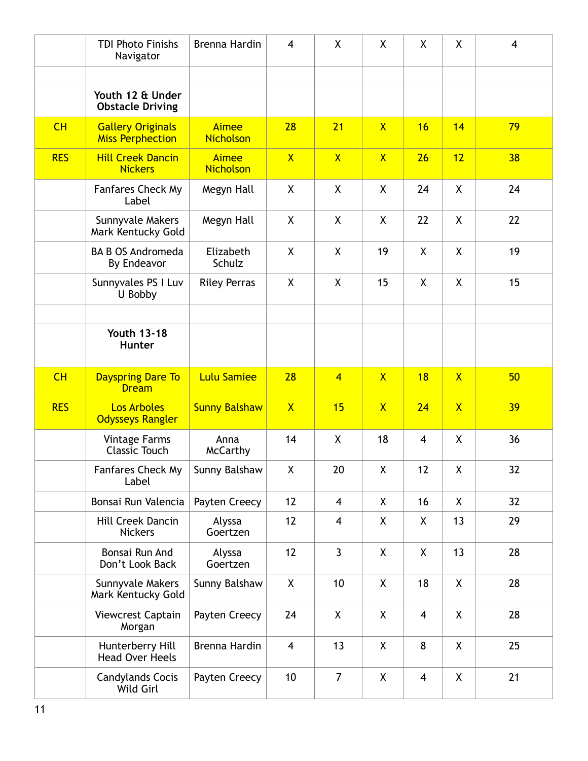|            | <b>TDI Photo Finishs</b><br>Navigator               | Brenna Hardin                    | $\overline{4}$          | X                       | X                       | X                       | X                       | 4  |
|------------|-----------------------------------------------------|----------------------------------|-------------------------|-------------------------|-------------------------|-------------------------|-------------------------|----|
|            |                                                     |                                  |                         |                         |                         |                         |                         |    |
|            | Youth 12 & Under<br><b>Obstacle Driving</b>         |                                  |                         |                         |                         |                         |                         |    |
| CH         | <b>Gallery Originals</b><br><b>Miss Perphection</b> | Aimee<br><b>Nicholson</b>        | 28                      | 21                      | $\overline{X}$          | 16                      | 14                      | 79 |
| <b>RES</b> | <b>Hill Creek Dancin</b><br><b>Nickers</b>          | <b>Aimee</b><br><b>Nicholson</b> | $\mathsf{X}$            | $\overline{X}$          | $\mathsf{X}$            | 26                      | 12                      | 38 |
|            | Fanfares Check My<br>Label                          | Megyn Hall                       | X                       | $\mathsf{X}$            | X                       | 24                      | X                       | 24 |
|            | Sunnyvale Makers<br>Mark Kentucky Gold              | Megyn Hall                       | X                       | X                       | X                       | 22                      | X                       | 22 |
|            | <b>BA B OS Andromeda</b><br>By Endeavor             | Elizabeth<br>Schulz              | X                       | X                       | 19                      | X                       | X                       | 19 |
|            | Sunnyvales PS I Luv<br>U Bobby                      | <b>Riley Perras</b>              | X                       | X                       | 15                      | X                       | $\mathsf{X}$            | 15 |
|            | <b>Youth 13-18</b><br>Hunter                        |                                  |                         |                         |                         |                         |                         |    |
| CH         | <b>Dayspring Dare To</b><br><b>Dream</b>            | <b>Lulu Samiee</b>               | 28                      | $\overline{4}$          | $\mathsf{X}$            | 18                      | $\mathsf{X}$            | 50 |
| <b>RES</b> | <b>Los Arboles</b><br><b>Odysseys Rangler</b>       | <b>Sunny Balshaw</b>             | $\overline{\mathsf{X}}$ | 15                      | $\overline{\mathsf{X}}$ | 24                      | $\overline{\mathsf{X}}$ | 39 |
|            | <b>Vintage Farms</b><br><b>Classic Touch</b>        | Anna<br><b>McCarthy</b>          | 14                      | X                       | 18                      | $\overline{\mathbf{4}}$ | X                       | 36 |
|            | Fanfares Check My<br>Label                          | Sunny Balshaw                    | X                       | 20                      | $\pmb{\mathsf{X}}$      | 12                      | X                       | 32 |
|            | Bonsai Run Valencia                                 | Payten Creecy                    | 12                      | $\overline{4}$          | X                       | 16                      | X                       | 32 |
|            | <b>Hill Creek Dancin</b><br><b>Nickers</b>          | Alyssa<br>Goertzen               | 12                      | $\overline{\mathbf{4}}$ | X                       | X                       | 13                      | 29 |
|            | Bonsai Run And<br>Don't Look Back                   | Alyssa<br>Goertzen               | 12                      | $\mathbf{3}$            | X                       | X                       | 13                      | 28 |
|            | Sunnyvale Makers<br>Mark Kentucky Gold              | Sunny Balshaw                    | X                       | 10                      | X                       | 18                      | X                       | 28 |
|            | Viewcrest Captain<br>Morgan                         | Payten Creecy                    | 24                      | X                       | X                       | $\overline{\mathbf{4}}$ | X                       | 28 |
|            | Hunterberry Hill<br><b>Head Over Heels</b>          | Brenna Hardin                    | $\overline{4}$          | 13                      | X                       | 8                       | X                       | 25 |
|            | <b>Candylands Cocis</b><br>Wild Girl                | Payten Creecy                    | 10                      | $\overline{7}$          | X                       | $\overline{\mathbf{4}}$ | X                       | 21 |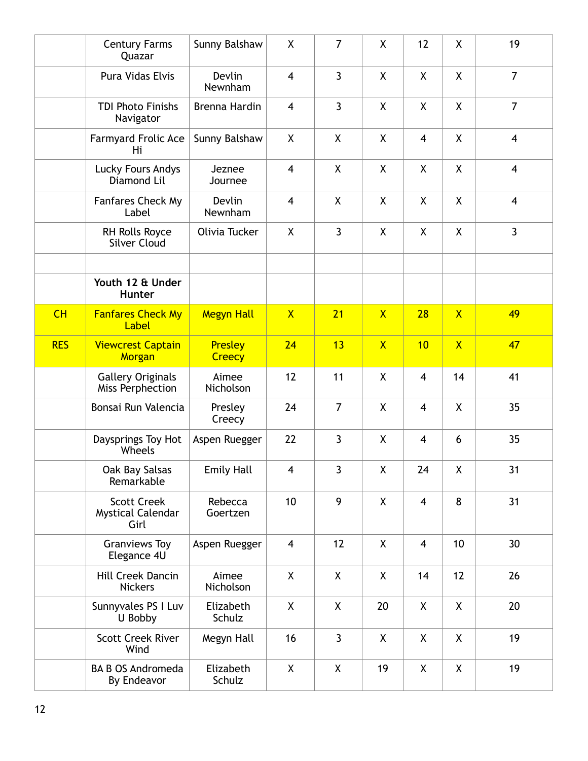|            | <b>Century Farms</b><br>Quazar                         | Sunny Balshaw            | X                       | $\overline{7}$     | X                       | 12                      | X                       | 19                      |
|------------|--------------------------------------------------------|--------------------------|-------------------------|--------------------|-------------------------|-------------------------|-------------------------|-------------------------|
|            | Pura Vidas Elvis                                       | Devlin<br>Newnham        | $\overline{4}$          | $\overline{3}$     | X                       | X                       | $\mathsf{X}$            | $\overline{7}$          |
|            | <b>TDI Photo Finishs</b><br>Navigator                  | Brenna Hardin            | $\overline{4}$          | $\overline{3}$     | X                       | X                       | X                       | $\overline{7}$          |
|            | Farmyard Frolic Ace<br>Hi                              | Sunny Balshaw            | X                       | $\pmb{\mathsf{X}}$ | χ                       | 4                       | X                       | $\overline{\mathbf{4}}$ |
|            | <b>Lucky Fours Andys</b><br>Diamond Lil                | Jeznee<br>Journee        | $\overline{4}$          | X                  | X                       | X                       | $\mathsf{X}$            | $\overline{4}$          |
|            | <b>Fanfares Check My</b><br>Label                      | Devlin<br>Newnham        | $\overline{4}$          | X                  | X                       | X                       | X                       | $\overline{4}$          |
|            | RH Rolls Royce<br><b>Silver Cloud</b>                  | Olivia Tucker            | X                       | $\overline{3}$     | X                       | X                       | X                       | $\overline{3}$          |
|            | Youth 12 & Under<br>Hunter                             |                          |                         |                    |                         |                         |                         |                         |
| CH         | <b>Fanfares Check My</b><br>Label                      | <b>Megyn Hall</b>        | $\overline{X}$          | 21                 | $\overline{\mathsf{X}}$ | 28                      | $\overline{X}$          | 49                      |
| <b>RES</b> | <b>Viewcrest Captain</b><br>Morgan                     | Presley<br><b>Creecy</b> | 24                      | 13                 | $\overline{X}$          | 10                      | $\overline{\mathsf{X}}$ | 47                      |
|            | <b>Gallery Originals</b><br>Miss Perphection           | Aimee<br>Nicholson       | 12                      | 11                 | X                       | $\overline{4}$          | 14                      | 41                      |
|            | Bonsai Run Valencia                                    | Presley<br>Creecy        | 24                      | $\overline{7}$     | X                       | $\overline{4}$          | $\mathsf{X}$            | 35                      |
|            | Daysprings Toy Hot<br>Wheels                           | Aspen Ruegger            | 22                      | $\overline{3}$     | X                       | 4                       | 6                       | 35                      |
|            | Oak Bay Salsas<br>Remarkable                           | <b>Emily Hall</b>        | $\overline{\mathbf{4}}$ | 3                  | Χ                       | 24                      | χ                       | 31                      |
|            | <b>Scott Creek</b><br><b>Mystical Calendar</b><br>Girl | Rebecca<br>Goertzen      | 10                      | 9                  | X                       | $\overline{4}$          | 8                       | 31                      |
|            | <b>Granviews Toy</b><br>Elegance 4U                    | Aspen Ruegger            | $\overline{4}$          | 12                 | X                       | $\overline{\mathbf{4}}$ | 10                      | 30                      |
|            | Hill Creek Dancin<br><b>Nickers</b>                    | Aimee<br>Nicholson       | X                       | X                  | X                       | 14                      | 12                      | 26                      |
|            | Sunnyvales PS I Luv<br>U Bobby                         | Elizabeth<br>Schulz      | X                       | X                  | 20                      | X                       | X                       | 20                      |
|            | <b>Scott Creek River</b><br>Wind                       | Megyn Hall               | 16                      | $\mathbf{3}$       | X                       | X                       | X                       | 19                      |
|            | <b>BA B OS Andromeda</b><br>By Endeavor                | Elizabeth<br>Schulz      | X                       | X                  | 19                      | X                       | X                       | 19                      |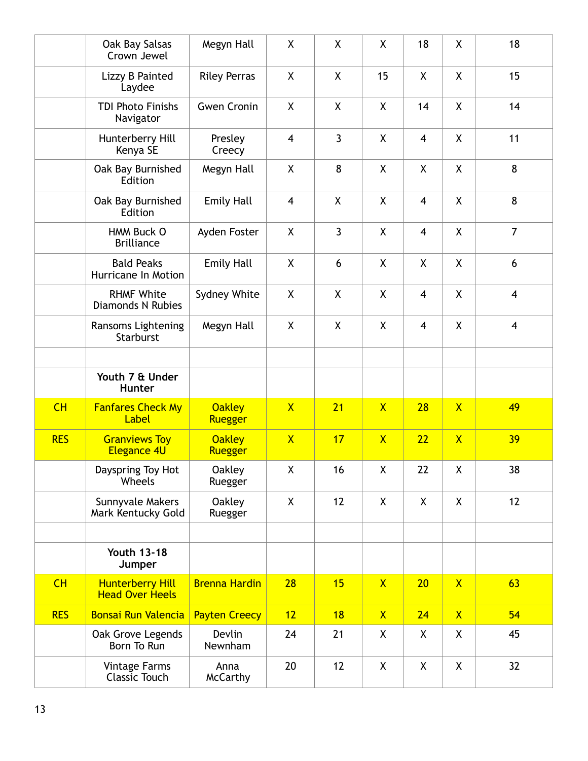|            | Oak Bay Salsas<br>Crown Jewel                     | Megyn Hall               | X                       | X                  | X                  | 18             | X              | 18                      |
|------------|---------------------------------------------------|--------------------------|-------------------------|--------------------|--------------------|----------------|----------------|-------------------------|
|            | Lizzy B Painted<br>Laydee                         | <b>Riley Perras</b>      | X                       | X                  | 15                 | $\mathsf{X}$   | X.             | 15                      |
|            | <b>TDI Photo Finishs</b><br>Navigator             | <b>Gwen Cronin</b>       | X                       | $\pmb{\mathsf{X}}$ | $\pmb{\mathsf{X}}$ | 14             | X              | 14                      |
|            | Hunterberry Hill<br>Kenya SE                      | Presley<br>Creecy        | $\overline{\mathbf{4}}$ | $\overline{3}$     | X                  | $\overline{4}$ | X              | 11                      |
|            | Oak Bay Burnished<br>Edition                      | Megyn Hall               | X                       | 8                  | X                  | $\mathsf{X}$   | X              | 8                       |
|            | Oak Bay Burnished<br>Edition                      | <b>Emily Hall</b>        | $\overline{4}$          | X                  | X                  | $\overline{4}$ | X.             | 8                       |
|            | HMM Buck O<br><b>Brilliance</b>                   | Ayden Foster             | X                       | $\overline{3}$     | X                  | 4              | X.             | $\overline{7}$          |
|            | <b>Bald Peaks</b><br>Hurricane In Motion          | <b>Emily Hall</b>        | X                       | 6                  | X                  | $\mathsf{X}$   | X              | 6                       |
|            | <b>RHMF White</b><br><b>Diamonds N Rubies</b>     | Sydney White             | X                       | X                  | X                  | $\overline{4}$ | X              | $\overline{\mathbf{4}}$ |
|            | Ransoms Lightening<br>Starburst                   | Megyn Hall               | X                       | X                  | X                  | 4              | X              | $\overline{\mathbf{4}}$ |
|            |                                                   |                          |                         |                    |                    |                |                |                         |
|            | Youth 7 & Under<br><b>Hunter</b>                  |                          |                         |                    |                    |                |                |                         |
| CH         | <b>Fanfares Check My</b><br>Label                 | <b>Oakley</b><br>Ruegger | $\overline{X}$          | 21                 | $\overline{X}$     | 28             | $\overline{X}$ | 49                      |
| <b>RES</b> | <b>Granviews Toy</b><br><b>Elegance 4U</b>        | <b>Oakley</b><br>Ruegger | $\mathsf{X}$            | 17                 | $\mathsf{X}$       | 22             | $\mathsf{X}$   | 39                      |
|            | Dayspring Toy Hot<br>Wheels                       | <b>Oakley</b><br>Ruegger | X                       | 16                 | X                  | 22             | χ              | 38                      |
|            | Sunnyvale Makers<br>Mark Kentucky Gold            | <b>Oakley</b><br>Ruegger | X                       | 12                 | X                  | X              | X              | 12                      |
|            |                                                   |                          |                         |                    |                    |                |                |                         |
|            | <b>Youth 13-18</b><br>Jumper                      |                          |                         |                    |                    |                |                |                         |
| CH         | <b>Hunterberry Hill</b><br><b>Head Over Heels</b> | <b>Brenna Hardin</b>     | 28                      | <b>15</b>          | $\mathsf{X}$       | 20             | $\mathsf{X}$   | 63                      |
| <b>RES</b> | <b>Bonsai Run Valencia</b>                        | <b>Payten Creecy</b>     | 12                      | 18                 | $\mathsf{X}$       | 24             | $\mathsf{X}$   | 54                      |
|            | Oak Grove Legends<br>Born To Run                  | Devlin<br>Newnham        | 24                      | 21                 | X                  | X              | X              | 45                      |
|            | <b>Vintage Farms</b><br><b>Classic Touch</b>      | Anna<br><b>McCarthy</b>  | 20                      | 12                 | X                  | $\mathsf{X}$   | χ              | 32                      |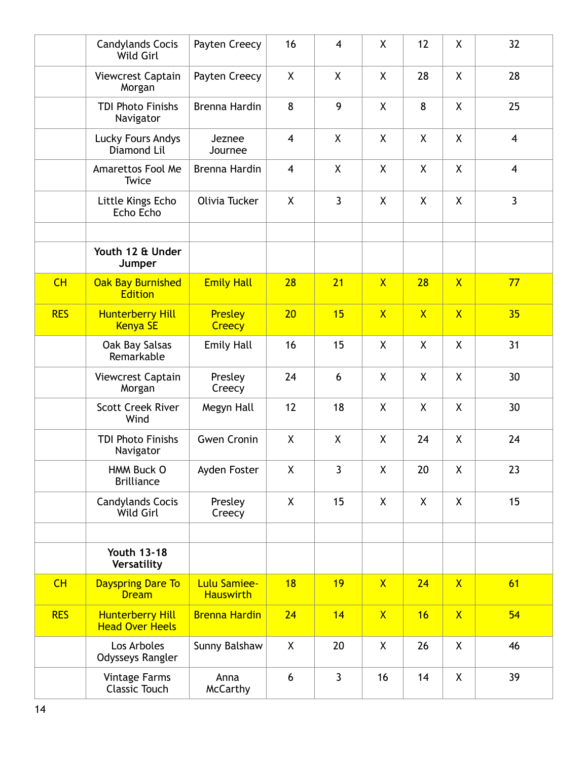|            | <b>Candylands Cocis</b><br>Wild Girl              | Payten Creecy                           | 16                      | $\overline{4}$     | X                       | 12           | X                       | 32                      |
|------------|---------------------------------------------------|-----------------------------------------|-------------------------|--------------------|-------------------------|--------------|-------------------------|-------------------------|
|            | Viewcrest Captain<br>Morgan                       | Payten Creecy                           | X                       | X                  | X                       | 28           | X.                      | 28                      |
|            | <b>TDI Photo Finishs</b><br>Navigator             | Brenna Hardin                           | 8                       | 9                  | X                       | 8            | X                       | 25                      |
|            | Lucky Fours Andys<br>Diamond Lil                  | Jeznee<br>Journee                       | $\overline{\mathbf{4}}$ | $\pmb{\mathsf{X}}$ | X                       | X            | X                       | $\overline{4}$          |
|            | Amarettos Fool Me<br>Twice                        | Brenna Hardin                           | $\overline{4}$          | X                  | X                       | $\mathsf{X}$ | X.                      | $\overline{\mathbf{4}}$ |
|            | Little Kings Echo<br>Echo Echo                    | Olivia Tucker                           | X                       | $\mathbf{3}$       | X                       | X            | X.                      | $\overline{3}$          |
|            | Youth 12 & Under<br>Jumper                        |                                         |                         |                    |                         |              |                         |                         |
| CH         | <b>Oak Bay Burnished</b><br><b>Edition</b>        | <b>Emily Hall</b>                       | 28                      | 21                 | $\mathsf{X}$            | 28           | $\overline{X}$          | 77                      |
| <b>RES</b> | <b>Hunterberry Hill</b><br><b>Kenya SE</b>        | <b>Presley</b><br>Creecy                | 20                      | 15                 | $\overline{\mathsf{X}}$ | $\mathsf{X}$ | $\overline{\mathsf{X}}$ | 35                      |
|            | Oak Bay Salsas<br>Remarkable                      | <b>Emily Hall</b>                       | 16                      | 15                 | X                       | X            | χ                       | 31                      |
|            | Viewcrest Captain<br>Morgan                       | Presley<br>Creecy                       | 24                      | 6                  | X                       | $\mathsf{X}$ | X.                      | 30                      |
|            | <b>Scott Creek River</b><br>Wind                  | Megyn Hall                              | 12                      | 18                 | X                       | X            | X                       | 30                      |
|            | <b>TDI Photo Finishs</b><br>Navigator             | <b>Gwen Cronin</b>                      | X                       | X                  | X                       | 24           | X.                      | 24                      |
|            | HMM Buck O<br><b>Brilliance</b>                   | Ayden Foster                            | X                       | $\mathbf{3}$       | X                       | 20           | χ                       | 23                      |
|            | <b>Candylands Cocis</b><br>Wild Girl              | Presley<br>Creecy                       | X                       | 15                 | X                       | X            | X                       | 15                      |
|            |                                                   |                                         |                         |                    |                         |              |                         |                         |
|            | <b>Youth 13-18</b><br>Versatility                 |                                         |                         |                    |                         |              |                         |                         |
| CH         | <b>Dayspring Dare To</b><br><b>Dream</b>          | <b>Lulu Samiee-</b><br><b>Hauswirth</b> | 18                      | 19                 | $\mathsf{X}$            | 24           | $\mathsf{X}$            | 61                      |
| <b>RES</b> | <b>Hunterberry Hill</b><br><b>Head Over Heels</b> | <b>Brenna Hardin</b>                    | 24                      | 14                 | $\mathsf{X}$            | 16           | $\mathsf{X}$            | 54                      |
|            | Los Arboles<br>Odysseys Rangler                   | Sunny Balshaw                           | $\pmb{\mathsf{X}}$      | 20                 | $\pmb{\mathsf{X}}$      | 26           | χ                       | 46                      |
|            | <b>Vintage Farms</b><br><b>Classic Touch</b>      | Anna<br><b>McCarthy</b>                 | 6                       | $\mathbf{3}$       | 16                      | 14           | χ                       | 39                      |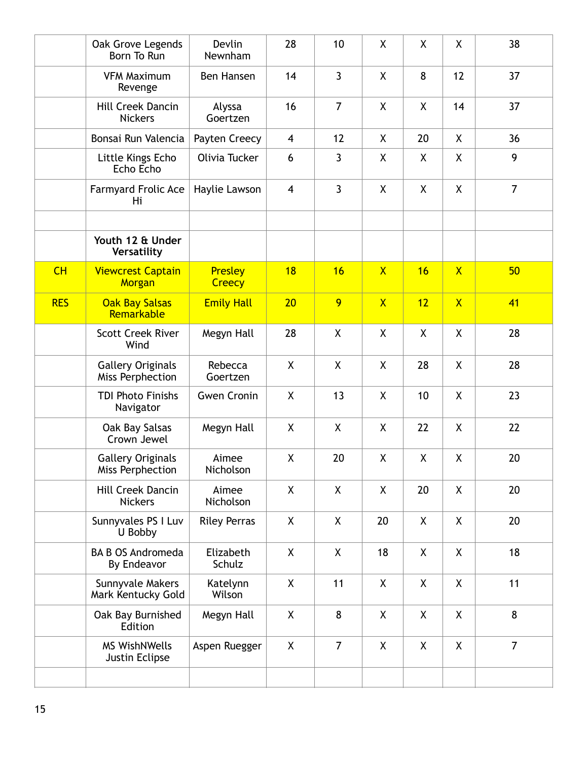|            | Oak Grove Legends<br>Born To Run             | Devlin<br>Newnham        | 28                 | 10             | X                       | X       | X                       | 38             |
|------------|----------------------------------------------|--------------------------|--------------------|----------------|-------------------------|---------|-------------------------|----------------|
|            | <b>VFM Maximum</b><br>Revenge                | Ben Hansen               | 14                 | $\overline{3}$ | X                       | 8       | 12                      | 37             |
|            | <b>Hill Creek Dancin</b><br><b>Nickers</b>   | Alyssa<br>Goertzen       | 16                 | $\overline{7}$ | $\pmb{\mathsf{X}}$      | χ       | 14                      | 37             |
|            | Bonsai Run Valencia                          | Payten Creecy            | $\overline{4}$     | 12             | X                       | 20      | X                       | 36             |
|            | Little Kings Echo<br>Echo Echo               | Olivia Tucker            | 6                  | 3              | X                       | X       | X                       | 9              |
|            | <b>Farmyard Frolic Ace</b><br>Hi             | Haylie Lawson            | $\overline{4}$     | $\mathbf{3}$   | X                       | X       | X                       | $\overline{7}$ |
|            |                                              |                          |                    |                |                         |         |                         |                |
|            | Youth 12 & Under<br>Versatility              |                          |                    |                |                         |         |                         |                |
| CH         | <b>Viewcrest Captain</b><br>Morgan           | <b>Presley</b><br>Creecy | 18                 | 16             | $\mathsf{X}$            | 16      | $\overline{\mathsf{X}}$ | 50             |
| <b>RES</b> | <b>Oak Bay Salsas</b><br>Remarkable          | <b>Emily Hall</b>        | 20                 | 9              | $\overline{\mathsf{X}}$ | 12      | $\overline{\mathsf{X}}$ | 41             |
|            | <b>Scott Creek River</b><br>Wind             | Megyn Hall               | 28                 | X              | X                       | X       | χ                       | 28             |
|            | <b>Gallery Originals</b><br>Miss Perphection | Rebecca<br>Goertzen      | X                  | X              | X                       | 28      | X                       | 28             |
|            | <b>TDI Photo Finishs</b><br>Navigator        | <b>Gwen Cronin</b>       | $\sf X$            | 13             | X                       | 10      | $\mathsf{X}$            | 23             |
|            | Oak Bay Salsas<br>Crown Jewel                | Megyn Hall               | X                  | X              | X                       | 22      | X                       | 22             |
|            | <b>Gallery Originals</b><br>Miss Perphection | Aimee<br>Nicholson       | $\pmb{\mathsf{X}}$ | 20             | X                       | χ       | χ                       | 20             |
|            | <b>Hill Creek Dancin</b><br><b>Nickers</b>   | Aimee<br>Nicholson       | X                  | X              | X                       | 20      | X                       | 20             |
|            | Sunnyvales PS I Luv<br>U Bobby               | <b>Riley Perras</b>      | X                  | X              | 20                      | X       | X                       | 20             |
|            | <b>BA B OS Andromeda</b><br>By Endeavor      | Elizabeth<br>Schulz      | X                  | X              | 18                      | X       | X                       | 18             |
|            | Sunnyvale Makers<br>Mark Kentucky Gold       | Katelynn<br>Wilson       | X                  | 11             | X                       | X       | X                       | 11             |
|            | Oak Bay Burnished<br>Edition                 | Megyn Hall               | $\pmb{\mathsf{X}}$ | 8              | $\pmb{\mathsf{X}}$      | $\sf X$ | X                       | 8              |
|            | <b>MS WishNWells</b><br>Justin Eclipse       | Aspen Ruegger            | X                  | $\overline{7}$ | X                       | X       | X                       | $\overline{7}$ |
|            |                                              |                          |                    |                |                         |         |                         |                |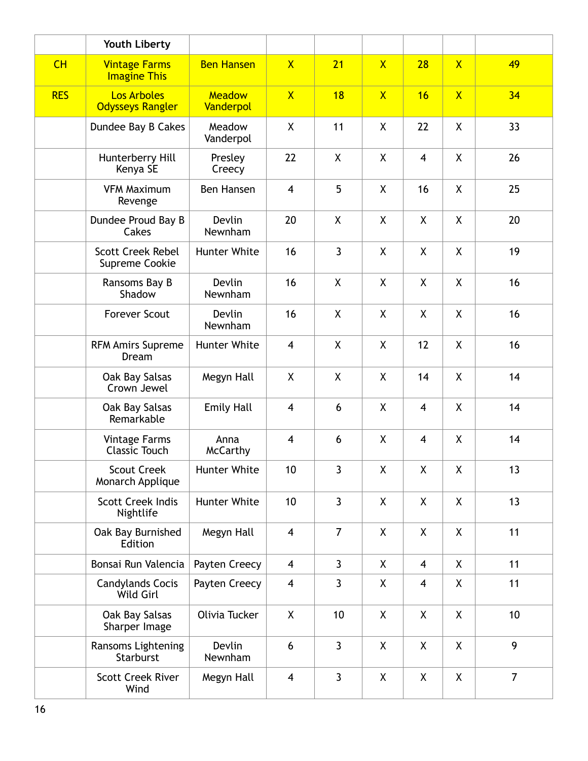|            | Youth Liberty                                 |                            |                         |                           |                         |                         |                |                |
|------------|-----------------------------------------------|----------------------------|-------------------------|---------------------------|-------------------------|-------------------------|----------------|----------------|
| CH         | <b>Vintage Farms</b><br><b>Imagine This</b>   | <b>Ben Hansen</b>          | $\overline{X}$          | 21                        | $\overline{\mathsf{X}}$ | 28                      | $\mathsf{X}$   | 49             |
| <b>RES</b> | <b>Los Arboles</b><br><b>Odysseys Rangler</b> | <b>Meadow</b><br>Vanderpol | $\overline{X}$          | 18                        | $\overline{\mathsf{X}}$ | 16                      | $\overline{X}$ | 34             |
|            | Dundee Bay B Cakes                            | Meadow<br>Vanderpol        | X                       | 11                        | X                       | 22                      | $\sf X$        | 33             |
|            | Hunterberry Hill<br>Kenya SE                  | Presley<br>Creecy          | 22                      | $\mathsf{X}$              | $\mathsf{X}$            | $\overline{4}$          | X              | 26             |
|            | <b>VFM Maximum</b><br>Revenge                 | Ben Hansen                 | $\overline{4}$          | 5                         | $\sf X$                 | 16                      | X              | 25             |
|            | Dundee Proud Bay B<br>Cakes                   | <b>Devlin</b><br>Newnham   | 20                      | X                         | X                       | X                       | X              | 20             |
|            | <b>Scott Creek Rebel</b><br>Supreme Cookie    | Hunter White               | 16                      | $\overline{3}$            | $\sf X$                 | X                       | X              | 19             |
|            | Ransoms Bay B<br>Shadow                       | <b>Devlin</b><br>Newnham   | 16                      | X                         | X                       | X                       | X              | 16             |
|            | <b>Forever Scout</b>                          | Devlin<br>Newnham          | 16                      | $\boldsymbol{\mathsf{X}}$ | X                       | X                       | X              | 16             |
|            | <b>RFM Amirs Supreme</b><br>Dream             | Hunter White               | $\overline{4}$          | $\boldsymbol{\mathsf{X}}$ | X                       | 12                      | X              | 16             |
|            | Oak Bay Salsas<br>Crown Jewel                 | Megyn Hall                 | X                       | X                         | X                       | 14                      | X              | 14             |
|            | Oak Bay Salsas<br>Remarkable                  | <b>Emily Hall</b>          | $\overline{4}$          | 6                         | X                       | $\overline{4}$          | X              | 14             |
|            | <b>Vintage Farms</b><br><b>Classic Touch</b>  | Anna<br><b>McCarthy</b>    | $\overline{4}$          | 6                         | X                       | $\overline{\mathbf{4}}$ | X              | 14             |
|            | <b>Scout Creek</b><br>Monarch Applique        | Hunter White               | 10                      | 3                         | χ                       | χ                       | χ              | 13             |
|            | <b>Scott Creek Indis</b><br>Nightlife         | Hunter White               | 10                      | $\mathbf{3}$              | X                       | X.                      | X              | 13             |
|            | Oak Bay Burnished<br>Edition                  | Megyn Hall                 | $\overline{\mathbf{4}}$ | $\overline{7}$            | X                       | X.                      | X              | 11             |
|            | Bonsai Run Valencia                           | Payten Creecy              | $\overline{4}$          | $\mathbf{3}$              | X                       | 4                       | X              | 11             |
|            | <b>Candylands Cocis</b><br>Wild Girl          | Payten Creecy              | $\overline{\mathbf{4}}$ | 3                         | X                       | 4                       | X              | 11             |
|            | Oak Bay Salsas<br>Sharper Image               | Olivia Tucker              | X                       | 10                        | X                       | χ                       | χ              | 10             |
|            | Ransoms Lightening<br>Starburst               | Devlin<br>Newnham          | 6                       | $\mathbf{3}$              | X                       | X                       | X              | 9              |
|            | <b>Scott Creek River</b><br>Wind              | Megyn Hall                 | $\overline{4}$          | $\mathbf{3}$              | X                       | X                       | χ              | $\overline{7}$ |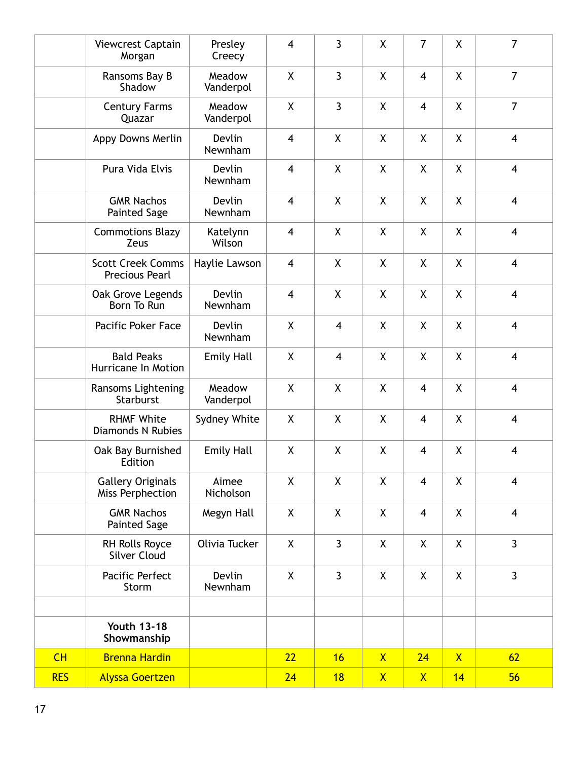|            | Viewcrest Captain<br>Morgan                       | Presley<br>Creecy        | $\overline{\mathbf{4}}$ | $\overline{3}$          | X            | $\overline{7}$ | X            | $\overline{7}$          |
|------------|---------------------------------------------------|--------------------------|-------------------------|-------------------------|--------------|----------------|--------------|-------------------------|
|            | Ransoms Bay B<br>Shadow                           | Meadow<br>Vanderpol      | X                       | $\overline{3}$          | X            | $\overline{4}$ | X            | $\overline{7}$          |
|            | <b>Century Farms</b><br>Quazar                    | Meadow<br>Vanderpol      | X                       | $\overline{3}$          | X            | 4              | X            | $\overline{7}$          |
|            | Appy Downs Merlin                                 | Devlin<br>Newnham        | $\overline{\mathbf{4}}$ | $\pmb{\chi}$            | χ            | X              | X            | $\overline{\mathbf{4}}$ |
|            | Pura Vida Elvis                                   | Devlin<br>Newnham        | $\overline{4}$          | X                       | X            | X              | X            | $\overline{4}$          |
|            | <b>GMR Nachos</b><br><b>Painted Sage</b>          | Devlin<br>Newnham        | $\overline{4}$          | X                       | X            | X              | X            | $\overline{4}$          |
|            | <b>Commotions Blazy</b><br>Zeus                   | Katelynn<br>Wilson       | $\overline{4}$          | X                       | X            | X              | X            | $\overline{4}$          |
|            | <b>Scott Creek Comms</b><br><b>Precious Pearl</b> | Haylie Lawson            | $\overline{\mathbf{4}}$ | X                       | X            | X              | X            | $\overline{4}$          |
|            | Oak Grove Legends<br>Born To Run                  | Devlin<br>Newnham        | $\overline{\mathbf{4}}$ | X                       | X            | X              | X            | $\overline{\mathbf{4}}$ |
|            | Pacific Poker Face                                | Devlin<br>Newnham        | X                       | $\overline{\mathbf{4}}$ | X            | X              | X            | $\overline{\mathbf{4}}$ |
|            | <b>Bald Peaks</b><br>Hurricane In Motion          | <b>Emily Hall</b>        | X                       | $\overline{\mathbf{4}}$ | X            | X              | X            | $\overline{4}$          |
|            | Ransoms Lightening<br>Starburst                   | Meadow<br>Vanderpol      | X                       | X                       | X            | $\overline{4}$ | X            | $\overline{4}$          |
|            | <b>RHMF White</b><br><b>Diamonds N Rubies</b>     | Sydney White             | X                       | X                       | X            | 4              | X            | $\overline{4}$          |
|            | Oak Bay Burnished<br>Edition                      | <b>Emily Hall</b>        | X                       | X                       | X            | 4              | X            | $\overline{4}$          |
|            | <b>Gallery Originals</b><br>Miss Perphection      | Aimee<br>Nicholson       | X                       | X                       | X            | $\overline{4}$ | X            | $\overline{4}$          |
|            | <b>GMR Nachos</b><br><b>Painted Sage</b>          | Megyn Hall               | X                       | X                       | X            | $\overline{4}$ | X            | $\overline{\mathbf{4}}$ |
|            | RH Rolls Royce<br><b>Silver Cloud</b>             | Olivia Tucker            | X                       | $\mathbf{3}$            | X            | X              | X            | $\mathbf{3}$            |
|            | Pacific Perfect<br>Storm                          | <b>Devlin</b><br>Newnham | X                       | $\overline{3}$          | X            | X              | X            | $\overline{3}$          |
|            | <b>Youth 13-18</b><br>Showmanship                 |                          |                         |                         |              |                |              |                         |
| CH         | <b>Brenna Hardin</b>                              |                          | 22                      | 16                      | $\mathsf{X}$ | 24             | $\mathsf{X}$ | 62                      |
| <b>RES</b> | <b>Alyssa Goertzen</b>                            |                          | 24                      | 18                      | $\mathsf{X}$ | $\mathsf{X}$   | 14           | 56                      |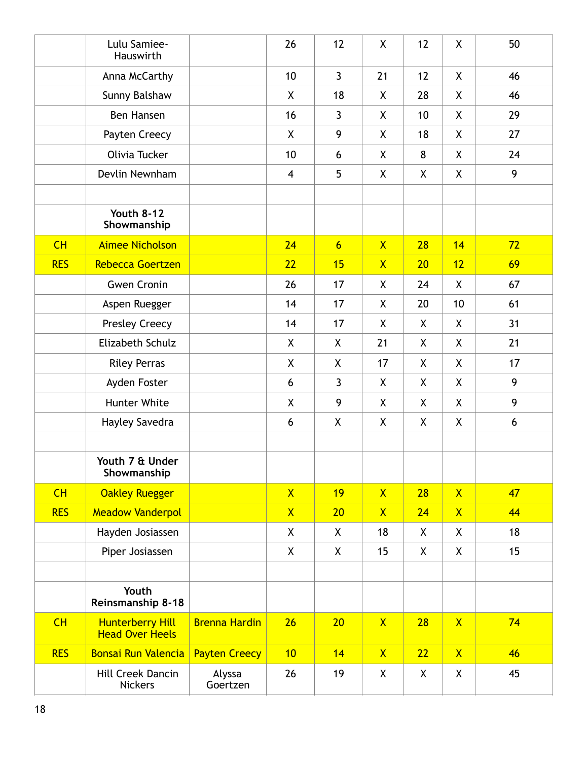|            | Lulu Samiee-<br>Hauswirth                         |                      | 26             | 12               | $\pmb{\mathsf{X}}$ | 12           | X            | 50 |
|------------|---------------------------------------------------|----------------------|----------------|------------------|--------------------|--------------|--------------|----|
|            | Anna McCarthy                                     |                      | 10             | $\mathbf{3}$     | 21                 | 12           | X.           | 46 |
|            | Sunny Balshaw                                     |                      | X              | 18               | X                  | 28           | X            | 46 |
|            | Ben Hansen                                        |                      | 16             | $\mathbf{3}$     | X                  | 10           | X            | 29 |
|            | Payten Creecy                                     |                      | X              | 9                | X                  | 18           | X            | 27 |
|            | Olivia Tucker                                     |                      | 10             | 6                | X                  | 8            | X            | 24 |
|            | Devlin Newnham                                    |                      | $\overline{4}$ | 5                | X                  | X            | X.           | 9  |
|            |                                                   |                      |                |                  |                    |              |              |    |
|            | <b>Youth 8-12</b><br>Showmanship                  |                      |                |                  |                    |              |              |    |
| CH         | <b>Aimee Nicholson</b>                            |                      | 24             | $6 \overline{6}$ | $\mathsf{X}$       | 28           | 14           | 72 |
| <b>RES</b> | Rebecca Goertzen                                  |                      | 22             | 15               | $\mathsf{X}$       | 20           | 12           | 69 |
|            | <b>Gwen Cronin</b>                                |                      | 26             | 17               | X                  | 24           | X            | 67 |
|            | Aspen Ruegger                                     |                      | 14             | 17               | X                  | 20           | 10           | 61 |
|            | Presley Creecy                                    |                      | 14             | 17               | X                  | X            | X            | 31 |
|            | Elizabeth Schulz                                  |                      | X              | X                | 21                 | $\mathsf{X}$ | X            | 21 |
|            | <b>Riley Perras</b>                               |                      | X              | X                | 17                 | X            | X            | 17 |
|            | Ayden Foster                                      |                      | 6              | $\mathbf{3}$     | X                  | X            | X            | 9  |
|            | Hunter White                                      |                      | X              | 9                | X                  | X            | X            | 9  |
|            | Hayley Savedra                                    |                      | 6              | X                | X                  | X            | X            | 6  |
|            |                                                   |                      |                |                  |                    |              |              |    |
|            | Youth 7 & Under<br>Showmanship                    |                      |                |                  |                    |              |              |    |
| CH         | <b>Oakley Ruegger</b>                             |                      | $\mathsf{X}$   | 19               | $\mathsf{X}$       | 28           | $\mathsf{X}$ | 47 |
| <b>RES</b> | <b>Meadow Vanderpol</b>                           |                      | $\mathsf{X}$   | 20               | $\mathsf{X}$       | 24           | $\mathsf{X}$ | 44 |
|            | Hayden Josiassen                                  |                      | X              | X                | 18                 | X            | X            | 18 |
|            | Piper Josiassen                                   |                      | $\mathsf{X}$   | X                | 15                 | $\mathsf{X}$ | X            | 15 |
|            |                                                   |                      |                |                  |                    |              |              |    |
|            | Youth<br>Reinsmanship 8-18                        |                      |                |                  |                    |              |              |    |
| CH         | <b>Hunterberry Hill</b><br><b>Head Over Heels</b> | <b>Brenna Hardin</b> | 26             | 20               | $\mathsf{X}$       | 28           | $\mathsf{X}$ | 74 |
| <b>RES</b> | <b>Bonsai Run Valencia</b>                        | <b>Payten Creecy</b> | 10             | 14               | $\mathsf{X}$       | 22           | $\mathsf{X}$ | 46 |
|            | Hill Creek Dancin<br><b>Nickers</b>               | Alyssa<br>Goertzen   | 26             | 19               | X                  | $\mathsf{X}$ | X            | 45 |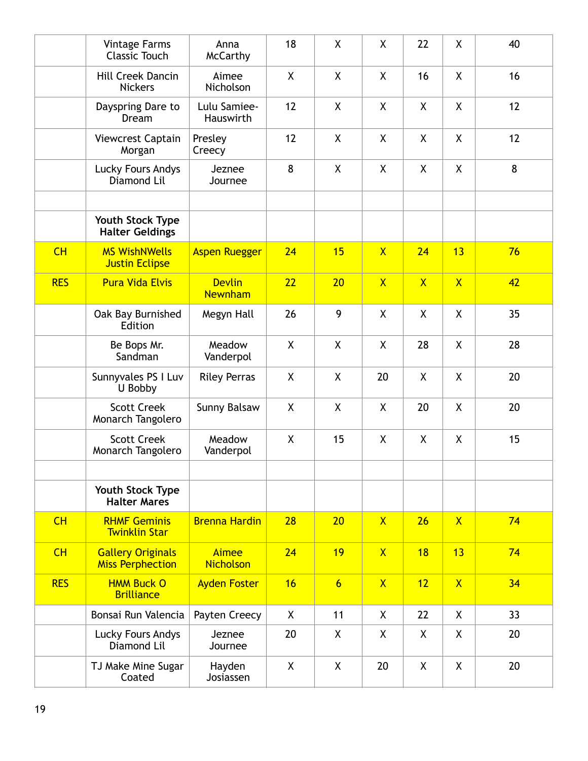|            | <b>Vintage Farms</b><br><b>Classic Touch</b>        | Anna<br><b>McCarthy</b>          | 18           | $\mathsf{X}$    | X              | 22           | X              | 40 |
|------------|-----------------------------------------------------|----------------------------------|--------------|-----------------|----------------|--------------|----------------|----|
|            | Hill Creek Dancin<br><b>Nickers</b>                 | Aimee<br><b>Nicholson</b>        | X            | X               | X              | 16           | X              | 16 |
|            | Dayspring Dare to<br>Dream                          | Lulu Samiee-<br>Hauswirth        | 12           | X               | X              | X            | X              | 12 |
|            | Viewcrest Captain<br>Morgan                         | Presley<br>Creecy                | 12           | X               | X              | X            | X              | 12 |
|            | Lucky Fours Andys<br>Diamond Lil                    | Jeznee<br>Journee                | 8            | X               | X              | X            | X              | 8  |
|            |                                                     |                                  |              |                 |                |              |                |    |
|            | Youth Stock Type<br><b>Halter Geldings</b>          |                                  |              |                 |                |              |                |    |
| CH         | <b>MS WishNWells</b><br><b>Justin Eclipse</b>       | <b>Aspen Ruegger</b>             | 24           | 15              | $\overline{X}$ | 24           | 13             | 76 |
| <b>RES</b> | <b>Pura Vida Elvis</b>                              | <b>Devlin</b><br><b>Newnham</b>  | 22           | 20              | $\mathsf{X}$   | $\mathsf{X}$ | $\overline{X}$ | 42 |
|            | Oak Bay Burnished<br>Edition                        | Megyn Hall                       | 26           | 9               | X              | X            | $\mathsf{X}$   | 35 |
|            | Be Bops Mr.<br>Sandman                              | Meadow<br>Vanderpol              | X            | $\mathsf{X}$    | X              | 28           | X              | 28 |
|            | Sunnyvales PS I Luv<br>U Bobby                      | <b>Riley Perras</b>              | X            | X               | 20             | X            | X              | 20 |
|            | <b>Scott Creek</b><br>Monarch Tangolero             | Sunny Balsaw                     | $\mathsf{X}$ | $\mathsf{X}$    | X              | 20           | $\mathsf{X}$   | 20 |
|            | <b>Scott Creek</b><br>Monarch Tangolero             | Meadow<br>Vanderpol              | X            | 15              | X              | X            | X              | 15 |
|            |                                                     |                                  |              |                 |                |              |                |    |
|            | Youth Stock Type<br><b>Halter Mares</b>             |                                  |              |                 |                |              |                |    |
| CH         | <b>RHMF Geminis</b><br><b>Twinklin Star</b>         | <b>Brenna Hardin</b>             | 28           | 20              | $\mathsf{X}$   | 26           | $\mathsf{X}$   | 74 |
| CH         | <b>Gallery Originals</b><br><b>Miss Perphection</b> | <b>Aimee</b><br><b>Nicholson</b> | 24           | 19              | $\mathsf{X}$   | 18           | 13             | 74 |
| <b>RES</b> | <b>HMM Buck O</b><br><b>Brilliance</b>              | <b>Ayden Foster</b>              | 16           | $6\overline{6}$ | $\mathsf{X}$   | 12           | $\mathsf{X}$   | 34 |
|            | Bonsai Run Valencia                                 | Payten Creecy                    | X            | 11              | X              | 22           | X              | 33 |
|            | Lucky Fours Andys<br>Diamond Lil                    | Jeznee<br>Journee                | 20           | X               | X              | X            | X              | 20 |
|            | TJ Make Mine Sugar<br>Coated                        | Hayden<br>Josiassen              | X            | X               | 20             | X            | X              | 20 |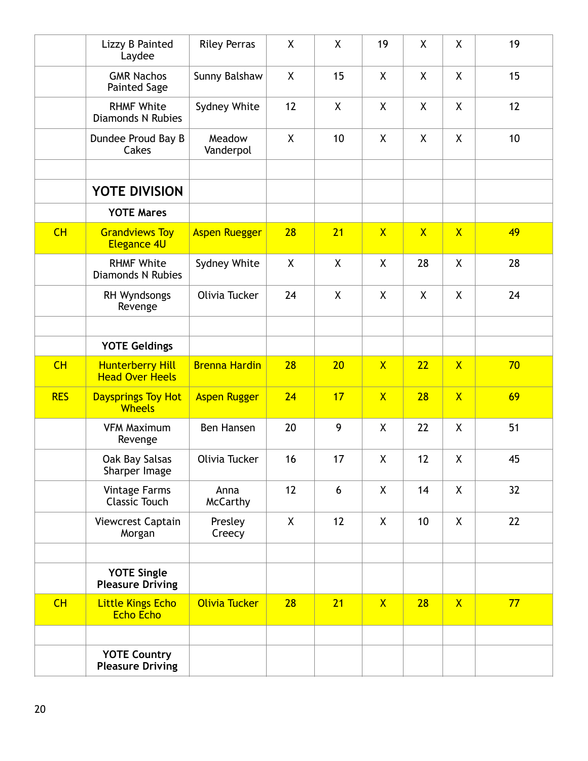|            | Lizzy B Painted<br>Laydee                         | <b>Riley Perras</b>     | X                  | X            | 19                      | X            | X                       | 19 |
|------------|---------------------------------------------------|-------------------------|--------------------|--------------|-------------------------|--------------|-------------------------|----|
|            | <b>GMR Nachos</b><br><b>Painted Sage</b>          | Sunny Balshaw           | X                  | 15           | X                       | X            | X.                      | 15 |
|            | <b>RHMF White</b><br><b>Diamonds N Rubies</b>     | Sydney White            | 12                 | $\pmb{\chi}$ | $\pmb{\mathsf{X}}$      | X            | χ                       | 12 |
|            | Dundee Proud Bay B<br>Cakes                       | Meadow<br>Vanderpol     | X                  | 10           | X                       | X            | X                       | 10 |
|            | YOTE DIVISION                                     |                         |                    |              |                         |              |                         |    |
|            | <b>YOTE Mares</b>                                 |                         |                    |              |                         |              |                         |    |
| CH         | <b>Grandviews Toy</b><br><b>Elegance 4U</b>       | <b>Aspen Ruegger</b>    | 28                 | 21           | $\mathsf{X}$            | $\mathsf{X}$ | $\overline{X}$          | 49 |
|            | <b>RHMF White</b><br><b>Diamonds N Rubies</b>     | Sydney White            | $\pmb{\mathsf{X}}$ | $\mathsf{X}$ | X                       | 28           | X                       | 28 |
|            | RH Wyndsongs<br>Revenge                           | Olivia Tucker           | 24                 | X            | X                       | X            | X.                      | 24 |
|            |                                                   |                         |                    |              |                         |              |                         |    |
|            | <b>YOTE Geldings</b>                              |                         |                    |              |                         |              |                         |    |
| CH         | <b>Hunterberry Hill</b><br><b>Head Over Heels</b> | <b>Brenna Hardin</b>    | 28                 | 20           | $\mathsf{X}$            | 22           | $\overline{X}$          | 70 |
| <b>RES</b> | <b>Daysprings Toy Hot</b><br><b>Wheels</b>        | <b>Aspen Rugger</b>     | 24                 | 17           | $\overline{\mathsf{X}}$ | 28           | $\overline{\mathsf{X}}$ | 69 |
|            | <b>VFM Maximum</b><br>Revenge                     | Ben Hansen              | 20                 | 9            | X                       | 22           | X                       | 51 |
|            | Oak Bay Salsas<br>Sharper Image                   | Olivia Tucker           | 16                 | 17           | X                       | 12           | χ                       | 45 |
|            | <b>Vintage Farms</b><br><b>Classic Touch</b>      | Anna<br><b>McCarthy</b> | 12                 | 6            | X                       | 14           | X                       | 32 |
|            | Viewcrest Captain<br>Morgan                       | Presley<br>Creecy       | $\mathsf{X}$       | 12           | X                       | 10           | X                       | 22 |
|            |                                                   |                         |                    |              |                         |              |                         |    |
|            | <b>YOTE Single</b><br><b>Pleasure Driving</b>     |                         |                    |              |                         |              |                         |    |
| CH         | <b>Little Kings Echo</b><br><b>Echo Echo</b>      | Olivia Tucker           | 28                 | 21           | $\mathsf{X}$            | 28           | $\mathsf{X}$            | 77 |
|            |                                                   |                         |                    |              |                         |              |                         |    |
|            | <b>YOTE Country</b><br><b>Pleasure Driving</b>    |                         |                    |              |                         |              |                         |    |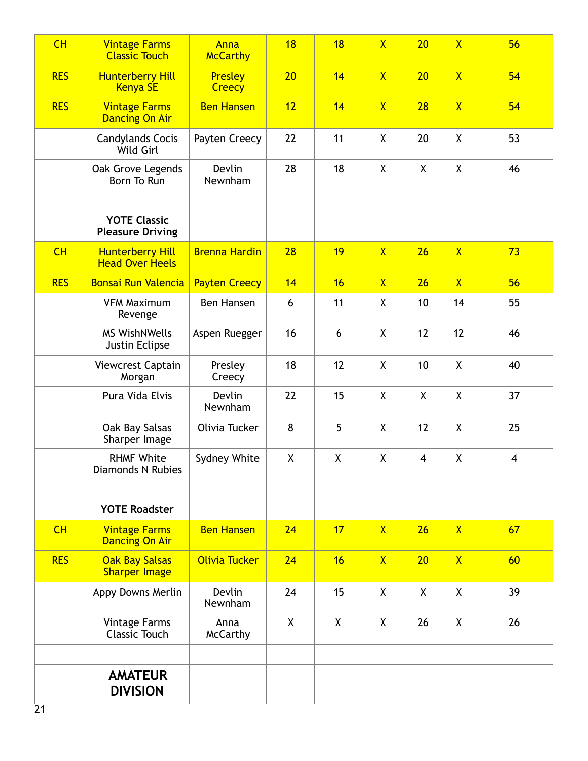| CH         | <b>Vintage Farms</b><br><b>Classic Touch</b>      | Anna<br><b>McCarthy</b>         | 18 | 18           | $\overline{X}$     | 20                      | $\overline{X}$          | 56                      |
|------------|---------------------------------------------------|---------------------------------|----|--------------|--------------------|-------------------------|-------------------------|-------------------------|
| <b>RES</b> | <b>Hunterberry Hill</b><br><b>Kenya SE</b>        | <b>Presley</b><br><b>Creecy</b> | 20 | 14           | $\mathsf{X}$       | 20                      | $\overline{X}$          | 54                      |
| <b>RES</b> | <b>Vintage Farms</b><br><b>Dancing On Air</b>     | <b>Ben Hansen</b>               | 12 | 14           | $\mathsf{X}$       | 28                      | $\overline{\mathsf{X}}$ | 54                      |
|            | <b>Candylands Cocis</b><br>Wild Girl              | Payten Creecy                   | 22 | 11           | X                  | 20                      | χ                       | 53                      |
|            | Oak Grove Legends<br>Born To Run                  | Devlin<br>Newnham               | 28 | 18           | X                  | $\mathsf{X}$            | X.                      | 46                      |
|            |                                                   |                                 |    |              |                    |                         |                         |                         |
|            | <b>YOTE Classic</b><br><b>Pleasure Driving</b>    |                                 |    |              |                    |                         |                         |                         |
| CH         | <b>Hunterberry Hill</b><br><b>Head Over Heels</b> | <b>Brenna Hardin</b>            | 28 | 19           | $\mathsf{X}$       | 26                      | $\mathsf{X}$            | 73                      |
| <b>RES</b> | <b>Bonsai Run Valencia</b>                        | <b>Payten Creecy</b>            | 14 | 16           | $\mathsf{X}$       | 26                      | $\overline{X}$          | 56                      |
|            | <b>VFM Maximum</b><br>Revenge                     | Ben Hansen                      | 6  | 11           | $\pmb{\mathsf{X}}$ | 10                      | 14                      | 55                      |
|            | <b>MS WishNWells</b><br>Justin Eclipse            | Aspen Ruegger                   | 16 | 6            | X                  | 12                      | 12                      | 46                      |
|            | Viewcrest Captain<br>Morgan                       | Presley<br>Creecy               | 18 | 12           | X                  | 10                      | X                       | 40                      |
|            | Pura Vida Elvis                                   | Devlin<br>Newnham               | 22 | 15           | X                  | X                       | X                       | 37                      |
|            | Oak Bay Salsas<br>Sharper Image                   | Olivia Tucker                   | 8  | 5            | X                  | 12                      | X                       | 25                      |
|            | <b>RHMF White</b><br><b>Diamonds N Rubies</b>     | Sydney White                    | X  | $\pmb{\chi}$ | $\pmb{\mathsf{X}}$ | $\overline{\mathbf{4}}$ | χ                       | $\overline{\mathbf{4}}$ |
|            |                                                   |                                 |    |              |                    |                         |                         |                         |
|            | <b>YOTE Roadster</b>                              |                                 |    |              |                    |                         |                         |                         |
| CH         | <b>Vintage Farms</b><br><b>Dancing On Air</b>     | <b>Ben Hansen</b>               | 24 | 17           | $\mathsf{X}$       | 26                      | $\mathsf{X}$            | 67                      |
| <b>RES</b> | <b>Oak Bay Salsas</b><br><b>Sharper Image</b>     | Olivia Tucker                   | 24 | 16           | $\mathsf{X}$       | 20                      | $\mathsf{X}$            | 60                      |
|            | Appy Downs Merlin                                 | Devlin<br>Newnham               | 24 | 15           | X                  | X                       | X                       | 39                      |
|            | <b>Vintage Farms</b><br><b>Classic Touch</b>      | Anna<br><b>McCarthy</b>         | X  | X            | X                  | 26                      | X                       | 26                      |
|            |                                                   |                                 |    |              |                    |                         |                         |                         |
|            | <b>AMATEUR</b><br><b>DIVISION</b>                 |                                 |    |              |                    |                         |                         |                         |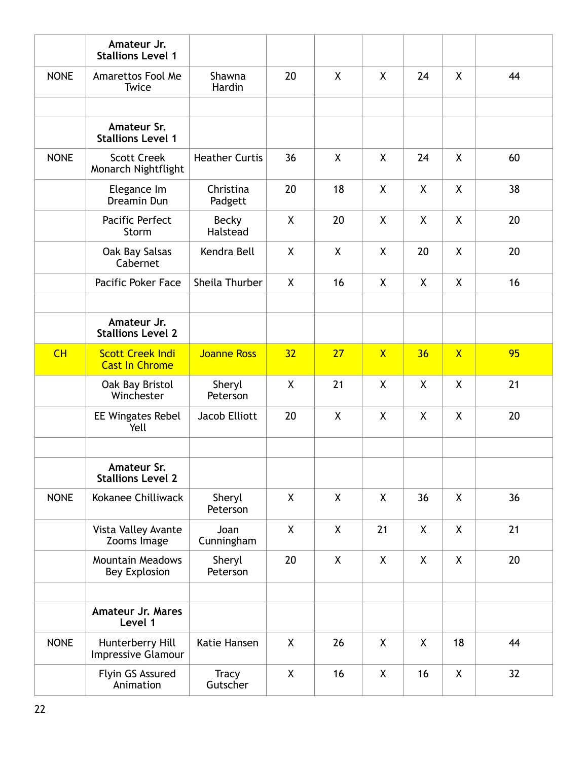|             | Amateur Jr.<br><b>Stallions Level 1</b>          |                       |              |              |              |    |                |    |
|-------------|--------------------------------------------------|-----------------------|--------------|--------------|--------------|----|----------------|----|
| <b>NONE</b> | Amarettos Fool Me<br>Twice                       | Shawna<br>Hardin      | 20           | $\sf X$      | X            | 24 | $\mathsf{X}$   | 44 |
|             |                                                  |                       |              |              |              |    |                |    |
|             | Amateur Sr.<br><b>Stallions Level 1</b>          |                       |              |              |              |    |                |    |
| <b>NONE</b> | <b>Scott Creek</b><br>Monarch Nightflight        | <b>Heather Curtis</b> | 36           | X            | X            | 24 | X              | 60 |
|             | Elegance Im<br>Dreamin Dun                       | Christina<br>Padgett  | 20           | 18           | X            | X  | X              | 38 |
|             | Pacific Perfect<br>Storm                         | Becky<br>Halstead     | X            | 20           | X            | X  | X              | 20 |
|             | Oak Bay Salsas<br>Cabernet                       | Kendra Bell           | X            | $\sf X$      | X            | 20 | X              | 20 |
|             | Pacific Poker Face                               | Sheila Thurber        | X            | 16           | X            | X  | X              | 16 |
|             |                                                  |                       |              |              |              |    |                |    |
|             | Amateur Jr.<br><b>Stallions Level 2</b>          |                       |              |              |              |    |                |    |
| CH          | <b>Scott Creek Indi</b><br><b>Cast In Chrome</b> | <b>Joanne Ross</b>    | 32           | 27           | $\mathsf{X}$ | 36 | $\overline{X}$ | 95 |
|             | Oak Bay Bristol<br>Winchester                    | Sheryl<br>Peterson    | $\mathsf{X}$ | 21           | X            | X  | $\mathsf{X}$   | 21 |
|             | <b>EE Wingates Rebel</b><br>Yell                 | Jacob Elliott         | 20           | X            | X            | X  | X              | 20 |
|             |                                                  |                       |              |              |              |    |                |    |
|             | Amateur Sr.<br><b>Stallions Level 2</b>          |                       |              |              |              |    |                |    |
| <b>NONE</b> | Kokanee Chilliwack                               | Sheryl<br>Peterson    | X            | $\mathsf{X}$ | X            | 36 | X              | 36 |
|             | Vista Valley Avante<br>Zooms Image               | Joan<br>Cunningham    | X            | X            | 21           | X  | X              | 21 |
|             | <b>Mountain Meadows</b><br><b>Bey Explosion</b>  | Sheryl<br>Peterson    | 20           | X            | X            | X  | X              | 20 |
|             |                                                  |                       |              |              |              |    |                |    |
|             | Amateur Jr. Mares<br>Level 1                     |                       |              |              |              |    |                |    |
| <b>NONE</b> | Hunterberry Hill<br>Impressive Glamour           | Katie Hansen          | X            | 26           | X            | X  | 18             | 44 |
|             |                                                  |                       |              |              |              |    |                |    |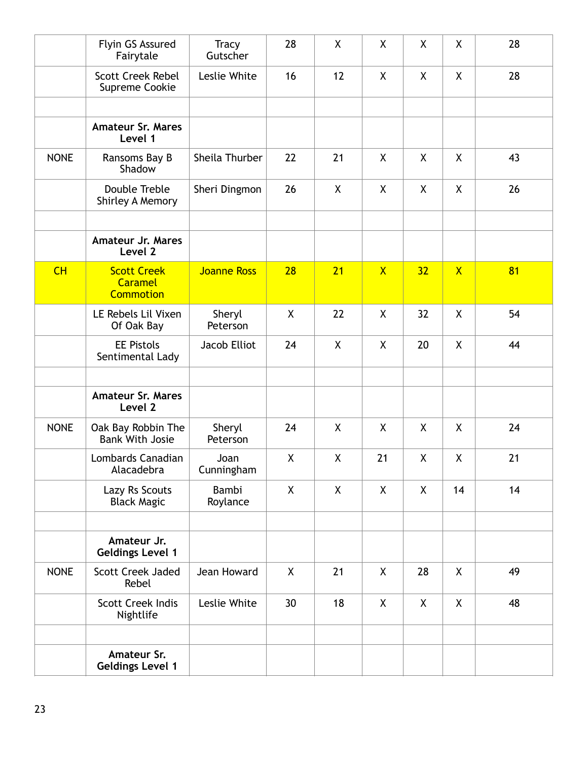|             | Flyin GS Assured<br>Fairytale                            | <b>Tracy</b><br>Gutscher | 28           | X  | X            | X            | X            | 28 |
|-------------|----------------------------------------------------------|--------------------------|--------------|----|--------------|--------------|--------------|----|
|             | <b>Scott Creek Rebel</b><br>Supreme Cookie               | Leslie White             | 16           | 12 | X            | X            | X            | 28 |
|             |                                                          |                          |              |    |              |              |              |    |
|             | <b>Amateur Sr. Mares</b><br>Level 1                      |                          |              |    |              |              |              |    |
| <b>NONE</b> | Ransoms Bay B<br>Shadow                                  | Sheila Thurber           | 22           | 21 | X            | X            | X            | 43 |
|             | Double Treble<br>Shirley A Memory                        | Sheri Dingmon            | 26           | X  | X            | X            | $\mathsf{X}$ | 26 |
|             | <b>Amateur Jr. Mares</b><br>Level 2                      |                          |              |    |              |              |              |    |
| CH          | <b>Scott Creek</b><br><b>Caramel</b><br><b>Commotion</b> | <b>Joanne Ross</b>       | 28           | 21 | $\mathsf{X}$ | 32           | $\mathsf{X}$ | 81 |
|             | LE Rebels Lil Vixen<br>Of Oak Bay                        | Sheryl<br>Peterson       | $\sf X$      | 22 | X            | 32           | $\mathsf{X}$ | 54 |
|             | <b>EE Pistols</b><br>Sentimental Lady                    | Jacob Elliot             | 24           | X  | X            | 20           | X            | 44 |
|             |                                                          |                          |              |    |              |              |              |    |
|             | <b>Amateur Sr. Mares</b><br>Level 2                      |                          |              |    |              |              |              |    |
| <b>NONE</b> | Oak Bay Robbin The<br><b>Bank With Josie</b>             | Sheryl<br>Peterson       | 24           | X  | X            | X            | X            | 24 |
|             | Lombards Canadian<br>Alacadebra                          | Joan<br>Cunningham       | X            | X  | 21           | X            | X            | 21 |
|             | Lazy Rs Scouts<br><b>Black Magic</b>                     | Bambi<br>Roylance        | $\mathsf{X}$ | X  | X            | X            | 14           | 14 |
|             | Amateur Jr.<br><b>Geldings Level 1</b>                   |                          |              |    |              |              |              |    |
| <b>NONE</b> | Scott Creek Jaded<br>Rebel                               | Jean Howard              | X            | 21 | X            | 28           | X            | 49 |
|             | <b>Scott Creek Indis</b><br>Nightlife                    | Leslie White             | 30           | 18 | X            | $\mathsf{X}$ | X            | 48 |
|             | Amateur Sr.<br><b>Geldings Level 1</b>                   |                          |              |    |              |              |              |    |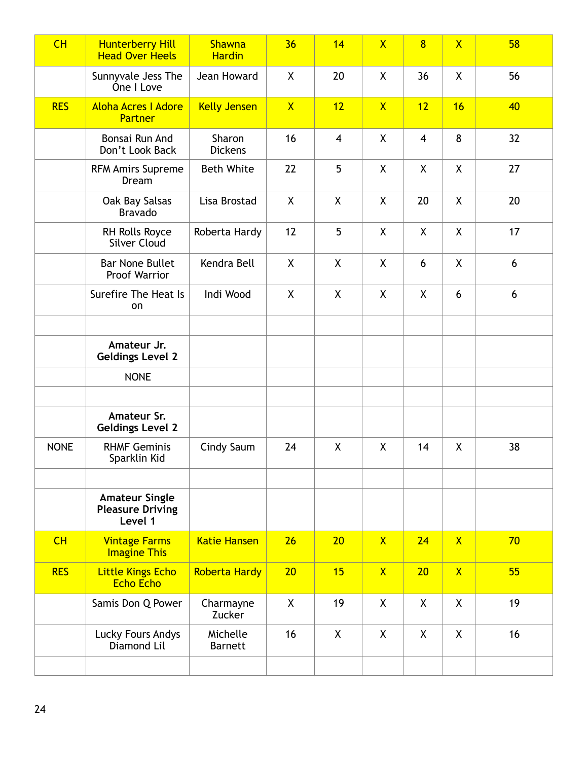| CH          | <b>Hunterberry Hill</b><br><b>Head Over Heels</b>           | <b>Shawna</b><br><b>Hardin</b> | 36           | 14             | $\overline{X}$ | $\overline{8}$ | $\overline{\mathsf{X}}$ | 58 |
|-------------|-------------------------------------------------------------|--------------------------------|--------------|----------------|----------------|----------------|-------------------------|----|
|             | Sunnyvale Jess The<br>One I Love                            | Jean Howard                    | X            | 20             | X              | 36             | X                       | 56 |
| <b>RES</b>  | <b>Aloha Acres I Adore</b><br><b>Partner</b>                | <b>Kelly Jensen</b>            | $\mathsf{X}$ | 12             | $\mathsf{X}$   | 12             | 16                      | 40 |
|             | Bonsai Run And<br>Don't Look Back                           | Sharon<br><b>Dickens</b>       | 16           | $\overline{4}$ | X              | $\overline{4}$ | 8                       | 32 |
|             | <b>RFM Amirs Supreme</b><br>Dream                           | <b>Beth White</b>              | 22           | 5              | X              | X              | X                       | 27 |
|             | Oak Bay Salsas<br><b>Bravado</b>                            | Lisa Brostad                   | X            | X              | X              | 20             | X                       | 20 |
|             | RH Rolls Royce<br><b>Silver Cloud</b>                       | Roberta Hardy                  | 12           | 5              | χ              | X              | X                       | 17 |
|             | <b>Bar None Bullet</b><br>Proof Warrior                     | Kendra Bell                    | X            | X              | X              | 6              | X                       | 6  |
|             | Surefire The Heat Is<br>on                                  | Indi Wood                      | X            | X              | X              | X              | 6                       | 6  |
|             |                                                             |                                |              |                |                |                |                         |    |
|             | Amateur Jr.<br><b>Geldings Level 2</b>                      |                                |              |                |                |                |                         |    |
|             | <b>NONE</b>                                                 |                                |              |                |                |                |                         |    |
|             |                                                             |                                |              |                |                |                |                         |    |
|             | Amateur Sr.<br><b>Geldings Level 2</b>                      |                                |              |                |                |                |                         |    |
| <b>NONE</b> | <b>RHMF Geminis</b><br>Sparklin Kid                         | Cindy Saum                     | 24           | X              | X              | 14             | X                       | 38 |
|             |                                                             |                                |              |                |                |                |                         |    |
|             | <b>Amateur Single</b><br><b>Pleasure Driving</b><br>Level 1 |                                |              |                |                |                |                         |    |
| CH          | <b>Vintage Farms</b><br><b>Imagine This</b>                 | <b>Katie Hansen</b>            | 26           | 20             | $\overline{X}$ | 24             | $\overline{X}$          | 70 |
| <b>RES</b>  | <b>Little Kings Echo</b><br><b>Echo Echo</b>                | <b>Roberta Hardy</b>           | 20           | 15             | $\mathsf{X}$   | 20             | $\mathsf{X}$            | 55 |
|             | Samis Don Q Power                                           | Charmayne<br>Zucker            | $\mathsf{X}$ | 19             | X              | $\mathsf{X}$   | X                       | 19 |
|             | Lucky Fours Andys<br>Diamond Lil                            | Michelle<br><b>Barnett</b>     | 16           | X              | X              | X              | X                       | 16 |
|             |                                                             |                                |              |                |                |                |                         |    |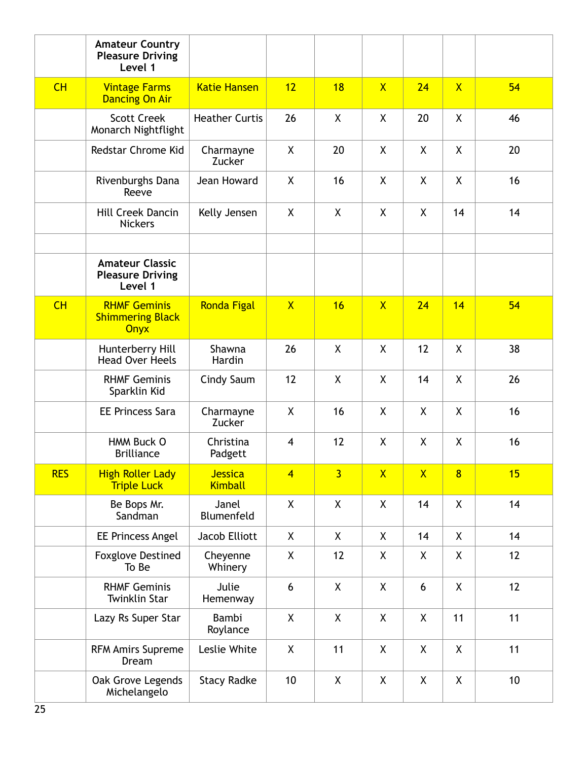|            | <b>Amateur Country</b><br><b>Pleasure Driving</b><br>Level 1  |                           |                |                    |                    |              |                         |    |
|------------|---------------------------------------------------------------|---------------------------|----------------|--------------------|--------------------|--------------|-------------------------|----|
| CH         | <b>Vintage Farms</b><br><b>Dancing On Air</b>                 | <b>Katie Hansen</b>       | 12             | 18                 | $\mathsf{X}$       | 24           | $\overline{\mathsf{X}}$ | 54 |
|            | <b>Scott Creek</b><br>Monarch Nightflight                     | <b>Heather Curtis</b>     | 26             | X                  | X                  | 20           | $\mathsf{X}$            | 46 |
|            | Redstar Chrome Kid                                            | Charmayne<br>Zucker       | X              | 20                 | X                  | X            | X.                      | 20 |
|            | Rivenburghs Dana<br>Reeve                                     | Jean Howard               | $\mathsf{X}$   | 16                 | $\mathsf{X}$       | $\mathsf{X}$ | $\mathsf{X}$            | 16 |
|            | <b>Hill Creek Dancin</b><br><b>Nickers</b>                    | Kelly Jensen              | X              | X                  | X                  | $\mathsf{X}$ | 14                      | 14 |
|            | <b>Amateur Classic</b><br><b>Pleasure Driving</b><br>Level 1  |                           |                |                    |                    |              |                         |    |
| CH         | <b>RHMF Geminis</b><br><b>Shimmering Black</b><br><b>Onyx</b> | <b>Ronda Figal</b>        | $\mathsf{X}$   | 16                 | $\mathsf{X}$       | 24           | 14                      | 54 |
|            | Hunterberry Hill<br><b>Head Over Heels</b>                    | Shawna<br>Hardin          | 26             | $\mathsf{X}$       | $\sf X$            | 12           | $\mathsf{X}$            | 38 |
|            | <b>RHMF Geminis</b><br>Sparklin Kid                           | Cindy Saum                | 12             | X                  | X                  | 14           | X.                      | 26 |
|            | <b>EE Princess Sara</b>                                       | Charmayne<br>Zucker       | X              | 16                 | X                  | $\mathsf{X}$ | X.                      | 16 |
|            | HMM Buck O<br><b>Brilliance</b>                               | Christina<br>Padgett      | $\overline{4}$ | 12                 | X                  | X            | X                       | 16 |
| <b>RES</b> | <b>High Roller Lady</b><br><b>Triple Luck</b>                 | Jessica<br><b>Kimball</b> | $\overline{4}$ | $\overline{3}$     | $\mathsf{X}$       | $\mathsf{X}$ | $\overline{8}$          | 15 |
|            | Be Bops Mr.<br>Sandman                                        | Janel<br>Blumenfeld       | X              | $\pmb{\mathsf{X}}$ | $\pmb{\mathsf{X}}$ | 14           | $\mathsf{X}$            | 14 |
|            | <b>EE Princess Angel</b>                                      | Jacob Elliott             | X              | X                  | X                  | 14           | X                       | 14 |
|            | <b>Foxglove Destined</b><br>To Be                             | Cheyenne<br>Whinery       | X              | 12                 | X                  | X            | X                       | 12 |
|            | <b>RHMF Geminis</b><br><b>Twinklin Star</b>                   | Julie<br>Hemenway         | 6              | X                  | X                  | 6            | X                       | 12 |
|            | Lazy Rs Super Star                                            | Bambi<br>Roylance         | X              | X                  | X                  | X            | 11                      | 11 |
|            | <b>RFM Amirs Supreme</b><br>Dream                             | Leslie White              | X              | 11                 | X                  | X            | X                       | 11 |
|            | Oak Grove Legends<br>Michelangelo                             | <b>Stacy Radke</b>        | 10             | X                  | X                  | X            | X                       | 10 |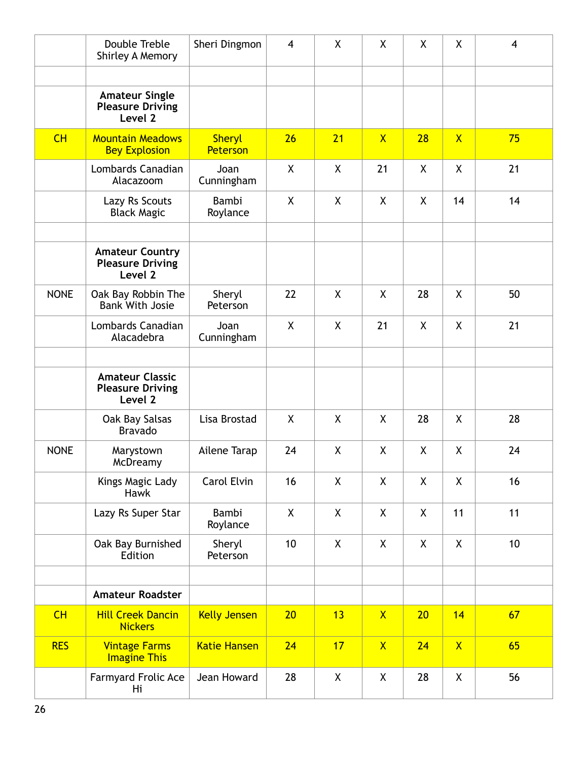|             | Double Treble<br>Shirley A Memory                            | Sheri Dingmon             | $\overline{4}$ | X       | X            | X  | X            | $\overline{4}$ |
|-------------|--------------------------------------------------------------|---------------------------|----------------|---------|--------------|----|--------------|----------------|
|             |                                                              |                           |                |         |              |    |              |                |
|             | <b>Amateur Single</b><br><b>Pleasure Driving</b><br>Level 2  |                           |                |         |              |    |              |                |
| CH          | <b>Mountain Meadows</b><br><b>Bey Explosion</b>              | <b>Sheryl</b><br>Peterson | 26             | 21      | $\mathsf{X}$ | 28 | $\mathsf{X}$ | 75             |
|             | Lombards Canadian<br>Alacazoom                               | Joan<br>Cunningham        | X              | X       | 21           | X  | X            | 21             |
|             | Lazy Rs Scouts<br><b>Black Magic</b>                         | Bambi<br>Roylance         | $\sf X$        | $\sf X$ | X            | X  | 14           | 14             |
|             | <b>Amateur Country</b><br><b>Pleasure Driving</b><br>Level 2 |                           |                |         |              |    |              |                |
| <b>NONE</b> | Oak Bay Robbin The<br><b>Bank With Josie</b>                 | Sheryl<br>Peterson        | 22             | $\sf X$ | X            | 28 | X            | 50             |
|             | Lombards Canadian<br>Alacadebra                              | Joan<br>Cunningham        | $\sf X$        | X       | 21           | X  | X            | 21             |
|             | <b>Amateur Classic</b><br><b>Pleasure Driving</b><br>Level 2 |                           |                |         |              |    |              |                |
|             | Oak Bay Salsas<br><b>Bravado</b>                             | Lisa Brostad              | X              | X       | X            | 28 | X            | 28             |
| <b>NONE</b> | Marystown<br>McDreamy                                        | Ailene Tarap              | 24             | X       | X            | X  | X            | 24             |
|             | Kings Magic Lady<br><b>Hawk</b>                              | Carol Elvin               | 16             | X       | X            | X  | X            | 16             |
|             | Lazy Rs Super Star                                           | Bambi<br>Roylance         | X              | X       | X            | X  | 11           | 11             |
|             | Oak Bay Burnished<br>Edition                                 | Sheryl<br>Peterson        | 10             | X       | X            | X  | X            | 10             |
|             | <b>Amateur Roadster</b>                                      |                           |                |         |              |    |              |                |
| CH          | <b>Hill Creek Dancin</b>                                     | <b>Kelly Jensen</b>       | 20             | 13      | $\mathsf{X}$ | 20 | 14           | 67             |
|             | <b>Nickers</b>                                               |                           |                |         |              |    |              |                |
| <b>RES</b>  | <b>Vintage Farms</b><br><b>Imagine This</b>                  | <b>Katie Hansen</b>       | 24             | 17      | $\mathsf{X}$ | 24 | $\mathsf{X}$ | 65             |
|             | <b>Farmyard Frolic Ace</b><br>Hi                             | Jean Howard               | 28             | X       | X            | 28 | X            | 56             |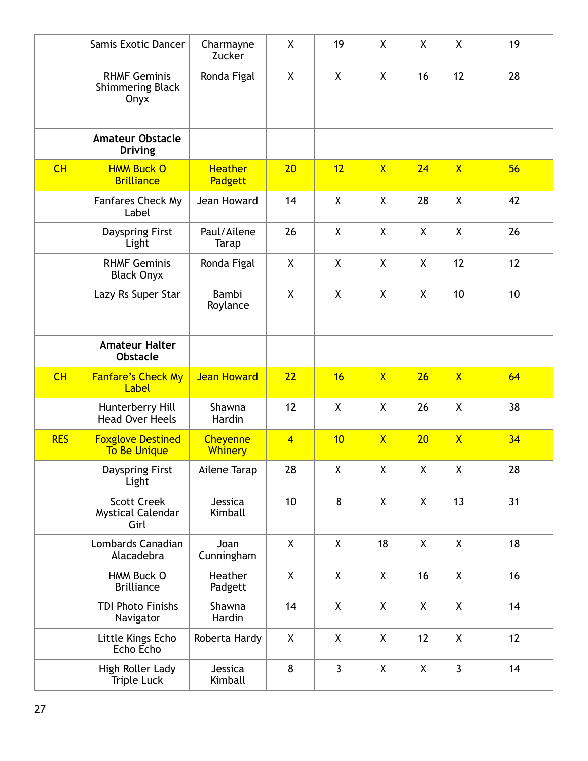|            | Samis Exotic Dancer                                    | Charmayne<br>Zucker               | X              | 19 | X            | X            | X                       | 19 |
|------------|--------------------------------------------------------|-----------------------------------|----------------|----|--------------|--------------|-------------------------|----|
|            | <b>RHMF Geminis</b><br><b>Shimmering Black</b><br>Onyx | Ronda Figal                       | X              | X  | X            | 16           | 12                      | 28 |
|            | <b>Amateur Obstacle</b><br><b>Driving</b>              |                                   |                |    |              |              |                         |    |
| CH         | <b>HMM Buck O</b><br><b>Brilliance</b>                 | <b>Heather</b><br>Padgett         | 20             | 12 | $\mathsf{X}$ | 24           | $\overline{X}$          | 56 |
|            | Fanfares Check My<br>Label                             | Jean Howard                       | 14             | X  | X            | 28           | X                       | 42 |
|            | Dayspring First<br>Light                               | Paul/Ailene<br><b>Tarap</b>       | 26             | X  | X            | X            | X                       | 26 |
|            | <b>RHMF Geminis</b><br><b>Black Onyx</b>               | Ronda Figal                       | X              | X  | $\mathsf{X}$ | $\mathsf{X}$ | 12                      | 12 |
|            | Lazy Rs Super Star                                     | Bambi<br>Roylance                 | X              | X  | X            | X            | 10                      | 10 |
|            | <b>Amateur Halter</b><br><b>Obstacle</b>               |                                   |                |    |              |              |                         |    |
| CH         | <b>Fanfare's Check My</b><br>Label                     | <b>Jean Howard</b>                | 22             | 16 | $\mathsf{X}$ | 26           | $\overline{\mathsf{X}}$ | 64 |
|            | Hunterberry Hill<br><b>Head Over Heels</b>             | Shawna<br>Hardin                  | 12             | X  | X            | 26           | $\mathsf{X}$            | 38 |
| <b>RES</b> | <b>Foxglove Destined</b><br><b>To Be Unique</b>        | <b>Cheyenne</b><br><b>Whinery</b> | $\overline{4}$ | 10 | $\mathsf{X}$ | 20           | $\overline{\mathsf{X}}$ | 34 |
|            | Dayspring First<br>Light                               | Ailene Tarap                      | 28             | X  | Χ            | X            | χ                       | 28 |
|            | <b>Scott Creek</b><br><b>Mystical Calendar</b><br>Girl | Jessica<br>Kimball                | 10             | 8  | X            | X            | 13                      | 31 |
|            | Lombards Canadian<br>Alacadebra                        | Joan<br>Cunningham                | $\mathsf{X}$   | X  | 18           | X            | X                       | 18 |
|            | HMM Buck O<br><b>Brilliance</b>                        | Heather<br>Padgett                | X              | X  | X            | 16           | X                       | 16 |
|            | <b>TDI Photo Finishs</b><br>Navigator                  | Shawna<br>Hardin                  | 14             | X  | X            | X            | X                       | 14 |
|            | Little Kings Echo                                      | Roberta Hardy                     | X              | X  | X            | 12           | X                       | 12 |
|            | Echo Echo                                              |                                   |                |    |              |              |                         |    |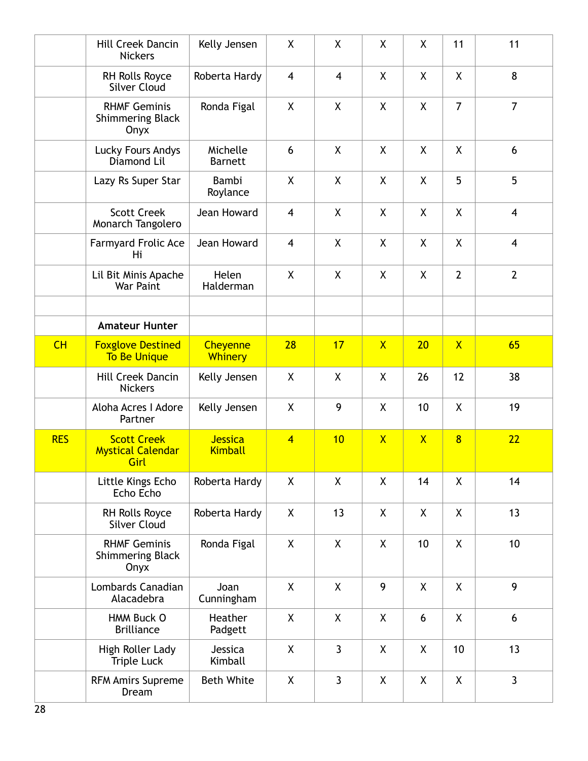|            | Hill Creek Dancin<br><b>Nickers</b>                    | Kelly Jensen                     | X              | X              | X                       | X            | 11             | 11              |
|------------|--------------------------------------------------------|----------------------------------|----------------|----------------|-------------------------|--------------|----------------|-----------------|
|            | <b>RH Rolls Royce</b><br><b>Silver Cloud</b>           | Roberta Hardy                    | $\overline{4}$ | $\overline{4}$ | X                       | X            | X              | 8               |
|            | <b>RHMF Geminis</b><br><b>Shimmering Black</b><br>Onyx | Ronda Figal                      | X              | X              | $\pmb{\mathsf{X}}$      | X            | $\overline{7}$ | $\overline{7}$  |
|            | Lucky Fours Andys<br>Diamond Lil                       | Michelle<br><b>Barnett</b>       | 6              | X              | X                       | X            | X              | 6               |
|            | Lazy Rs Super Star                                     | Bambi<br>Roylance                | X              | X              | X                       | X.           | 5              | 5               |
|            | <b>Scott Creek</b><br>Monarch Tangolero                | Jean Howard                      | $\overline{4}$ | X              | X                       | X            | X              | $\overline{4}$  |
|            | <b>Farmyard Frolic Ace</b><br>Hi                       | Jean Howard                      | $\overline{4}$ | X              | X                       | X            | X              | $\overline{4}$  |
|            | Lil Bit Minis Apache<br>War Paint                      | Helen<br>Halderman               | X              | $\mathsf{X}$   | $\pmb{\mathsf{X}}$      | X            | $\overline{2}$ | $\overline{2}$  |
|            |                                                        |                                  |                |                |                         |              |                |                 |
|            | <b>Amateur Hunter</b>                                  |                                  |                |                |                         |              |                |                 |
| CH         | <b>Foxglove Destined</b><br><b>To Be Unique</b>        | Cheyenne<br><b>Whinery</b>       | 28             | 17             | $\overline{\mathsf{X}}$ | 20           | $\mathsf{X}$   | 65              |
|            | Hill Creek Dancin<br><b>Nickers</b>                    | Kelly Jensen                     | X              | X              | X                       | 26           | 12             | 38              |
|            | Aloha Acres I Adore<br>Partner                         | Kelly Jensen                     | X              | 9              | X                       | 10           | X              | 19              |
| <b>RES</b> | <b>Scott Creek</b><br><b>Mystical Calendar</b><br>Girl | <b>Jessica</b><br><b>Kimball</b> | $\overline{4}$ | 10             | $\mathsf{X}$            | $\mathsf{X}$ | $\overline{8}$ | 22              |
|            | Little Kings Echo<br>Echo Echo                         | Roberta Hardy                    | $\mathsf{X}$   | $\mathsf{X}$   | $\pmb{\mathsf{X}}$      | 14           | X              | 14              |
|            | RH Rolls Royce<br><b>Silver Cloud</b>                  | Roberta Hardy                    | X              | 13             | X                       | X            | X              | 13              |
|            | <b>RHMF Geminis</b><br><b>Shimmering Black</b><br>Onyx | Ronda Figal                      | X              | X              | X                       | 10           | X              | 10 <sup>1</sup> |
|            | Lombards Canadian<br>Alacadebra                        | Joan<br>Cunningham               | $\mathsf{X}$   | X              | 9                       | X            | X              | 9               |
|            | HMM Buck O<br><b>Brilliance</b>                        | Heather<br>Padgett               | X              | X              | X                       | 6            | X              | 6               |
|            | High Roller Lady<br><b>Triple Luck</b>                 | Jessica<br>Kimball               | X              | $\mathbf{3}$   | $\pmb{\mathsf{X}}$      | X            | 10             | 13              |
|            | <b>RFM Amirs Supreme</b><br>Dream                      | <b>Beth White</b>                | X              | $\mathbf{3}$   | X                       | X            | X              | $\overline{3}$  |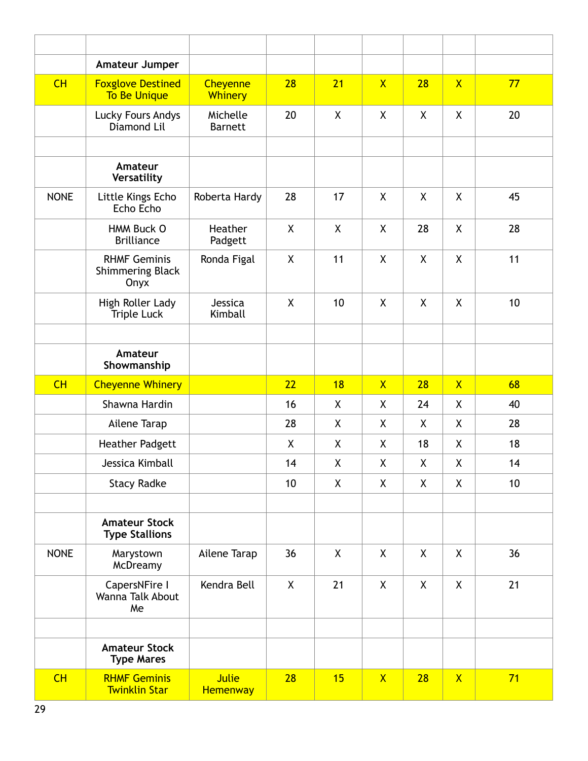|             | Amateur Jumper                                         |                            |              |    |                |    |                         |    |
|-------------|--------------------------------------------------------|----------------------------|--------------|----|----------------|----|-------------------------|----|
| CH          | <b>Foxglove Destined</b><br><b>To Be Unique</b>        | Cheyenne<br><b>Whinery</b> | 28           | 21 | $\mathsf{X}$   | 28 | $\overline{\mathsf{X}}$ | 77 |
|             | Lucky Fours Andys<br>Diamond Lil                       | Michelle<br><b>Barnett</b> | 20           | X  | X              | X  | X                       | 20 |
|             |                                                        |                            |              |    |                |    |                         |    |
|             | Amateur<br>Versatility                                 |                            |              |    |                |    |                         |    |
| <b>NONE</b> | Little Kings Echo<br>Echo Echo                         | Roberta Hardy              | 28           | 17 | X              | X  | X                       | 45 |
|             | HMM Buck O<br><b>Brilliance</b>                        | Heather<br>Padgett         | X            | X  | X              | 28 | X                       | 28 |
|             | <b>RHMF Geminis</b><br><b>Shimmering Black</b><br>Onyx | Ronda Figal                | X            | 11 | X              | X  | X                       | 11 |
|             | High Roller Lady<br><b>Triple Luck</b>                 | Jessica<br>Kimball         | $\mathsf{X}$ | 10 | X              | X  | X                       | 10 |
|             |                                                        |                            |              |    |                |    |                         |    |
|             | Amateur<br>Showmanship                                 |                            |              |    |                |    |                         |    |
|             |                                                        |                            |              |    |                |    |                         |    |
| CH          | <b>Cheyenne Whinery</b>                                |                            | 22           | 18 | $\overline{X}$ | 28 | $\overline{X}$          | 68 |
|             | Shawna Hardin                                          |                            | 16           | X  | X              | 24 | X                       | 40 |
|             | Ailene Tarap                                           |                            | 28           | X  | X              | X  | X                       | 28 |
|             | <b>Heather Padgett</b>                                 |                            | X            | X  | X              | 18 | X                       | 18 |
|             | Jessica Kimball                                        |                            | 14           | X  | Χ              | Χ  | Χ                       | 14 |
|             | <b>Stacy Radke</b>                                     |                            | 10           | X  | X              | X  | X                       | 10 |
|             |                                                        |                            |              |    |                |    |                         |    |
|             | <b>Amateur Stock</b><br><b>Type Stallions</b>          |                            |              |    |                |    |                         |    |
| <b>NONE</b> | Marystown<br>McDreamy                                  | Ailene Tarap               | 36           | X  | X              | X  | X                       | 36 |
|             | CapersNFire I<br>Wanna Talk About<br>Me                | Kendra Bell                | $\mathsf{X}$ | 21 | X              | X  | X                       | 21 |
|             |                                                        |                            |              |    |                |    |                         |    |
|             | <b>Amateur Stock</b><br><b>Type Mares</b>              |                            |              |    |                |    |                         |    |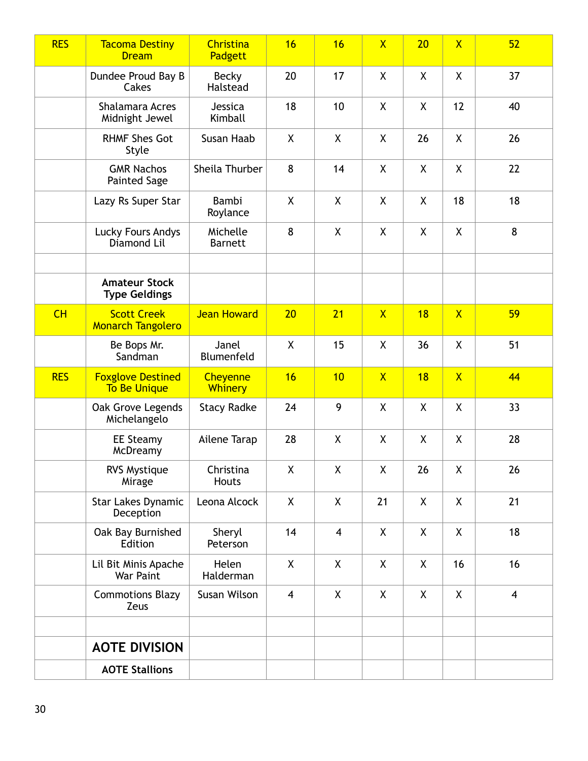| <b>RES</b> | <b>Tacoma Destiny</b><br><b>Dream</b>           | Christina<br>Padgett              | 16             | 16                      | $\overline{\mathsf{X}}$ | 20           | $\overline{\mathsf{X}}$ | 52             |
|------------|-------------------------------------------------|-----------------------------------|----------------|-------------------------|-------------------------|--------------|-------------------------|----------------|
|            | Dundee Proud Bay B<br>Cakes                     | <b>Becky</b><br>Halstead          | 20             | 17                      | X                       | $\mathsf{X}$ | X                       | 37             |
|            | Shalamara Acres<br>Midnight Jewel               | Jessica<br>Kimball                | 18             | 10                      | X                       | X            | 12                      | 40             |
|            | <b>RHMF Shes Got</b><br>Style                   | Susan Haab                        | X              | X                       | X                       | 26           | X                       | 26             |
|            | <b>GMR Nachos</b><br><b>Painted Sage</b>        | Sheila Thurber                    | 8              | 14                      | X                       | X            | X                       | 22             |
|            | Lazy Rs Super Star                              | Bambi<br>Roylance                 | X              | X                       | X                       | X            | 18                      | 18             |
|            | Lucky Fours Andys<br>Diamond Lil                | Michelle<br><b>Barnett</b>        | 8              | X                       | X                       | X            | X                       | 8              |
|            | <b>Amateur Stock</b><br><b>Type Geldings</b>    |                                   |                |                         |                         |              |                         |                |
| CH         | <b>Scott Creek</b><br><b>Monarch Tangolero</b>  | <b>Jean Howard</b>                | 20             | 21                      | $\mathsf{X}$            | 18           | $\overline{X}$          | 59             |
|            | Be Bops Mr.<br>Sandman                          | Janel<br>Blumenfeld               | $\mathsf{X}$   | 15                      | X                       | 36           | X                       | 51             |
| <b>RES</b> | <b>Foxglove Destined</b><br><b>To Be Unique</b> | <b>Cheyenne</b><br><b>Whinery</b> | 16             | 10                      | $\overline{X}$          | 18           | $\mathsf{X}$            | 44             |
|            | Oak Grove Legends<br>Michelangelo               | <b>Stacy Radke</b>                | 24             | 9                       | X                       | $\mathsf{X}$ | X                       | 33             |
|            | <b>EE Steamy</b><br>McDreamy                    | Ailene Tarap                      | 28             | X                       | X                       | X            | X                       | 28             |
|            | RVS Mystique<br>Mirage                          | Christina<br>Houts                | X              | $\pmb{\mathsf{X}}$      | $\sf X$                 | 26           | $\sf X$                 | 26             |
|            | <b>Star Lakes Dynamic</b><br>Deception          | Leona Alcock                      | X              | X                       | 21                      | X            | X                       | 21             |
|            | Oak Bay Burnished<br>Edition                    | Sheryl<br>Peterson                | 14             | $\overline{\mathbf{4}}$ | X                       | X            | X                       | 18             |
|            | Lil Bit Minis Apache<br>War Paint               | Helen<br>Halderman                | X              | X                       | X                       | X            | 16                      | 16             |
|            | <b>Commotions Blazy</b><br>Zeus                 | Susan Wilson                      | $\overline{4}$ | X                       | X                       | X            | X                       | $\overline{4}$ |
|            | <b>AOTE DIVISION</b>                            |                                   |                |                         |                         |              |                         |                |
|            | <b>AOTE Stallions</b>                           |                                   |                |                         |                         |              |                         |                |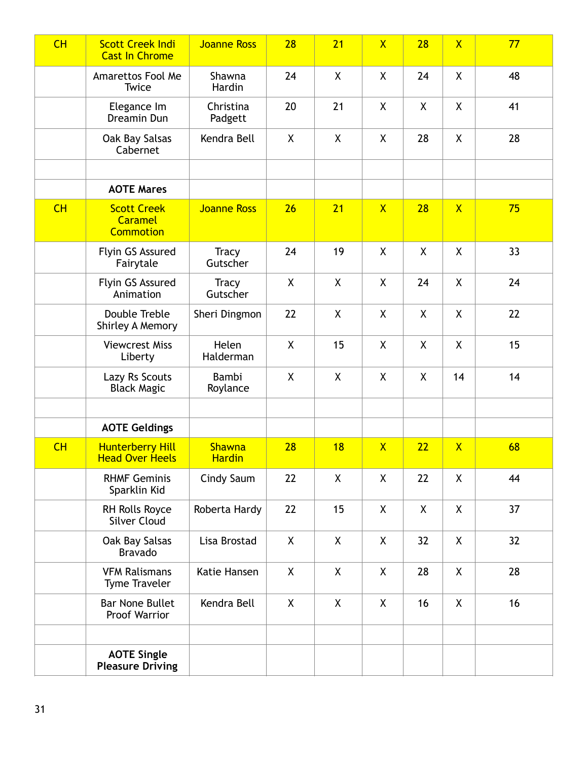| CH | <b>Scott Creek Indi</b><br><b>Cast In Chrome</b>         | <b>Joanne Ross</b>       | 28           | 21           | $\overline{\mathsf{X}}$ | 28 | $\overline{\mathsf{X}}$ | 77 |
|----|----------------------------------------------------------|--------------------------|--------------|--------------|-------------------------|----|-------------------------|----|
|    | Amarettos Fool Me<br>Twice                               | Shawna<br>Hardin         | 24           | $\mathsf{X}$ | X                       | 24 | X                       | 48 |
|    | Elegance Im<br>Dreamin Dun                               | Christina<br>Padgett     | 20           | 21           | X                       | X  | X                       | 41 |
|    | Oak Bay Salsas<br>Cabernet                               | Kendra Bell              | X            | X            | X                       | 28 | X                       | 28 |
|    |                                                          |                          |              |              |                         |    |                         |    |
|    | <b>AOTE Mares</b>                                        |                          |              |              |                         |    |                         |    |
| CH | <b>Scott Creek</b><br><b>Caramel</b><br><b>Commotion</b> | <b>Joanne Ross</b>       | 26           | 21           | $\mathsf{X}$            | 28 | $\mathsf{X}$            | 75 |
|    | Flyin GS Assured<br>Fairytale                            | <b>Tracy</b><br>Gutscher | 24           | 19           | X                       | X  | $\mathsf{X}$            | 33 |
|    | Flyin GS Assured<br>Animation                            | <b>Tracy</b><br>Gutscher | X            | X            | X                       | 24 | X                       | 24 |
|    | Double Treble<br>Shirley A Memory                        | Sheri Dingmon            | 22           | X            | X                       | X  | X                       | 22 |
|    | <b>Viewcrest Miss</b><br>Liberty                         | Helen<br>Halderman       | X            | 15           | X                       | X  | X                       | 15 |
|    | Lazy Rs Scouts<br><b>Black Magic</b>                     | Bambi<br>Roylance        | X            | X            | X                       | X  | 14                      | 14 |
|    |                                                          |                          |              |              |                         |    |                         |    |
|    | <b>AOTE Geldings</b>                                     |                          |              |              |                         |    |                         |    |
| CH | <b>Hunterberry Hill</b><br><b>Head Over Heels</b>        | Shawna<br><b>Hardin</b>  | 28           | 18           | $\mathsf{X}$            | 22 | $\mathsf{X}$            | 68 |
|    | <b>RHMF Geminis</b><br>Sparklin Kid                      | Cindy Saum               | 22           | X            | X                       | 22 | X                       | 44 |
|    | RH Rolls Royce<br><b>Silver Cloud</b>                    | Roberta Hardy            | 22           | 15           | X                       | X  | X                       | 37 |
|    | Oak Bay Salsas<br><b>Bravado</b>                         | Lisa Brostad             | X            | X            | X                       | 32 | X                       | 32 |
|    | <b>VFM Ralismans</b><br><b>Tyme Traveler</b>             | Katie Hansen             | X            | X            | X                       | 28 | X                       | 28 |
|    | <b>Bar None Bullet</b><br>Proof Warrior                  | Kendra Bell              | $\mathsf{X}$ | X            | X                       | 16 | X                       | 16 |
|    | <b>AOTE Single</b><br><b>Pleasure Driving</b>            |                          |              |              |                         |    |                         |    |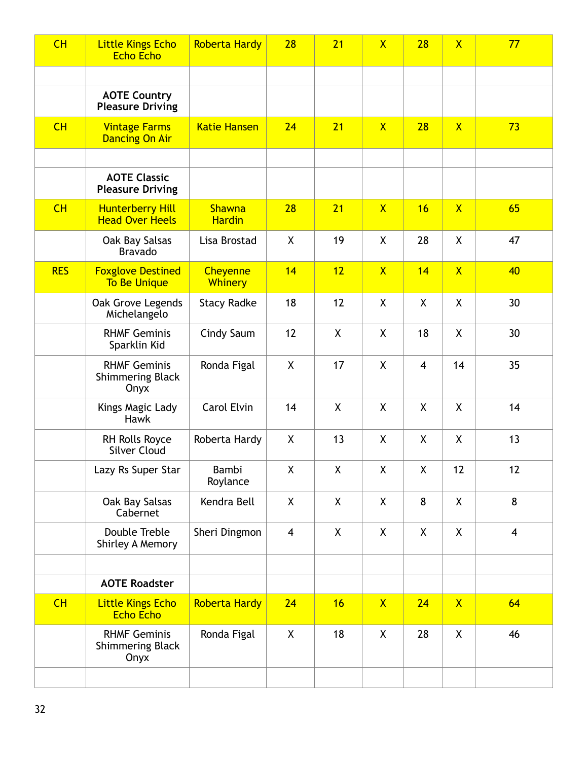| CH         | <b>Little Kings Echo</b><br><b>Echo Echo</b>           | <b>Roberta Hardy</b>              | 28                 | 21           | $\mathsf{X}$ | 28                 | $\overline{\mathsf{X}}$ | 77             |
|------------|--------------------------------------------------------|-----------------------------------|--------------------|--------------|--------------|--------------------|-------------------------|----------------|
|            |                                                        |                                   |                    |              |              |                    |                         |                |
|            | <b>AOTE Country</b><br><b>Pleasure Driving</b>         |                                   |                    |              |              |                    |                         |                |
| CH         | <b>Vintage Farms</b><br><b>Dancing On Air</b>          | <b>Katie Hansen</b>               | 24                 | 21           | $\mathsf{X}$ | 28                 | $\mathsf{X}$            | 73             |
|            |                                                        |                                   |                    |              |              |                    |                         |                |
|            | <b>AOTE Classic</b><br><b>Pleasure Driving</b>         |                                   |                    |              |              |                    |                         |                |
| CH         | <b>Hunterberry Hill</b><br><b>Head Over Heels</b>      | <b>Shawna</b><br><b>Hardin</b>    | 28                 | 21           | $\mathsf{X}$ | 16                 | $\overline{X}$          | 65             |
|            | Oak Bay Salsas<br><b>Bravado</b>                       | Lisa Brostad                      | $\mathsf{X}$       | 19           | X            | 28                 | X                       | 47             |
| <b>RES</b> | <b>Foxglove Destined</b><br><b>To Be Unique</b>        | <b>Cheyenne</b><br><b>Whinery</b> | 14                 | 12           | $\mathsf{X}$ | 14                 | $\overline{\mathsf{X}}$ | 40             |
|            | Oak Grove Legends<br>Michelangelo                      | <b>Stacy Radke</b>                | 18                 | 12           | X            | X                  | X                       | 30             |
|            | <b>RHMF Geminis</b><br>Sparklin Kid                    | Cindy Saum                        | 12                 | X            | X            | 18                 | X                       | 30             |
|            | <b>RHMF Geminis</b><br><b>Shimmering Black</b><br>Onyx | Ronda Figal                       | X                  | 17           | X            | $\overline{4}$     | 14                      | 35             |
|            | Kings Magic Lady<br>Hawk                               | Carol Elvin                       | 14                 | X            | X            | X                  | $\mathsf{X}$            | 14             |
|            | RH Rolls Royce<br><b>Silver Cloud</b>                  | Roberta Hardy                     | X                  | 13           | X            | X                  | X                       | 13             |
|            | Lazy Rs Super Star                                     | Bambi<br>Roylance                 | $\pmb{\mathsf{X}}$ | $\mathsf{X}$ | X            | $\pmb{\mathsf{X}}$ | 12                      | 12             |
|            | Oak Bay Salsas<br>Cabernet                             | Kendra Bell                       | $\mathsf{X}$       | X            | X            | 8                  | X                       | 8              |
|            | Double Treble<br>Shirley A Memory                      | Sheri Dingmon                     | 4                  | X            | X            | X                  | X                       | $\overline{4}$ |
|            |                                                        |                                   |                    |              |              |                    |                         |                |
|            | <b>AOTE Roadster</b>                                   |                                   |                    |              |              |                    |                         |                |
| CH         | <b>Little Kings Echo</b><br><b>Echo Echo</b>           | <b>Roberta Hardy</b>              | 24                 | 16           | $\mathsf{X}$ | 24                 | $\mathsf{X}$            | 64             |
|            | <b>RHMF Geminis</b><br><b>Shimmering Black</b><br>Onyx | Ronda Figal                       | X                  | 18           | X            | 28                 | X                       | 46             |
|            |                                                        |                                   |                    |              |              |                    |                         |                |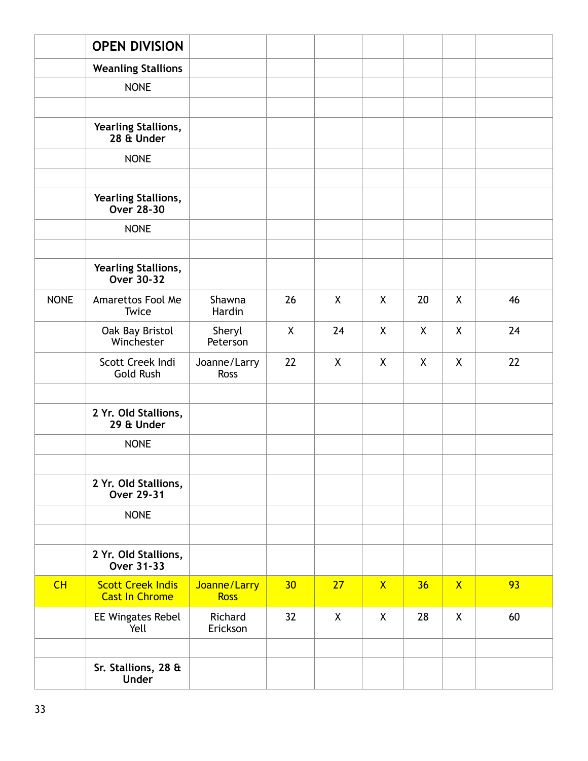|             | <b>OPEN DIVISION</b>                              |                             |    |              |              |              |              |    |
|-------------|---------------------------------------------------|-----------------------------|----|--------------|--------------|--------------|--------------|----|
|             | <b>Weanling Stallions</b>                         |                             |    |              |              |              |              |    |
|             | <b>NONE</b>                                       |                             |    |              |              |              |              |    |
|             |                                                   |                             |    |              |              |              |              |    |
|             | Yearling Stallions,<br>28 & Under                 |                             |    |              |              |              |              |    |
|             | <b>NONE</b>                                       |                             |    |              |              |              |              |    |
|             |                                                   |                             |    |              |              |              |              |    |
|             | Yearling Stallions,<br>Over 28-30                 |                             |    |              |              |              |              |    |
|             | <b>NONE</b>                                       |                             |    |              |              |              |              |    |
|             |                                                   |                             |    |              |              |              |              |    |
|             | Yearling Stallions,<br>Over 30-32                 |                             |    |              |              |              |              |    |
| <b>NONE</b> | Amarettos Fool Me<br>Twice                        | Shawna<br>Hardin            | 26 | X            | X            | 20           | X            | 46 |
|             | Oak Bay Bristol<br>Winchester                     | Sheryl<br>Peterson          | X  | 24           | $\mathsf{X}$ | X            | $\mathsf{X}$ | 24 |
|             | Scott Creek Indi<br><b>Gold Rush</b>              | Joanne/Larry<br><b>Ross</b> | 22 | $\mathsf{X}$ | X            | $\mathsf{X}$ | $\mathsf{X}$ | 22 |
|             | 2 Yr. Old Stallions,<br>29 & Under                |                             |    |              |              |              |              |    |
|             | <b>NONE</b>                                       |                             |    |              |              |              |              |    |
|             |                                                   |                             |    |              |              |              |              |    |
|             | 2 Yr. Old Stallions,<br>Over 29-31                |                             |    |              |              |              |              |    |
|             | <b>NONE</b>                                       |                             |    |              |              |              |              |    |
|             |                                                   |                             |    |              |              |              |              |    |
|             | 2 Yr. Old Stallions,<br>Over 31-33                |                             |    |              |              |              |              |    |
| CH          | <b>Scott Creek Indis</b><br><b>Cast In Chrome</b> | Joanne/Larry<br><b>Ross</b> | 30 | 27           | $\mathsf{X}$ | 36           | $\mathsf{X}$ | 93 |
|             | EE Wingates Rebel<br>Yell                         | Richard<br>Erickson         | 32 | $\mathsf{X}$ | X            | 28           | $\mathsf{X}$ | 60 |
|             | Sr. Stallions, 28 &<br><b>Under</b>               |                             |    |              |              |              |              |    |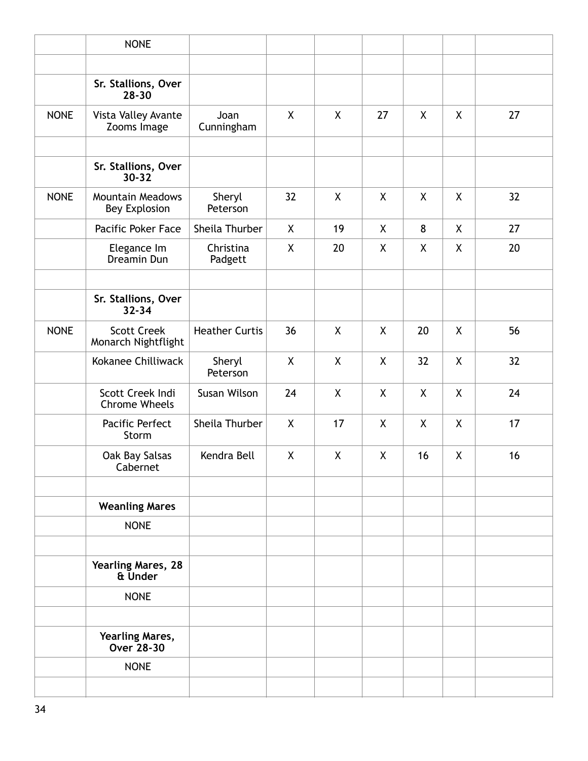|             | <b>NONE</b>                                 |                       |              |                           |                    |    |         |    |
|-------------|---------------------------------------------|-----------------------|--------------|---------------------------|--------------------|----|---------|----|
|             |                                             |                       |              |                           |                    |    |         |    |
|             | Sr. Stallions, Over<br>$28 - 30$            |                       |              |                           |                    |    |         |    |
| <b>NONE</b> | Vista Valley Avante<br>Zooms Image          | Joan<br>Cunningham    | X            | $\boldsymbol{\mathsf{X}}$ | 27                 | X  | X       | 27 |
|             |                                             |                       |              |                           |                    |    |         |    |
|             | Sr. Stallions, Over<br>$30 - 32$            |                       |              |                           |                    |    |         |    |
| <b>NONE</b> | <b>Mountain Meadows</b><br>Bey Explosion    | Sheryl<br>Peterson    | 32           | X                         | X                  | X  | X       | 32 |
|             | Pacific Poker Face                          | Sheila Thurber        | X            | 19                        | X                  | 8  | X       | 27 |
|             | Elegance Im<br>Dreamin Dun                  | Christina<br>Padgett  | X            | 20                        | X                  | X. | X       | 20 |
|             | Sr. Stallions, Over<br>$32 - 34$            |                       |              |                           |                    |    |         |    |
| <b>NONE</b> | <b>Scott Creek</b><br>Monarch Nightflight   | <b>Heather Curtis</b> | 36           | X                         | X                  | 20 | X       | 56 |
|             | Kokanee Chilliwack                          | Sheryl<br>Peterson    | $\mathsf{X}$ | $\boldsymbol{\mathsf{X}}$ | X                  | 32 | $\sf X$ | 32 |
|             | Scott Creek Indi<br><b>Chrome Wheels</b>    | Susan Wilson          | 24           | X                         | X                  | X  | X       | 24 |
|             | Pacific Perfect<br>Storm                    | Sheila Thurber        | X            | 17                        | $\pmb{\mathsf{X}}$ | χ  | χ       | 17 |
|             | Oak Bay Salsas<br>Cabernet                  | Kendra Bell           | X            | $\pmb{\mathsf{X}}$        | X                  | 16 | χ       | 16 |
|             | <b>Weanling Mares</b>                       |                       |              |                           |                    |    |         |    |
|             | <b>NONE</b>                                 |                       |              |                           |                    |    |         |    |
|             | <b>Yearling Mares, 28</b><br>& Under        |                       |              |                           |                    |    |         |    |
|             | <b>NONE</b>                                 |                       |              |                           |                    |    |         |    |
|             | <b>Yearling Mares,</b><br><b>Over 28-30</b> |                       |              |                           |                    |    |         |    |
|             | <b>NONE</b>                                 |                       |              |                           |                    |    |         |    |
|             |                                             |                       |              |                           |                    |    |         |    |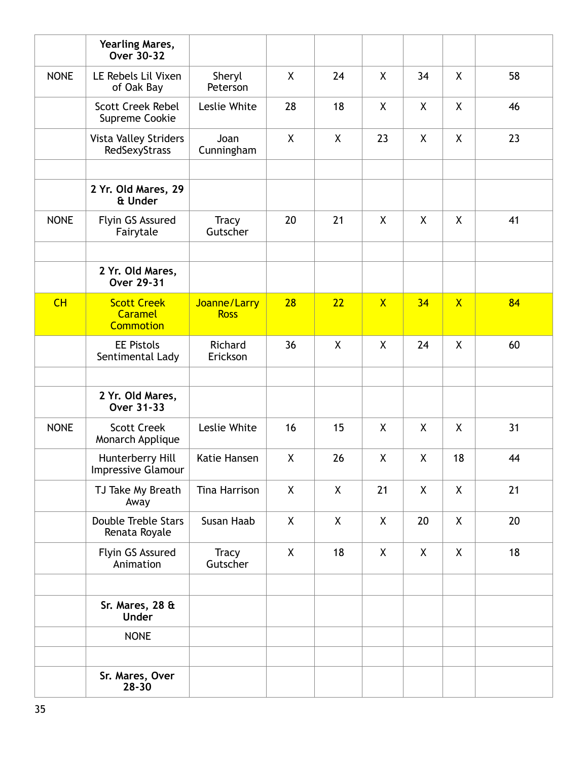|             | <b>Yearling Mares,</b><br>Over 30-32                     |                             |    |                           |                         |    |                |    |
|-------------|----------------------------------------------------------|-----------------------------|----|---------------------------|-------------------------|----|----------------|----|
| <b>NONE</b> | LE Rebels Lil Vixen<br>of Oak Bay                        | Sheryl<br>Peterson          | X  | 24                        | X                       | 34 | X              | 58 |
|             | <b>Scott Creek Rebel</b><br>Supreme Cookie               | Leslie White                | 28 | 18                        | X                       | X  | $\mathsf{X}$   | 46 |
|             | <b>Vista Valley Striders</b><br>RedSexyStrass            | Joan<br>Cunningham          | X  | X                         | 23                      | X  | X              | 23 |
|             | 2 Yr. Old Mares, 29<br>& Under                           |                             |    |                           |                         |    |                |    |
| <b>NONE</b> | Flyin GS Assured<br>Fairytale                            | <b>Tracy</b><br>Gutscher    | 20 | 21                        | X                       | X  | X              | 41 |
|             | 2 Yr. Old Mares,<br><b>Over 29-31</b>                    |                             |    |                           |                         |    |                |    |
| CH          | <b>Scott Creek</b><br><b>Caramel</b><br><b>Commotion</b> | Joanne/Larry<br><b>Ross</b> | 28 | 22                        | $\overline{\mathsf{X}}$ | 34 | $\overline{X}$ | 84 |
|             | <b>EE Pistols</b><br>Sentimental Lady                    | Richard<br>Erickson         | 36 | $\boldsymbol{\mathsf{X}}$ | X                       | 24 | X              | 60 |
|             |                                                          |                             |    |                           |                         |    |                |    |
|             | 2 Yr. Old Mares,<br><b>Over 31-33</b>                    |                             |    |                           |                         |    |                |    |
| <b>NONE</b> | <b>Scott Creek</b><br>Monarch Applique                   | Leslie White                | 16 | 15                        | X                       | X  | X              | 31 |
|             | Hunterberry Hill<br><b>Impressive Glamour</b>            | Katie Hansen                | Χ  | 26                        | X                       | Χ  | 18             | 44 |
|             | TJ Take My Breath<br>Away                                | Tina Harrison               | X  | X                         | 21                      | X  | X              | 21 |
|             | <b>Double Treble Stars</b><br>Renata Royale              | Susan Haab                  | X  | X                         | X                       | 20 | X              | 20 |
|             | Flyin GS Assured<br>Animation                            | <b>Tracy</b><br>Gutscher    | X  | 18                        | X                       | X  | X              | 18 |
|             |                                                          |                             |    |                           |                         |    |                |    |
|             | Sr. Mares, 28 &<br><b>Under</b>                          |                             |    |                           |                         |    |                |    |
|             | <b>NONE</b>                                              |                             |    |                           |                         |    |                |    |
|             |                                                          |                             |    |                           |                         |    |                |    |
|             | Sr. Mares, Over<br>$28 - 30$                             |                             |    |                           |                         |    |                |    |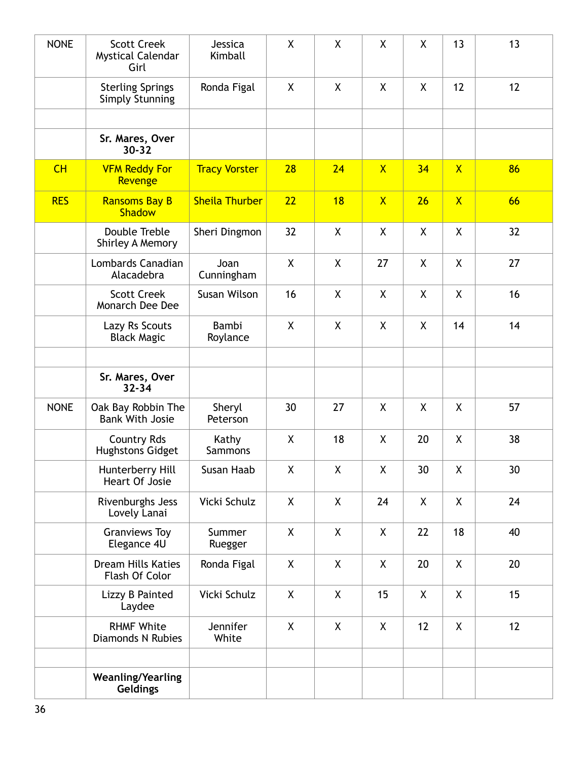| <b>NONE</b> | <b>Scott Creek</b><br><b>Mystical Calendar</b><br>Girl | Jessica<br>Kimball      | X            | X            | X              | X  | 13             | 13 |
|-------------|--------------------------------------------------------|-------------------------|--------------|--------------|----------------|----|----------------|----|
|             | <b>Sterling Springs</b><br><b>Simply Stunning</b>      | Ronda Figal             | X            | X            | X              | X  | 12             | 12 |
|             |                                                        |                         |              |              |                |    |                |    |
|             | Sr. Mares, Over<br>$30 - 32$                           |                         |              |              |                |    |                |    |
| CH          | <b>VFM Reddy For</b><br>Revenge                        | <b>Tracy Vorster</b>    | 28           | 24           | $\mathsf{X}$   | 34 | $\overline{X}$ | 86 |
| <b>RES</b>  | <b>Ransoms Bay B</b><br><b>Shadow</b>                  | <b>Sheila Thurber</b>   | 22           | 18           | $\overline{X}$ | 26 | $\overline{X}$ | 66 |
|             | Double Treble<br>Shirley A Memory                      | Sheri Dingmon           | 32           | X            | X              | X  | X              | 32 |
|             | Lombards Canadian<br>Alacadebra                        | Joan<br>Cunningham      | X            | X            | 27             | X  | X              | 27 |
|             | <b>Scott Creek</b><br>Monarch Dee Dee                  | Susan Wilson            | 16           | X            | X              | X  | X              | 16 |
|             | Lazy Rs Scouts<br><b>Black Magic</b>                   | Bambi<br>Roylance       | $\mathsf{X}$ | $\mathsf{X}$ | X              | X  | 14             | 14 |
|             |                                                        |                         |              |              |                |    |                |    |
|             | Sr. Mares, Over<br>$32 - 34$                           |                         |              |              |                |    |                |    |
|             |                                                        |                         |              |              |                |    |                |    |
| <b>NONE</b> | Oak Bay Robbin The<br><b>Bank With Josie</b>           | Sheryl<br>Peterson      | 30           | 27           | X              | X  | $\mathsf{X}$   | 57 |
|             | <b>Country Rds</b><br><b>Hughstons Gidget</b>          | Kathy<br><b>Sammons</b> | X            | 18           | X              | 20 | X              | 38 |
|             | Hunterberry Hill<br>Heart Of Josie                     | Susan Haab              | X            | X            | X              | 30 | χ              | 30 |
|             | Rivenburghs Jess<br>Lovely Lanai                       | Vicki Schulz            | X            | X            | 24             | X  | X              | 24 |
|             | <b>Granviews Toy</b><br>Elegance 4U                    | Summer<br>Ruegger       | X            | X            | X              | 22 | 18             | 40 |
|             | <b>Dream Hills Katies</b><br>Flash Of Color            | Ronda Figal             | X            | X            | X              | 20 | X              | 20 |
|             | Lizzy B Painted<br>Laydee                              | Vicki Schulz            | X            | X            | 15             | X  | X              | 15 |
|             | <b>RHMF White</b><br><b>Diamonds N Rubies</b>          | Jennifer<br>White       | X            | X            | X              | 12 | X              | 12 |
|             |                                                        |                         |              |              |                |    |                |    |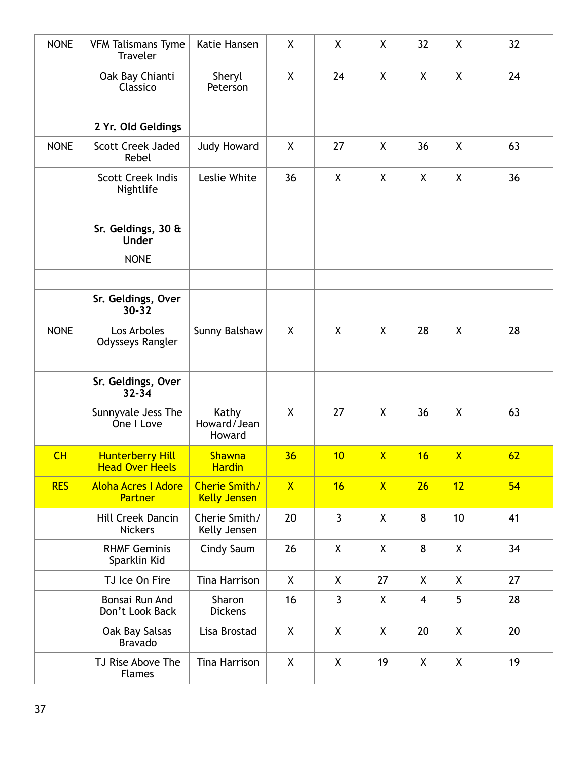| <b>NONE</b> | <b>VFM Talismans Tyme</b><br><b>Traveler</b>      | Katie Hansen                                | X            | X            | X            | 32             | X            | 32 |
|-------------|---------------------------------------------------|---------------------------------------------|--------------|--------------|--------------|----------------|--------------|----|
|             | Oak Bay Chianti<br>Classico                       | Sheryl<br>Peterson                          | X            | 24           | X            | X              | X            | 24 |
|             |                                                   |                                             |              |              |              |                |              |    |
|             | 2 Yr. Old Geldings                                |                                             |              |              |              |                |              |    |
| <b>NONE</b> | <b>Scott Creek Jaded</b><br>Rebel                 | <b>Judy Howard</b>                          | X            | 27           | X            | 36             | X            | 63 |
|             | <b>Scott Creek Indis</b><br>Nightlife             | Leslie White                                | 36           | X            | X            | X              | X            | 36 |
|             | Sr. Geldings, 30 &<br><b>Under</b>                |                                             |              |              |              |                |              |    |
|             | <b>NONE</b>                                       |                                             |              |              |              |                |              |    |
|             | Sr. Geldings, Over<br>$30 - 32$                   |                                             |              |              |              |                |              |    |
| <b>NONE</b> | Los Arboles<br>Odysseys Rangler                   | Sunny Balshaw                               | X            | X            | X            | 28             | X            | 28 |
|             | Sr. Geldings, Over<br>$32 - 34$                   |                                             |              |              |              |                |              |    |
|             | Sunnyvale Jess The<br>One I Love                  | Kathy<br>Howard/Jean<br>Howard              | X            | 27           | X            | 36             | X            | 63 |
| CH          | <b>Hunterberry Hill</b><br><b>Head Over Heels</b> | <b>Shawna</b><br><u>Hardin</u>              | 36           | 10           | $\mathsf{X}$ | 16             | $\mathsf{X}$ | 62 |
| <b>RES</b>  | <b>Aloha Acres I Adore</b><br>Partner             | <b>Cherie Smith/</b><br><b>Kelly Jensen</b> | $\mathsf{X}$ | 16           | $\mathsf{X}$ | 26             | 12           | 54 |
|             | Hill Creek Dancin<br><b>Nickers</b>               | Cherie Smith/<br>Kelly Jensen               | 20           | $\mathbf{3}$ | X            | 8              | 10           | 41 |
|             | <b>RHMF Geminis</b><br>Sparklin Kid               | Cindy Saum                                  | 26           | X            | X            | 8              | X            | 34 |
|             | TJ Ice On Fire                                    | Tina Harrison                               | $\mathsf{X}$ | X            | 27           | X              | X            | 27 |
|             | Bonsai Run And<br>Don't Look Back                 | Sharon<br><b>Dickens</b>                    | 16           | $\mathbf{3}$ | X            | $\overline{4}$ | 5            | 28 |
|             | Oak Bay Salsas<br><b>Bravado</b>                  | Lisa Brostad                                | $\mathsf{X}$ | $\mathsf{X}$ | X            | 20             | X            | 20 |
|             | TJ Rise Above The<br><b>Flames</b>                | Tina Harrison                               | $\mathsf{X}$ | X            | 19           | X              | X            | 19 |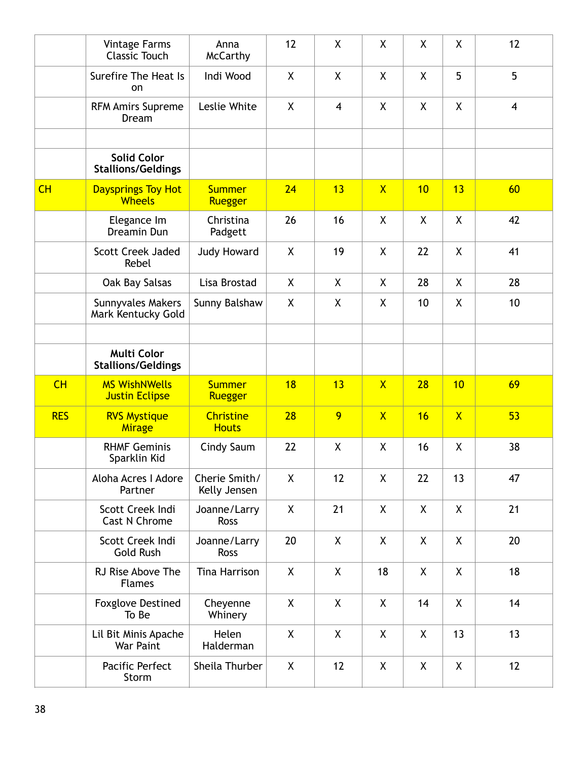|            | <b>Vintage Farms</b><br><b>Classic Touch</b>    | Anna<br><b>McCarthy</b>          | 12           | X              | X                       | X  | X                       | 12             |
|------------|-------------------------------------------------|----------------------------------|--------------|----------------|-------------------------|----|-------------------------|----------------|
|            | Surefire The Heat Is<br>on                      | Indi Wood                        | X            | X              | X                       | X  | 5                       | 5              |
|            | <b>RFM Amirs Supreme</b><br>Dream               | Leslie White                     | X            | $\overline{4}$ | X                       | X  | X                       | $\overline{4}$ |
|            |                                                 |                                  |              |                |                         |    |                         |                |
|            | <b>Solid Color</b><br><b>Stallions/Geldings</b> |                                  |              |                |                         |    |                         |                |
| CH         | <b>Daysprings Toy Hot</b><br><b>Wheels</b>      | <b>Summer</b><br>Ruegger         | 24           | 13             | $\overline{\mathsf{X}}$ | 10 | 13                      | 60             |
|            | Elegance Im<br>Dreamin Dun                      | Christina<br>Padgett             | 26           | 16             | X                       | X  | X                       | 42             |
|            | <b>Scott Creek Jaded</b><br>Rebel               | <b>Judy Howard</b>               | X            | 19             | X                       | 22 | X                       | 41             |
|            | Oak Bay Salsas                                  | Lisa Brostad                     | $\mathsf{X}$ | $\sf X$        | X                       | 28 | $\mathsf{X}$            | 28             |
|            | Sunnyvales Makers<br>Mark Kentucky Gold         | Sunny Balshaw                    | $\mathsf{X}$ | X              | X                       | 10 | $\mathsf{X}$            | 10             |
|            |                                                 |                                  |              |                |                         |    |                         |                |
|            | <b>Multi Color</b><br><b>Stallions/Geldings</b> |                                  |              |                |                         |    |                         |                |
| CH         | <b>MS WishNWells</b><br><b>Justin Eclipse</b>   | <b>Summer</b><br>Ruegger         | 18           | 13             | $\overline{\mathsf{X}}$ | 28 | 10                      | 69             |
| <b>RES</b> | <b>RVS Mystique</b><br><b>Mirage</b>            | <b>Christine</b><br><b>Houts</b> | 28           | 9              | $\mathsf{X}$            | 16 | $\overline{\mathsf{X}}$ | 53             |
|            | <b>RHMF Geminis</b><br>Sparklin Kid             | Cindy Saum                       | 22           | X              | X                       | 16 | X                       | 38             |
|            | Aloha Acres I Adore<br>Partner                  | Cherie Smith/<br>Kelly Jensen    | X            | 12             | X                       | 22 | 13                      | 47             |
|            | Scott Creek Indi<br><b>Cast N Chrome</b>        | Joanne/Larry<br>Ross             | X            | 21             | X                       | X  | X                       | 21             |
|            | Scott Creek Indi<br><b>Gold Rush</b>            | Joanne/Larry<br>Ross             | 20           | X              | X                       | X  | X                       | 20             |
|            | RJ Rise Above The<br><b>Flames</b>              | <b>Tina Harrison</b>             | X            | X              | 18                      | X  | X                       | 18             |
|            | <b>Foxglove Destined</b><br>To Be               | Cheyenne<br>Whinery              | X            | X              | X                       | 14 | X                       | 14             |
|            | Lil Bit Minis Apache<br>War Paint               | Helen<br>Halderman               | X            | X              | X                       | X  | 13                      | 13             |
|            | Pacific Perfect<br>Storm                        | Sheila Thurber                   | $\mathsf{X}$ | 12             | X                       | X  | X                       | 12             |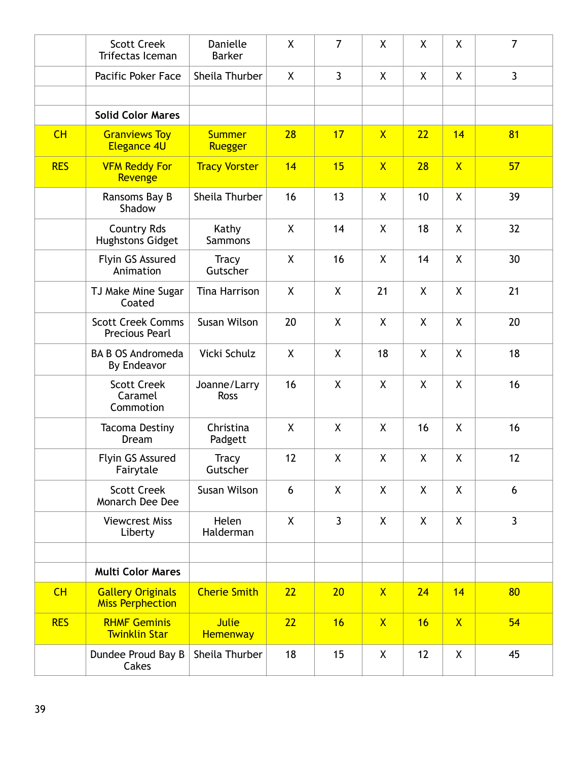|            | <b>Scott Creek</b><br>Trifectas Iceman              | Danielle<br><b>Barker</b>       | X            | $\overline{7}$ | X                       | X            | χ              | $\overline{7}$ |
|------------|-----------------------------------------------------|---------------------------------|--------------|----------------|-------------------------|--------------|----------------|----------------|
|            | Pacific Poker Face                                  | Sheila Thurber                  | X            | $\mathbf{3}$   | X                       | $\mathsf{X}$ | X              | $\overline{3}$ |
|            |                                                     |                                 |              |                |                         |              |                |                |
|            | <b>Solid Color Mares</b>                            |                                 |              |                |                         |              |                |                |
| CH         | <b>Granviews Toy</b><br><b>Elegance 4U</b>          | <b>Summer</b><br>Ruegger        | 28           | 17             | $\mathsf{X}$            | 22           | 14             | 81             |
| <b>RES</b> | <b>VFM Reddy For</b><br>Revenge                     | <b>Tracy Vorster</b>            | 14           | 15             | $\overline{\mathsf{X}}$ | 28           | $\overline{X}$ | 57             |
|            | Ransoms Bay B<br>Shadow                             | Sheila Thurber                  | 16           | 13             | X                       | 10           | X              | 39             |
|            | <b>Country Rds</b><br><b>Hughstons Gidget</b>       | Kathy<br>Sammons                | X            | 14             | X                       | 18           | X              | 32             |
|            | Flyin GS Assured<br>Animation                       | <b>Tracy</b><br>Gutscher        | X            | 16             | X                       | 14           | X.             | 30             |
|            | TJ Make Mine Sugar<br>Coated                        | Tina Harrison                   | $\mathsf{X}$ | X              | 21                      | $\mathsf{X}$ | $\mathsf{X}$   | 21             |
|            | <b>Scott Creek Comms</b><br><b>Precious Pearl</b>   | Susan Wilson                    | 20           | X              | X                       | X            | χ              | 20             |
|            | <b>BA B OS Andromeda</b><br>By Endeavor             | Vicki Schulz                    | X            | X              | 18                      | X            | X              | 18             |
|            | <b>Scott Creek</b><br>Caramel<br>Commotion          | Joanne/Larry<br><b>Ross</b>     | 16           | X              | X                       | X            | X              | 16             |
|            | <b>Tacoma Destiny</b><br>Dream                      | Christina<br>Padgett            | X            | X              | X                       | 16           | X.             | 16             |
|            | Flyin GS Assured<br>Fairytale                       | <b>Tracy</b><br>Gutscher        | 12           | X              | X                       | X            | χ              | 12             |
|            | <b>Scott Creek</b><br>Monarch Dee Dee               | Susan Wilson                    | 6            | X              | X                       | $\mathsf{X}$ | X              | 6              |
|            | <b>Viewcrest Miss</b><br>Liberty                    | Helen<br>Halderman              | X            | 3              | X                       | X            | X              | $\mathbf{3}$   |
|            |                                                     |                                 |              |                |                         |              |                |                |
|            | <b>Multi Color Mares</b>                            |                                 |              |                |                         |              |                |                |
| CH         | <b>Gallery Originals</b><br><b>Miss Perphection</b> | <b>Cherie Smith</b>             | 22           | 20             | $\mathsf{X}$            | 24           | 14             | 80             |
| <b>RES</b> | <b>RHMF Geminis</b><br><b>Twinklin Star</b>         | <b>Julie</b><br><b>Hemenway</b> | 22           | 16             | $\mathsf{X}$            | 16           | $\mathsf{X}$   | 54             |
|            | Dundee Proud Bay B<br>Cakes                         | Sheila Thurber                  | 18           | 15             | X                       | 12           | X              | 45             |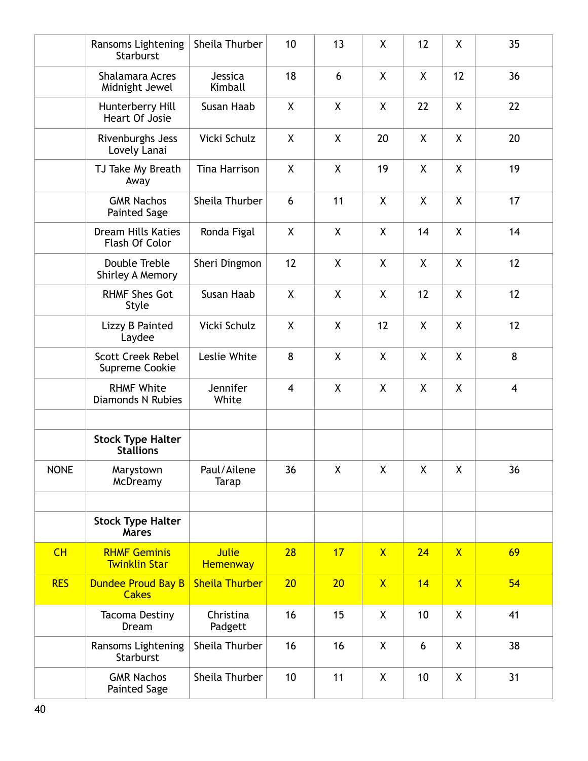|             | Ransoms Lightening<br>Starburst               | Sheila Thurber                  | 10                      | 13           | X                  | 12                 | X            | 35 |
|-------------|-----------------------------------------------|---------------------------------|-------------------------|--------------|--------------------|--------------------|--------------|----|
|             | Shalamara Acres<br>Midnight Jewel             | Jessica<br>Kimball              | 18                      | 6            | X                  | X                  | 12           | 36 |
|             | Hunterberry Hill<br>Heart Of Josie            | Susan Haab                      | X                       | X            | $\pmb{\mathsf{X}}$ | 22                 | X            | 22 |
|             | Rivenburghs Jess<br>Lovely Lanai              | Vicki Schulz                    | X                       | X            | 20                 | X                  | X            | 20 |
|             | TJ Take My Breath<br>Away                     | Tina Harrison                   | X                       | X            | 19                 | $\mathsf{X}$       | X            | 19 |
|             | <b>GMR Nachos</b><br><b>Painted Sage</b>      | Sheila Thurber                  | 6                       | 11           | X                  | X                  | X.           | 17 |
|             | <b>Dream Hills Katies</b><br>Flash Of Color   | Ronda Figal                     | X                       | X            | X                  | 14                 | X            | 14 |
|             | Double Treble<br>Shirley A Memory             | Sheri Dingmon                   | 12                      | X            | X                  | X                  | X            | 12 |
|             | <b>RHMF Shes Got</b><br>Style                 | Susan Haab                      | X                       | X            | X                  | 12                 | χ            | 12 |
|             | Lizzy B Painted<br>Laydee                     | Vicki Schulz                    | X                       | $\pmb{\chi}$ | 12                 | X                  | X            | 12 |
|             | <b>Scott Creek Rebel</b><br>Supreme Cookie    | Leslie White                    | 8                       | X            | X                  | X                  | X            | 8  |
|             | <b>RHMF White</b><br><b>Diamonds N Rubies</b> | Jennifer<br>White               | $\overline{\mathbf{4}}$ | X            | X                  | X                  | X.           | 4  |
|             | <b>Stock Type Halter</b><br><b>Stallions</b>  |                                 |                         |              |                    |                    |              |    |
| <b>NONE</b> | Marystown<br>McDreamy                         | Paul/Ailene<br>Tarap            | 36                      | X            | X                  | $\pmb{\mathsf{X}}$ | χ            | 36 |
|             |                                               |                                 |                         |              |                    |                    |              |    |
|             | <b>Stock Type Halter</b><br><b>Mares</b>      |                                 |                         |              |                    |                    |              |    |
| CH          | <b>RHMF Geminis</b><br><b>Twinklin Star</b>   | <b>Julie</b><br><b>Hemenway</b> | 28                      | 17           | $\overline{X}$     | 24                 | $\mathsf{X}$ | 69 |
| <b>RES</b>  | <b>Dundee Proud Bay B</b><br><b>Cakes</b>     | <b>Sheila Thurber</b>           | 20                      | 20           | $\mathsf{X}$       | 14                 | $\mathsf{X}$ | 54 |
|             | <b>Tacoma Destiny</b><br>Dream                | Christina<br>Padgett            | 16                      | 15           | X                  | 10                 | X            | 41 |
|             | Ransoms Lightening<br>Starburst               | Sheila Thurber                  | 16                      | 16           | X                  | 6                  | X            | 38 |
|             | <b>GMR Nachos</b><br><b>Painted Sage</b>      | Sheila Thurber                  | 10                      | 11           | X                  | 10                 | χ            | 31 |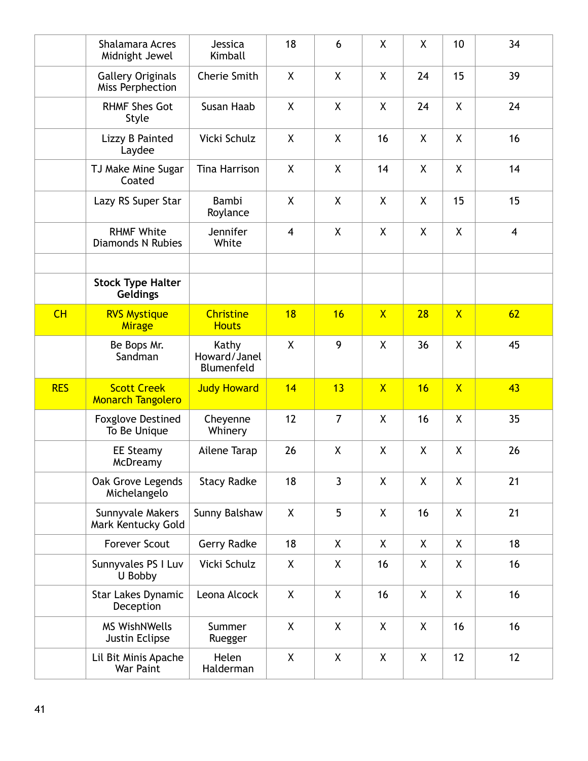|            | <b>Shalamara Acres</b><br>Midnight Jewel       | Jessica<br>Kimball                  | 18             | 6              | X            | X  | 10                      | 34             |
|------------|------------------------------------------------|-------------------------------------|----------------|----------------|--------------|----|-------------------------|----------------|
|            | <b>Gallery Originals</b><br>Miss Perphection   | Cherie Smith                        | X              | X              | X            | 24 | 15                      | 39             |
|            | <b>RHMF Shes Got</b><br>Style                  | Susan Haab                          | X              | X              | X            | 24 | X                       | 24             |
|            | Lizzy B Painted<br>Laydee                      | Vicki Schulz                        | X              | X              | 16           | X  | X                       | 16             |
|            | TJ Make Mine Sugar<br>Coated                   | Tina Harrison                       | X              | X              | 14           | X  | X                       | 14             |
|            | Lazy RS Super Star                             | Bambi<br>Roylance                   | X              | X              | X            | X  | 15                      | 15             |
|            | <b>RHMF White</b><br><b>Diamonds N Rubies</b>  | Jennifer<br>White                   | $\overline{4}$ | X              | X            | X  | X                       | $\overline{4}$ |
|            |                                                |                                     |                |                |              |    |                         |                |
|            | <b>Stock Type Halter</b><br><b>Geldings</b>    |                                     |                |                |              |    |                         |                |
| CH         | <b>RVS Mystique</b><br><b>Mirage</b>           | <b>Christine</b><br><b>Houts</b>    | 18             | 16             | $\mathsf{X}$ | 28 | $\overline{\mathsf{X}}$ | 62             |
|            | Be Bops Mr.<br>Sandman                         | Kathy<br>Howard/Janel<br>Blumenfeld | $\mathsf{X}$   | 9              | X            | 36 | X                       | 45             |
| <b>RES</b> | <b>Scott Creek</b><br><b>Monarch Tangolero</b> | <b>Judy Howard</b>                  | 14             | 13             | $\mathsf{X}$ | 16 | $\overline{\mathsf{X}}$ | 43             |
|            | <b>Foxglove Destined</b><br>To Be Unique       | Cheyenne<br>Whinery                 | 12             | $\overline{7}$ | X            | 16 | X                       | 35             |
|            | <b>EE Steamy</b><br>McDreamy                   | Ailene Tarap                        | 26             | X              | X            | X  | X                       | 26             |
|            | Oak Grove Legends<br>Michelangelo              | <b>Stacy Radke</b>                  | 18             | $\mathbf{3}$   | X            | X  | X                       | 21             |
|            | Sunnyvale Makers<br>Mark Kentucky Gold         | Sunny Balshaw                       | X              | 5              | X            | 16 | X                       | 21             |
|            | <b>Forever Scout</b>                           | Gerry Radke                         | 18             | X              | X            | X  | X                       | 18             |
|            | Sunnyvales PS I Luv<br>U Bobby                 | Vicki Schulz                        | X              | X              | 16           | X  | X                       | 16             |
|            | <b>Star Lakes Dynamic</b><br>Deception         | Leona Alcock                        | X              | X              | 16           | X  | X                       | 16             |
|            | <b>MS WishNWells</b><br>Justin Eclipse         | Summer<br>Ruegger                   | X              | X              | X            | X  | 16                      | 16             |
|            | Lil Bit Minis Apache<br>War Paint              | Helen<br>Halderman                  | X              | X              | X            | X  | 12                      | 12             |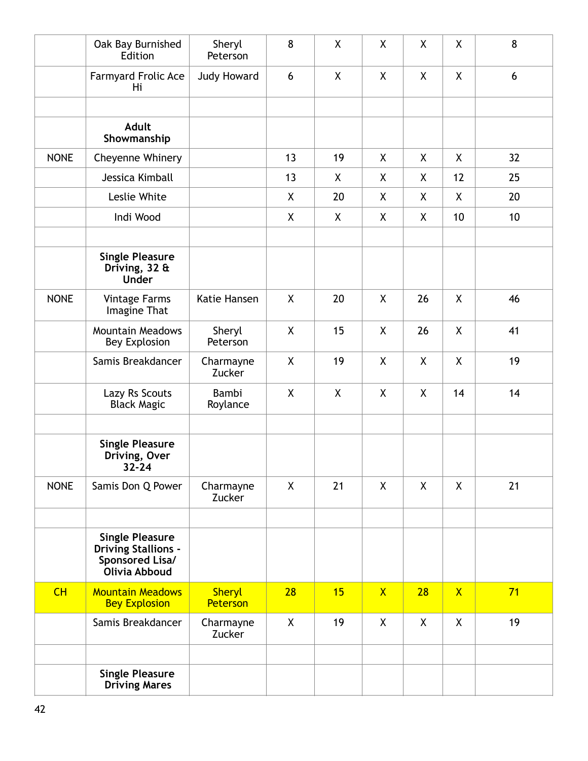|             | Oak Bay Burnished<br>Edition                                                             | Sheryl<br>Peterson        | 8            | X            | X            | X  | X            | 8  |
|-------------|------------------------------------------------------------------------------------------|---------------------------|--------------|--------------|--------------|----|--------------|----|
|             | <b>Farmyard Frolic Ace</b><br>Hi                                                         | Judy Howard               | 6            | X            | X            | X  | X            | 6  |
|             |                                                                                          |                           |              |              |              |    |              |    |
|             | <b>Adult</b><br>Showmanship                                                              |                           |              |              |              |    |              |    |
| <b>NONE</b> | Cheyenne Whinery                                                                         |                           | 13           | 19           | X            | X  | $\mathsf{X}$ | 32 |
|             | Jessica Kimball                                                                          |                           | 13           | X            | X            | X. | 12           | 25 |
|             | Leslie White                                                                             |                           | X            | 20           | X            | X  | X            | 20 |
|             | Indi Wood                                                                                |                           | $\mathsf{X}$ | $\mathsf{X}$ | X            | X. | 10           | 10 |
|             | <b>Single Pleasure</b><br>Driving, $32 \text{ ft}$<br><b>Under</b>                       |                           |              |              |              |    |              |    |
| <b>NONE</b> | <b>Vintage Farms</b><br>Imagine That                                                     | Katie Hansen              | X            | 20           | X            | 26 | X            | 46 |
|             | <b>Mountain Meadows</b><br><b>Bey Explosion</b>                                          | Sheryl<br>Peterson        | X            | 15           | X            | 26 | X            | 41 |
|             | Samis Breakdancer                                                                        | Charmayne<br>Zucker       | X            | 19           | X            | X  | X            | 19 |
|             | Lazy Rs Scouts<br><b>Black Magic</b>                                                     | Bambi<br>Roylance         | X            | X            | X            | X  | 14           | 14 |
|             | <b>Single Pleasure</b><br>Driving, Over<br>32-24                                         |                           |              |              |              |    |              |    |
| <b>NONE</b> | Samis Don Q Power                                                                        | Charmayne<br>Zucker       | X            | 21           | X            | X  | X            | 21 |
|             | <b>Single Pleasure</b><br><b>Driving Stallions -</b><br>Sponsored Lisa/<br>Olivia Abboud |                           |              |              |              |    |              |    |
| CH          | <b>Mountain Meadows</b><br><b>Bey Explosion</b>                                          | <b>Sheryl</b><br>Peterson | 28           | 15           | $\mathsf{X}$ | 28 | $\mathsf{X}$ | 71 |
|             | Samis Breakdancer                                                                        | Charmayne<br>Zucker       | X            | 19           | X            | X  | X            | 19 |
|             | <b>Single Pleasure</b><br><b>Driving Mares</b>                                           |                           |              |              |              |    |              |    |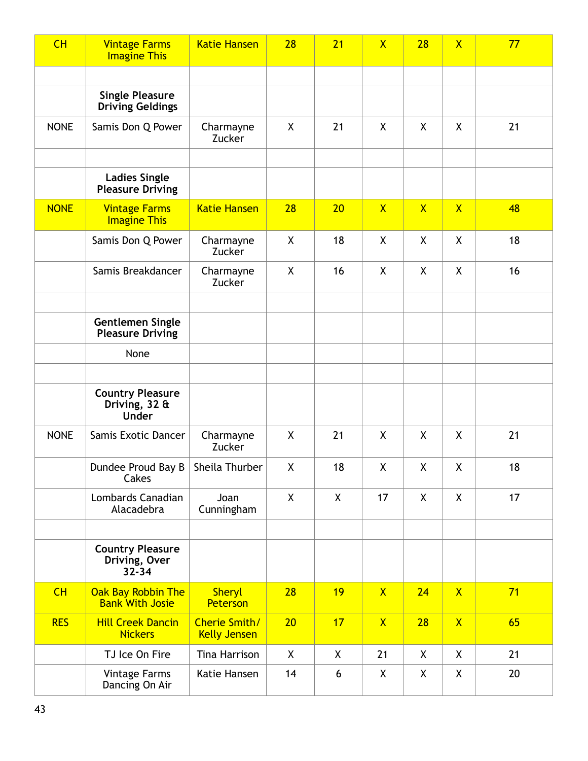| CH          | <b>Vintage Farms</b><br><b>Imagine This</b>              | <b>Katie Hansen</b>                  | 28           | 21 | $\mathsf{X}$   | 28           | $\overline{\mathsf{X}}$ | 77 |
|-------------|----------------------------------------------------------|--------------------------------------|--------------|----|----------------|--------------|-------------------------|----|
|             |                                                          |                                      |              |    |                |              |                         |    |
|             | <b>Single Pleasure</b><br><b>Driving Geldings</b>        |                                      |              |    |                |              |                         |    |
| <b>NONE</b> | Samis Don Q Power                                        | Charmayne<br>Zucker                  | X            | 21 | X              | X            | X                       | 21 |
|             |                                                          |                                      |              |    |                |              |                         |    |
|             | <b>Ladies Single</b><br><b>Pleasure Driving</b>          |                                      |              |    |                |              |                         |    |
| <b>NONE</b> | <b>Vintage Farms</b><br><b>Imagine This</b>              | <b>Katie Hansen</b>                  | 28           | 20 | $\overline{X}$ | $\mathsf{X}$ | $\mathsf{X}$            | 48 |
|             | Samis Don Q Power                                        | Charmayne<br>Zucker                  | X            | 18 | X              | X            | X                       | 18 |
|             | Samis Breakdancer                                        | Charmayne<br>Zucker                  | X            | 16 | X              | X            | X                       | 16 |
|             |                                                          |                                      |              |    |                |              |                         |    |
|             | <b>Gentlemen Single</b><br><b>Pleasure Driving</b>       |                                      |              |    |                |              |                         |    |
|             | None                                                     |                                      |              |    |                |              |                         |    |
|             |                                                          |                                      |              |    |                |              |                         |    |
|             | <b>Country Pleasure</b><br>Driving, 32 &<br><b>Under</b> |                                      |              |    |                |              |                         |    |
| <b>NONE</b> | Samis Exotic Dancer                                      | Charmayne<br>Zucker                  | X            | 21 | X              | X            | X                       | 21 |
|             | Dundee Proud Bay B   Sheila Thurber<br>Cakes             |                                      | $\mathsf{X}$ | 18 | $\mathsf{X}$   | $\mathsf{X}$ | $\mathsf{X}$            | 18 |
|             | Lombards Canadian<br>Alacadebra                          | Joan<br>Cunningham                   | X            | X  | 17             | X            | X                       | 17 |
|             |                                                          |                                      |              |    |                |              |                         |    |
|             | <b>Country Pleasure</b><br>Driving, Over<br>$32 - 34$    |                                      |              |    |                |              |                         |    |
| CH          | Oak Bay Robbin The<br><b>Bank With Josie</b>             | <b>Sheryl</b><br>Peterson            | 28           | 19 | $\mathsf{X}$   | 24           | $\mathsf{X}$            | 71 |
| <b>RES</b>  | <b>Hill Creek Dancin</b><br><b>Nickers</b>               | Cherie Smith/<br><b>Kelly Jensen</b> | 20           | 17 | $\mathsf{X}$   | 28           | $\mathsf{X}$            | 65 |
|             | TJ Ice On Fire                                           | Tina Harrison                        | X            | X  | 21             | X            | X                       | 21 |
|             | Vintage Farms<br>Dancing On Air                          | Katie Hansen                         | 14           | 6  | X              | X            | X                       | 20 |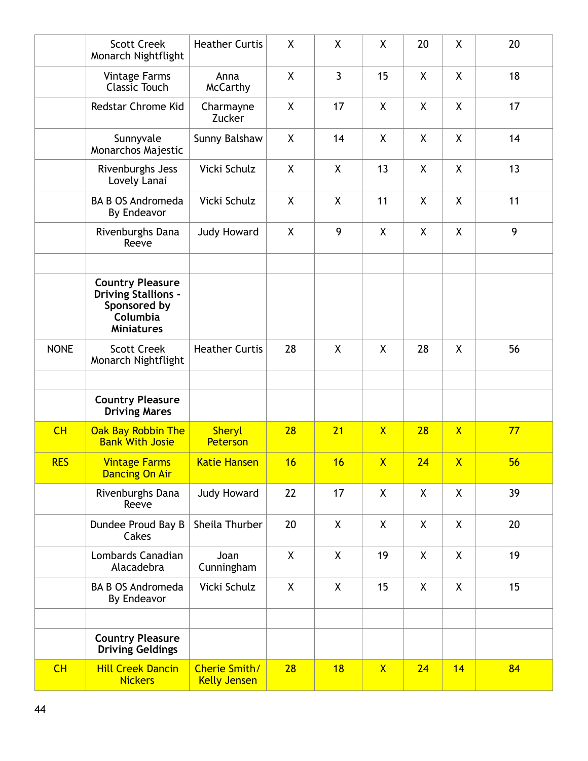|             | <b>Scott Creek</b><br>Monarch Nightflight                                                              | <b>Heather Curtis</b>                | X  | X            | X              | 20 | X                       | 20 |
|-------------|--------------------------------------------------------------------------------------------------------|--------------------------------------|----|--------------|----------------|----|-------------------------|----|
|             | <b>Vintage Farms</b><br><b>Classic Touch</b>                                                           | Anna<br><b>McCarthy</b>              | X  | $\mathbf{3}$ | 15             | X  | X                       | 18 |
|             | Redstar Chrome Kid                                                                                     | Charmayne<br>Zucker                  | X  | 17           | X              | X  | X                       | 17 |
|             | Sunnyvale<br>Monarchos Majestic                                                                        | Sunny Balshaw                        | X  | 14           | X              | X  | X                       | 14 |
|             | Rivenburghs Jess<br>Lovely Lanai                                                                       | Vicki Schulz                         | X  | X            | 13             | X  | X                       | 13 |
|             | <b>BA B OS Andromeda</b><br>By Endeavor                                                                | Vicki Schulz                         | X  | X            | 11             | X  | X                       | 11 |
|             | Rivenburghs Dana<br>Reeve                                                                              | <b>Judy Howard</b>                   | X  | 9            | X              | X  | X                       | 9  |
|             | <b>Country Pleasure</b><br><b>Driving Stallions -</b><br>Sponsored by<br>Columbia<br><b>Miniatures</b> |                                      |    |              |                |    |                         |    |
| <b>NONE</b> | <b>Scott Creek</b><br>Monarch Nightflight                                                              | <b>Heather Curtis</b>                | 28 | $\mathsf{X}$ | X              | 28 | $\mathsf{X}$            | 56 |
|             |                                                                                                        |                                      |    |              |                |    |                         |    |
|             | <b>Country Pleasure</b><br><b>Driving Mares</b>                                                        |                                      |    |              |                |    |                         |    |
| CH          | Oak Bay Robbin The<br><b>Bank With Josie</b>                                                           | <b>Sheryl</b><br>Peterson            | 28 | 21           | $\overline{X}$ | 28 | $\overline{\mathsf{X}}$ | 77 |
| <b>RES</b>  | <b>Vintage Farms</b><br><b>Dancing On Air</b>                                                          | Katie Hansen                         | 16 | 16           | $\mathsf{X}$   | 24 | $\mathsf{X}$            | 56 |
|             | Rivenburghs Dana<br>Reeve                                                                              | <b>Judy Howard</b>                   | 22 | 17           | X              | X  | X                       | 39 |
|             | Dundee Proud Bay B<br>Cakes                                                                            | Sheila Thurber                       | 20 | X            | X              | X  | X                       | 20 |
|             | Lombards Canadian<br>Alacadebra                                                                        | Joan<br>Cunningham                   | X  | X            | 19             | X  | X                       | 19 |
|             | <b>BA B OS Andromeda</b><br>By Endeavor                                                                | Vicki Schulz                         | X  | X            | 15             | X  | X                       | 15 |
|             |                                                                                                        |                                      |    |              |                |    |                         |    |
|             | <b>Country Pleasure</b><br><b>Driving Geldings</b>                                                     |                                      |    |              |                |    |                         |    |
| CH          | <b>Hill Creek Dancin</b><br><b>Nickers</b>                                                             | Cherie Smith/<br><b>Kelly Jensen</b> | 28 | 18           | $\mathsf{X}$   | 24 | 14                      | 84 |